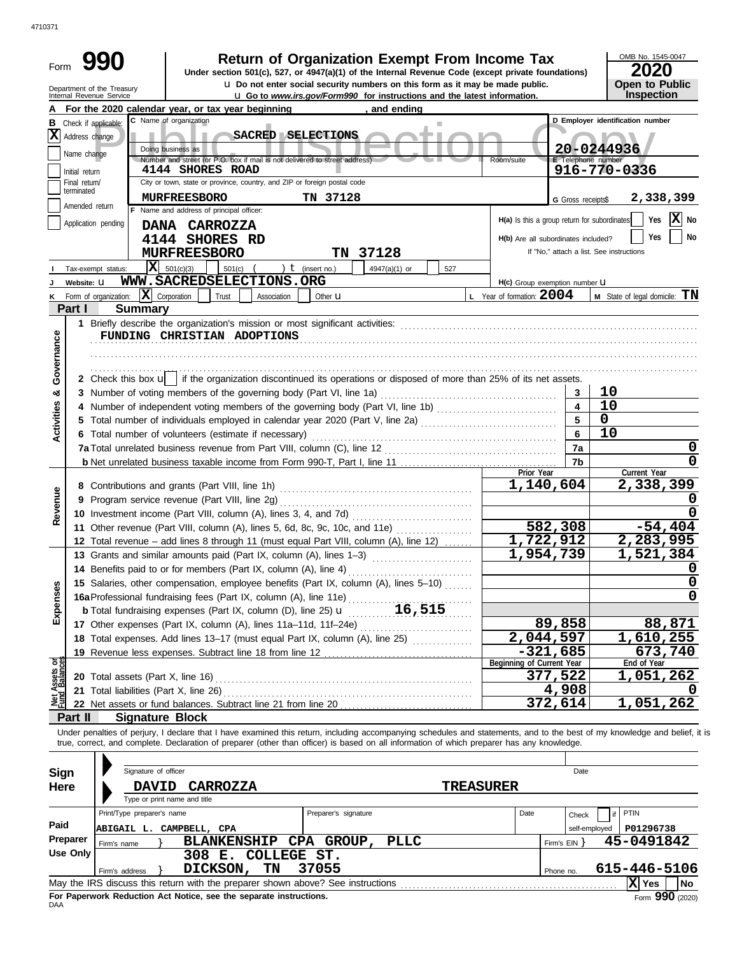|                   |                                                                                                                                                 |                                             |                                                                                                                                                                                                                                                                |                    |                      | Return of Organization Exempt From Income Tax                                                                                                                                                                                                                                                                            |                  |                                                            |                                                 |                                                                | OMB No. 1545-0047                               |
|-------------------|-------------------------------------------------------------------------------------------------------------------------------------------------|---------------------------------------------|----------------------------------------------------------------------------------------------------------------------------------------------------------------------------------------------------------------------------------------------------------------|--------------------|----------------------|--------------------------------------------------------------------------------------------------------------------------------------------------------------------------------------------------------------------------------------------------------------------------------------------------------------------------|------------------|------------------------------------------------------------|-------------------------------------------------|----------------------------------------------------------------|-------------------------------------------------|
| Form              |                                                                                                                                                 |                                             |                                                                                                                                                                                                                                                                |                    |                      | Under section 501(c), 527, or 4947(a)(1) of the Internal Revenue Code (except private foundations)                                                                                                                                                                                                                       |                  |                                                            |                                                 | ΖU                                                             | <b>ZU</b>                                       |
|                   | Department of the Treasury<br>Internal Revenue Service                                                                                          |                                             |                                                                                                                                                                                                                                                                |                    |                      | u Do not enter social security numbers on this form as it may be made public.<br><b>u</b> Go to www.irs.gov/Form990 for instructions and the latest information.                                                                                                                                                         |                  |                                                            |                                                 |                                                                | Open to Public<br>Inspection                    |
|                   |                                                                                                                                                 |                                             | For the 2020 calendar year, or tax year beginning                                                                                                                                                                                                              |                    |                      | and ending                                                                                                                                                                                                                                                                                                               |                  |                                                            |                                                 |                                                                |                                                 |
| в<br> X           | Check if applicable:<br>Address change<br>Name change<br>Initial return<br>Final return/<br>terminated<br>Amended return<br>Application pending | C Name of organization<br>Doing business as | Number and street (or P.O. box if mail is not delivered to street address)<br>4144 SHORES ROAD<br>City or town, state or province, country, and ZIP or foreign postal code<br><b>MURFREESBORO</b><br>F Name and address of principal officer:<br>DANA CARROZZA | SACRED SELECTIONS  | TN 37128             |                                                                                                                                                                                                                                                                                                                          |                  | Room/suite<br>H(a) Is this a group return for subordinates | E Telephone number<br><b>G</b> Gross receipts\$ | D Employer identification number<br>20-0244936<br>916-770-0336 | 2,338,399<br>$ \mathbf{X} $ No<br>Yes           |
|                   |                                                                                                                                                 |                                             | 4144 SHORES RD<br><b>MURFREESBORO</b>                                                                                                                                                                                                                          |                    |                      | TN 37128                                                                                                                                                                                                                                                                                                                 |                  | H(b) Are all subordinates included?                        |                                                 | If "No," attach a list. See instructions                       | Yes<br>No                                       |
|                   | Tax-exempt status:                                                                                                                              | x                                           | $501(c)$ (<br>501(c)(3)                                                                                                                                                                                                                                        |                    | ) $t$ (insert no.)   | 4947(a)(1) or                                                                                                                                                                                                                                                                                                            | 527              |                                                            |                                                 |                                                                |                                                 |
|                   | Website: U                                                                                                                                      | $\mathbf{X}$ Corporation                    | WWW.SACREDSELECTIONS.ORG                                                                                                                                                                                                                                       |                    |                      |                                                                                                                                                                                                                                                                                                                          |                  | H(c) Group exemption number <b>U</b>                       |                                                 |                                                                |                                                 |
|                   | Form of organization:<br>Part I                                                                                                                 |                                             | Trust                                                                                                                                                                                                                                                          | Association        | Other <b>u</b>       |                                                                                                                                                                                                                                                                                                                          |                  | L Year of formation: $2004$                                |                                                 |                                                                | <b>M</b> State of legal domicile: $\mathbf{TN}$ |
|                   |                                                                                                                                                 | <b>Summary</b>                              | 1 Briefly describe the organization's mission or most significant activities:                                                                                                                                                                                  |                    |                      |                                                                                                                                                                                                                                                                                                                          |                  |                                                            |                                                 |                                                                |                                                 |
| Governance        |                                                                                                                                                 |                                             | FUNDING CHRISTIAN ADOPTIONS                                                                                                                                                                                                                                    |                    |                      | 2 Check this box $\mathbf{u}$ if the organization discontinued its operations or disposed of more than 25% of its net assets.                                                                                                                                                                                            |                  |                                                            |                                                 |                                                                |                                                 |
| ఱ                 |                                                                                                                                                 |                                             | 3 Number of voting members of the governing body (Part VI, line 1a)                                                                                                                                                                                            |                    |                      |                                                                                                                                                                                                                                                                                                                          |                  |                                                            | 3                                               | 10                                                             |                                                 |
|                   |                                                                                                                                                 |                                             |                                                                                                                                                                                                                                                                |                    |                      | 4 Number of independent voting members of the governing body (Part VI, line 1b)                                                                                                                                                                                                                                          |                  |                                                            | $\overline{\mathbf{4}}$                         | 10                                                             |                                                 |
| <b>Activities</b> |                                                                                                                                                 |                                             |                                                                                                                                                                                                                                                                |                    |                      | 5 Total number of individuals employed in calendar year 2020 (Part V, line 2a) [[[[[[[[[[[[[[[[[[[[[[[[[[[[[[                                                                                                                                                                                                            |                  |                                                            | 5                                               | $\mathbf 0$                                                    |                                                 |
|                   |                                                                                                                                                 |                                             | 6 Total number of volunteers (estimate if necessary)                                                                                                                                                                                                           |                    |                      |                                                                                                                                                                                                                                                                                                                          |                  |                                                            | $6\phantom{1}$                                  | 10                                                             |                                                 |
|                   |                                                                                                                                                 |                                             | 7a Total unrelated business revenue from Part VIII, column (C), line 12                                                                                                                                                                                        |                    |                      |                                                                                                                                                                                                                                                                                                                          |                  |                                                            | 7a                                              |                                                                | 0                                               |
|                   |                                                                                                                                                 |                                             |                                                                                                                                                                                                                                                                |                    |                      |                                                                                                                                                                                                                                                                                                                          |                  |                                                            | 7b                                              |                                                                | 0                                               |
|                   |                                                                                                                                                 |                                             |                                                                                                                                                                                                                                                                |                    |                      |                                                                                                                                                                                                                                                                                                                          |                  | Prior Year                                                 |                                                 |                                                                | Current Year                                    |
|                   |                                                                                                                                                 |                                             |                                                                                                                                                                                                                                                                |                    |                      |                                                                                                                                                                                                                                                                                                                          |                  | 1,140,604                                                  |                                                 |                                                                | 2,338,399                                       |
| Revenue           |                                                                                                                                                 |                                             | 9 Program service revenue (Part VIII, line 2g)                                                                                                                                                                                                                 |                    |                      |                                                                                                                                                                                                                                                                                                                          |                  |                                                            |                                                 |                                                                | 0                                               |
|                   |                                                                                                                                                 |                                             |                                                                                                                                                                                                                                                                |                    |                      |                                                                                                                                                                                                                                                                                                                          |                  |                                                            |                                                 |                                                                |                                                 |
|                   |                                                                                                                                                 |                                             |                                                                                                                                                                                                                                                                |                    |                      | 11 Other revenue (Part VIII, column (A), lines 5, 6d, 8c, 9c, 10c, and 11e)                                                                                                                                                                                                                                              |                  | 1,722,912                                                  | 582,308                                         |                                                                | $-54,404$                                       |
|                   |                                                                                                                                                 |                                             |                                                                                                                                                                                                                                                                |                    |                      | 12 Total revenue - add lines 8 through 11 (must equal Part VIII, column (A), line 12)                                                                                                                                                                                                                                    |                  |                                                            |                                                 |                                                                | 2,283,995                                       |
|                   |                                                                                                                                                 |                                             |                                                                                                                                                                                                                                                                |                    |                      | 13 Grants and similar amounts paid (Part IX, column (A), lines 1-3)                                                                                                                                                                                                                                                      |                  | <u>1,954,739</u>                                           |                                                 |                                                                | <u>1,521,384</u>                                |
|                   |                                                                                                                                                 |                                             | 14 Benefits paid to or for members (Part IX, column (A), line 4)                                                                                                                                                                                               |                    |                      |                                                                                                                                                                                                                                                                                                                          |                  |                                                            |                                                 |                                                                | $\pmb{0}$                                       |
|                   |                                                                                                                                                 |                                             |                                                                                                                                                                                                                                                                |                    |                      | 15 Salaries, other compensation, employee benefits (Part IX, column (A), lines 5-10)                                                                                                                                                                                                                                     |                  |                                                            |                                                 |                                                                | $\mathbf 0$                                     |
| Expenses          |                                                                                                                                                 |                                             |                                                                                                                                                                                                                                                                |                    |                      |                                                                                                                                                                                                                                                                                                                          |                  |                                                            |                                                 |                                                                |                                                 |
|                   |                                                                                                                                                 |                                             |                                                                                                                                                                                                                                                                |                    |                      |                                                                                                                                                                                                                                                                                                                          |                  |                                                            |                                                 |                                                                |                                                 |
|                   |                                                                                                                                                 |                                             |                                                                                                                                                                                                                                                                |                    |                      | 17 Other expenses (Part IX, column (A), lines 11a-11d, 11f-24e)<br>18 Total expenses. Add lines 13-17 (must equal Part IX, column (A), line 25)                                                                                                                                                                          |                  | 2,044,597                                                  | 89,858                                          |                                                                | 88,871<br>1,610,255                             |
|                   |                                                                                                                                                 |                                             |                                                                                                                                                                                                                                                                |                    |                      |                                                                                                                                                                                                                                                                                                                          |                  |                                                            | $-321,685$                                      |                                                                | 673,740                                         |
|                   |                                                                                                                                                 |                                             |                                                                                                                                                                                                                                                                |                    |                      |                                                                                                                                                                                                                                                                                                                          |                  | Beginning of Current Year                                  |                                                 |                                                                | End of Year                                     |
| Assets or         |                                                                                                                                                 | 20 Total assets (Part X, line 16)           |                                                                                                                                                                                                                                                                |                    |                      |                                                                                                                                                                                                                                                                                                                          |                  |                                                            | 377,522                                         |                                                                | 1,051,262                                       |
|                   | 21 Total liabilities (Part X, line 26)                                                                                                          |                                             |                                                                                                                                                                                                                                                                |                    |                      |                                                                                                                                                                                                                                                                                                                          |                  |                                                            | 4,908                                           |                                                                |                                                 |
|                   |                                                                                                                                                 |                                             |                                                                                                                                                                                                                                                                |                    |                      |                                                                                                                                                                                                                                                                                                                          |                  |                                                            | 372,614                                         |                                                                | 1,051,262                                       |
|                   | Part II                                                                                                                                         | <b>Signature Block</b>                      |                                                                                                                                                                                                                                                                |                    |                      |                                                                                                                                                                                                                                                                                                                          |                  |                                                            |                                                 |                                                                |                                                 |
|                   |                                                                                                                                                 |                                             |                                                                                                                                                                                                                                                                |                    |                      | Under penalties of perjury, I declare that I have examined this return, including accompanying schedules and statements, and to the best of my knowledge and belief, it is<br>true, correct, and complete. Declaration of preparer (other than officer) is based on all information of which preparer has any knowledge. |                  |                                                            |                                                 |                                                                |                                                 |
|                   |                                                                                                                                                 |                                             |                                                                                                                                                                                                                                                                |                    |                      |                                                                                                                                                                                                                                                                                                                          |                  |                                                            |                                                 |                                                                |                                                 |
| <b>Sign</b>       |                                                                                                                                                 | Signature of officer                        |                                                                                                                                                                                                                                                                |                    |                      |                                                                                                                                                                                                                                                                                                                          |                  |                                                            | Date                                            |                                                                |                                                 |
| Here              |                                                                                                                                                 | <b>DAVID</b>                                | <b>CARROZZA</b>                                                                                                                                                                                                                                                |                    |                      |                                                                                                                                                                                                                                                                                                                          | <b>TREASURER</b> |                                                            |                                                 |                                                                |                                                 |
|                   |                                                                                                                                                 | Type or print name and title                |                                                                                                                                                                                                                                                                |                    |                      |                                                                                                                                                                                                                                                                                                                          |                  |                                                            |                                                 |                                                                |                                                 |
|                   |                                                                                                                                                 | Print/Type preparer's name                  |                                                                                                                                                                                                                                                                |                    | Preparer's signature |                                                                                                                                                                                                                                                                                                                          |                  | Date                                                       | Check                                           | PTIN<br>if                                                     |                                                 |
| Paid              |                                                                                                                                                 |                                             | ABIGAIL L. CAMPBELL, CPA                                                                                                                                                                                                                                       |                    |                      |                                                                                                                                                                                                                                                                                                                          |                  |                                                            | self-employed                                   |                                                                | P01296738                                       |
| Preparer          | Firm's name                                                                                                                                     |                                             | <b>BLANKENSHIP</b>                                                                                                                                                                                                                                             |                    | CPA GROUP,           | <b>PLLC</b>                                                                                                                                                                                                                                                                                                              |                  |                                                            | Firm's $EIN$ }                                  |                                                                | 45-0491842                                      |
|                   | <b>Use Only</b>                                                                                                                                 |                                             |                                                                                                                                                                                                                                                                | 308 E. COLLEGE ST. |                      |                                                                                                                                                                                                                                                                                                                          |                  |                                                            |                                                 |                                                                |                                                 |
|                   |                                                                                                                                                 | Firm's address                              | DICKSON,                                                                                                                                                                                                                                                       | TN                 | 37055                |                                                                                                                                                                                                                                                                                                                          |                  |                                                            | Phone no.                                       |                                                                | 615-446-5106                                    |
|                   |                                                                                                                                                 |                                             |                                                                                                                                                                                                                                                                |                    |                      |                                                                                                                                                                                                                                                                                                                          |                  |                                                            |                                                 | X Yes                                                          | No                                              |
| DAA               |                                                                                                                                                 |                                             | For Paperwork Reduction Act Notice, see the separate instructions.                                                                                                                                                                                             |                    |                      |                                                                                                                                                                                                                                                                                                                          |                  |                                                            |                                                 |                                                                | Form $990$ (2020)                               |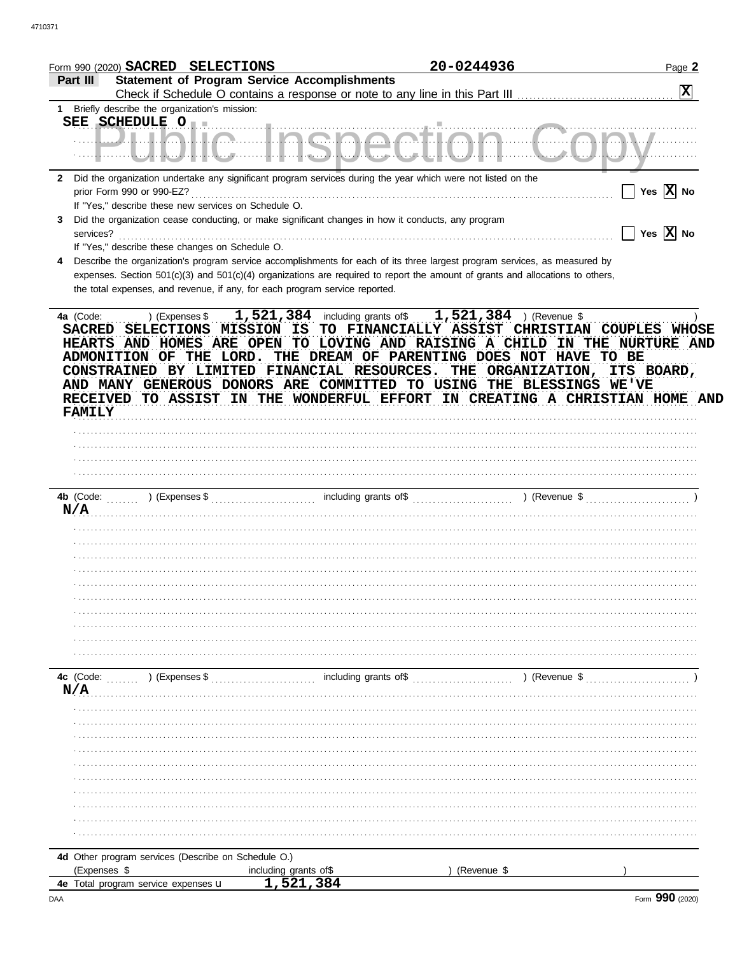| Form 990 (2020) <b>SACRED</b>                                                                  | <b>SELECTIONS</b>                                                                                              | 20-0244936                                                                                                                                         | Page 2                                                  |
|------------------------------------------------------------------------------------------------|----------------------------------------------------------------------------------------------------------------|----------------------------------------------------------------------------------------------------------------------------------------------------|---------------------------------------------------------|
| Part III                                                                                       | <b>Statement of Program Service Accomplishments</b>                                                            |                                                                                                                                                    |                                                         |
|                                                                                                |                                                                                                                | Check if Schedule O contains a response or note to any line in this Part III                                                                       | $\mathbf{x}$                                            |
| 1 Briefly describe the organization's mission:                                                 |                                                                                                                |                                                                                                                                                    |                                                         |
| SEE SCHEDULE O                                                                                 |                                                                                                                |                                                                                                                                                    |                                                         |
| <u>III AMII</u> I                                                                              | hehar<br>77.                                                                                                   |                                                                                                                                                    |                                                         |
|                                                                                                | va 30                                                                                                          | Maratta Al                                                                                                                                         |                                                         |
|                                                                                                | 2 Did the organization undertake any significant program services during the year which were not listed on the |                                                                                                                                                    |                                                         |
| prior Form 990 or 990-EZ?                                                                      |                                                                                                                |                                                                                                                                                    | Yes $\overline{X}$ No                                   |
| If "Yes," describe these new services on Schedule O.                                           |                                                                                                                |                                                                                                                                                    |                                                         |
| 3                                                                                              | Did the organization cease conducting, or make significant changes in how it conducts, any program             |                                                                                                                                                    |                                                         |
| services?                                                                                      |                                                                                                                |                                                                                                                                                    | $\overline{\phantom{x}}$ Yes $\overline{\mathrm{X}}$ No |
| If "Yes," describe these changes on Schedule O.                                                |                                                                                                                |                                                                                                                                                    |                                                         |
| 4                                                                                              |                                                                                                                | Describe the organization's program service accomplishments for each of its three largest program services, as measured by                         |                                                         |
|                                                                                                |                                                                                                                | expenses. Section 501(c)(3) and 501(c)(4) organizations are required to report the amount of grants and allocations to others,                     |                                                         |
|                                                                                                | the total expenses, and revenue, if any, for each program service reported.                                    |                                                                                                                                                    |                                                         |
| 4a (Code:<br>) (Expenses \$                                                                    |                                                                                                                | 1,521,384 including grants of\$ 1,521,384 ) (Revenue \$                                                                                            |                                                         |
| <b>ADMONITION OF</b>                                                                           | CONSTRAINED BY LIMITED FINANCIAL RESOURCES.                                                                    | HEARTS AND HOMES ARE OPEN TO LOVING AND RAISING A CHILD<br>THE LORD. THE DREAM OF PARENTING DOES NOT HAVE TO BE<br>THE ORGANIZATION,               | IN THE NURTURE AND<br>ITS BOARD,                        |
|                                                                                                |                                                                                                                | AND MANY GENEROUS DONORS ARE COMMITTED TO USING THE BLESSINGS WE'VE<br>RECEIVED TO ASSIST IN THE WONDERFUL EFFORT IN CREATING A CHRISTIAN HOME AND |                                                         |
| <b>FAMILY</b>                                                                                  |                                                                                                                |                                                                                                                                                    |                                                         |
|                                                                                                |                                                                                                                |                                                                                                                                                    |                                                         |
|                                                                                                |                                                                                                                |                                                                                                                                                    |                                                         |
|                                                                                                |                                                                                                                |                                                                                                                                                    |                                                         |
|                                                                                                |                                                                                                                |                                                                                                                                                    |                                                         |
|                                                                                                |                                                                                                                |                                                                                                                                                    |                                                         |
|                                                                                                |                                                                                                                |                                                                                                                                                    |                                                         |
|                                                                                                |                                                                                                                |                                                                                                                                                    |                                                         |
|                                                                                                |                                                                                                                |                                                                                                                                                    |                                                         |
|                                                                                                |                                                                                                                |                                                                                                                                                    |                                                         |
|                                                                                                |                                                                                                                |                                                                                                                                                    |                                                         |
|                                                                                                |                                                                                                                |                                                                                                                                                    |                                                         |
|                                                                                                |                                                                                                                |                                                                                                                                                    |                                                         |
|                                                                                                |                                                                                                                |                                                                                                                                                    |                                                         |
|                                                                                                |                                                                                                                |                                                                                                                                                    |                                                         |
|                                                                                                |                                                                                                                |                                                                                                                                                    |                                                         |
|                                                                                                |                                                                                                                |                                                                                                                                                    |                                                         |
|                                                                                                |                                                                                                                |                                                                                                                                                    |                                                         |
| ) (Expenses \$                                                                                 |                                                                                                                | including grants of\$<br>) (Revenue \$                                                                                                             |                                                         |
|                                                                                                |                                                                                                                |                                                                                                                                                    |                                                         |
|                                                                                                |                                                                                                                |                                                                                                                                                    |                                                         |
|                                                                                                |                                                                                                                |                                                                                                                                                    |                                                         |
|                                                                                                |                                                                                                                |                                                                                                                                                    |                                                         |
|                                                                                                |                                                                                                                |                                                                                                                                                    |                                                         |
|                                                                                                |                                                                                                                |                                                                                                                                                    |                                                         |
|                                                                                                |                                                                                                                |                                                                                                                                                    |                                                         |
|                                                                                                |                                                                                                                |                                                                                                                                                    |                                                         |
|                                                                                                |                                                                                                                |                                                                                                                                                    |                                                         |
|                                                                                                |                                                                                                                |                                                                                                                                                    |                                                         |
|                                                                                                |                                                                                                                |                                                                                                                                                    |                                                         |
| N/A<br>4c (Code:<br>N/A<br>4d Other program services (Describe on Schedule O.)<br>(Expenses \$ | including grants of\$                                                                                          | (Revenue \$                                                                                                                                        |                                                         |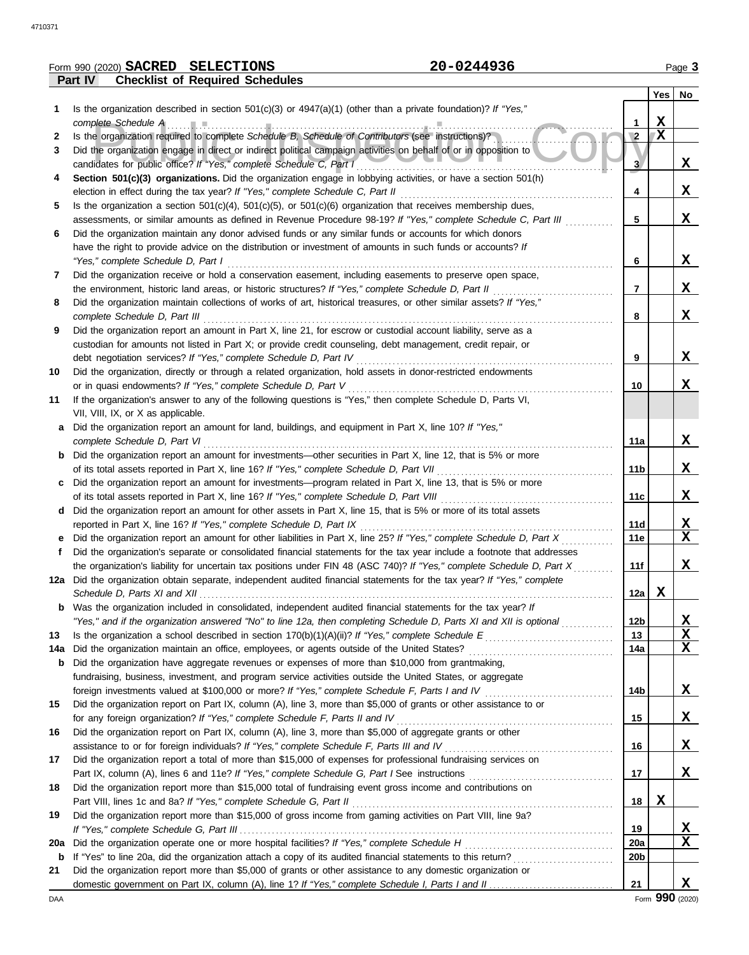|     | Form 990 (2020) SACRED SELECTIONS                                              |                                                                                                                                                                                                                | 20-0244936                                                                                                         |                 |              | Page 3      |
|-----|--------------------------------------------------------------------------------|----------------------------------------------------------------------------------------------------------------------------------------------------------------------------------------------------------------|--------------------------------------------------------------------------------------------------------------------|-----------------|--------------|-------------|
|     | Part IV<br><b>Checklist of Required Schedules</b>                              |                                                                                                                                                                                                                |                                                                                                                    |                 |              |             |
|     |                                                                                |                                                                                                                                                                                                                |                                                                                                                    |                 | Yes   No     |             |
| 1.  |                                                                                | Is the organization described in section $501(c)(3)$ or $4947(a)(1)$ (other than a private foundation)? If "Yes,"                                                                                              |                                                                                                                    |                 |              |             |
|     | complete Schedule A                                                            |                                                                                                                                                                                                                |                                                                                                                    | 1               | $\mathbf x$  |             |
| 2   |                                                                                | Is the organization required to complete Schedule B, Schedule of Contributors (see instructions)?                                                                                                              |                                                                                                                    | $\sqrt{2}$      | $\mathbf{X}$ |             |
| 3   | candidates for public office? If "Yes," complete Schedule C, Part I            | Did the organization engage in direct or indirect political campaign activities on behalf of or in opposition to                                                                                               |                                                                                                                    | 3               |              | X           |
| 4   |                                                                                | Section 501(c)(3) organizations. Did the organization engage in lobbying activities, or have a section 501(h)                                                                                                  |                                                                                                                    |                 |              |             |
|     | election in effect during the tax year? If "Yes," complete Schedule C, Part II |                                                                                                                                                                                                                |                                                                                                                    | 4               |              | X           |
| 5   |                                                                                | Is the organization a section $501(c)(4)$ , $501(c)(5)$ , or $501(c)(6)$ organization that receives membership dues,                                                                                           |                                                                                                                    |                 |              |             |
|     |                                                                                | assessments, or similar amounts as defined in Revenue Procedure 98-19? If "Yes," complete Schedule C, Part III                                                                                                 |                                                                                                                    | 5               |              | X           |
| 6   |                                                                                | Did the organization maintain any donor advised funds or any similar funds or accounts for which donors                                                                                                        |                                                                                                                    |                 |              |             |
|     |                                                                                | have the right to provide advice on the distribution or investment of amounts in such funds or accounts? If                                                                                                    |                                                                                                                    |                 |              | X           |
| 7   | "Yes," complete Schedule D, Part I                                             | Did the organization receive or hold a conservation easement, including easements to preserve open space,                                                                                                      |                                                                                                                    | 6               |              |             |
|     |                                                                                | the environment, historic land areas, or historic structures? If "Yes," complete Schedule D, Part II                                                                                                           |                                                                                                                    | 7               |              | X           |
| 8   |                                                                                | Did the organization maintain collections of works of art, historical treasures, or other similar assets? If "Yes,"                                                                                            |                                                                                                                    |                 |              |             |
|     | complete Schedule D, Part III                                                  |                                                                                                                                                                                                                |                                                                                                                    | 8               |              | X           |
| 9   |                                                                                | Did the organization report an amount in Part X, line 21, for escrow or custodial account liability, serve as a                                                                                                |                                                                                                                    |                 |              |             |
|     |                                                                                | custodian for amounts not listed in Part X; or provide credit counseling, debt management, credit repair, or                                                                                                   |                                                                                                                    |                 |              |             |
|     | debt negotiation services? If "Yes," complete Schedule D, Part IV              |                                                                                                                                                                                                                |                                                                                                                    | 9               |              | X           |
| 10  |                                                                                | Did the organization, directly or through a related organization, hold assets in donor-restricted endowments                                                                                                   |                                                                                                                    |                 |              |             |
|     | or in quasi endowments? If "Yes," complete Schedule D, Part V                  |                                                                                                                                                                                                                |                                                                                                                    | 10              |              | x           |
| 11  |                                                                                | If the organization's answer to any of the following questions is "Yes," then complete Schedule D, Parts VI,                                                                                                   |                                                                                                                    |                 |              |             |
|     | VII, VIII, IX, or X as applicable.                                             |                                                                                                                                                                                                                |                                                                                                                    |                 |              |             |
| a   |                                                                                | Did the organization report an amount for land, buildings, and equipment in Part X, line 10? If "Yes,"                                                                                                         |                                                                                                                    |                 |              |             |
|     | complete Schedule D, Part VI                                                   |                                                                                                                                                                                                                |                                                                                                                    | 11a             |              | X           |
|     |                                                                                | Did the organization report an amount for investments—other securities in Part X, line 12, that is 5% or more                                                                                                  |                                                                                                                    |                 |              |             |
|     |                                                                                | of its total assets reported in Part X, line 16? If "Yes," complete Schedule D, Part VII                                                                                                                       |                                                                                                                    | 11 <sub>b</sub> |              | X           |
|     |                                                                                | Did the organization report an amount for investments—program related in Part X, line 13, that is 5% or more                                                                                                   |                                                                                                                    |                 |              | X           |
| d   |                                                                                | of its total assets reported in Part X, line 16? If "Yes," complete Schedule D, Part VIII<br>Did the organization report an amount for other assets in Part X, line 15, that is 5% or more of its total assets |                                                                                                                    | 11c             |              |             |
|     | reported in Part X, line 16? If "Yes," complete Schedule D, Part IX            |                                                                                                                                                                                                                |                                                                                                                    | 11d             |              | $\mathbf x$ |
|     |                                                                                | Did the organization report an amount for other liabilities in Part X, line 25? If "Yes," complete Schedule D, Part X                                                                                          |                                                                                                                    | 11e             |              | X           |
| f   |                                                                                | Did the organization's separate or consolidated financial statements for the tax year include a footnote that addresses                                                                                        |                                                                                                                    |                 |              |             |
|     |                                                                                | the organization's liability for uncertain tax positions under FIN 48 (ASC 740)? If "Yes," complete Schedule D, Part X                                                                                         |                                                                                                                    | 11f             |              | X           |
|     |                                                                                | 12a Did the organization obtain separate, independent audited financial statements for the tax year? If "Yes," complete                                                                                        |                                                                                                                    |                 |              |             |
|     |                                                                                |                                                                                                                                                                                                                |                                                                                                                    | 12a             | X            |             |
|     |                                                                                | <b>b</b> Was the organization included in consolidated, independent audited financial statements for the tax year? If                                                                                          |                                                                                                                    |                 |              |             |
|     |                                                                                |                                                                                                                                                                                                                | "Yes," and if the organization answered "No" to line 12a, then completing Schedule D, Parts XI and XII is optional | 12b             |              | X           |
| 13  |                                                                                |                                                                                                                                                                                                                |                                                                                                                    | 13              |              | $\mathbf X$ |
| 14a |                                                                                | Did the organization maintain an office, employees, or agents outside of the United States?                                                                                                                    |                                                                                                                    | 14a             |              | X           |
| b   |                                                                                | Did the organization have aggregate revenues or expenses of more than \$10,000 from grantmaking,                                                                                                               |                                                                                                                    |                 |              |             |
|     |                                                                                | fundraising, business, investment, and program service activities outside the United States, or aggregate                                                                                                      |                                                                                                                    |                 |              |             |
|     |                                                                                |                                                                                                                                                                                                                |                                                                                                                    | 14b             |              | X           |
| 15  | for any foreign organization? If "Yes," complete Schedule F, Parts II and IV   | Did the organization report on Part IX, column (A), line 3, more than \$5,000 of grants or other assistance to or                                                                                              |                                                                                                                    | 15              |              | X           |
| 16  |                                                                                | Did the organization report on Part IX, column (A), line 3, more than \$5,000 of aggregate grants or other                                                                                                     |                                                                                                                    |                 |              |             |
|     |                                                                                |                                                                                                                                                                                                                |                                                                                                                    | 16              |              | X           |
| 17  |                                                                                | Did the organization report a total of more than \$15,000 of expenses for professional fundraising services on                                                                                                 |                                                                                                                    |                 |              |             |
|     |                                                                                |                                                                                                                                                                                                                |                                                                                                                    | 17              |              | X           |
| 18  |                                                                                | Did the organization report more than \$15,000 total of fundraising event gross income and contributions on                                                                                                    |                                                                                                                    |                 |              |             |
|     | Part VIII, lines 1c and 8a? If "Yes," complete Schedule G, Part II             |                                                                                                                                                                                                                |                                                                                                                    | 18              | X            |             |
| 19  |                                                                                | Did the organization report more than \$15,000 of gross income from gaming activities on Part VIII, line 9a?                                                                                                   |                                                                                                                    |                 |              |             |
|     |                                                                                |                                                                                                                                                                                                                |                                                                                                                    | 19              |              | <u>x</u>    |
| 20a |                                                                                | Did the organization operate one or more hospital facilities? If "Yes," complete Schedule H                                                                                                                    |                                                                                                                    | 20a             |              | $\mathbf X$ |
| b   |                                                                                |                                                                                                                                                                                                                |                                                                                                                    | 20b             |              |             |
| 21  |                                                                                | Did the organization report more than \$5,000 of grants or other assistance to any domestic organization or                                                                                                    |                                                                                                                    |                 |              |             |

domestic government on Part IX, column (A), line 1? *If "Yes," complete Schedule I, Parts I and II* . . . . . . . . . . . . . . . . . . . . . . . . . . . . . . .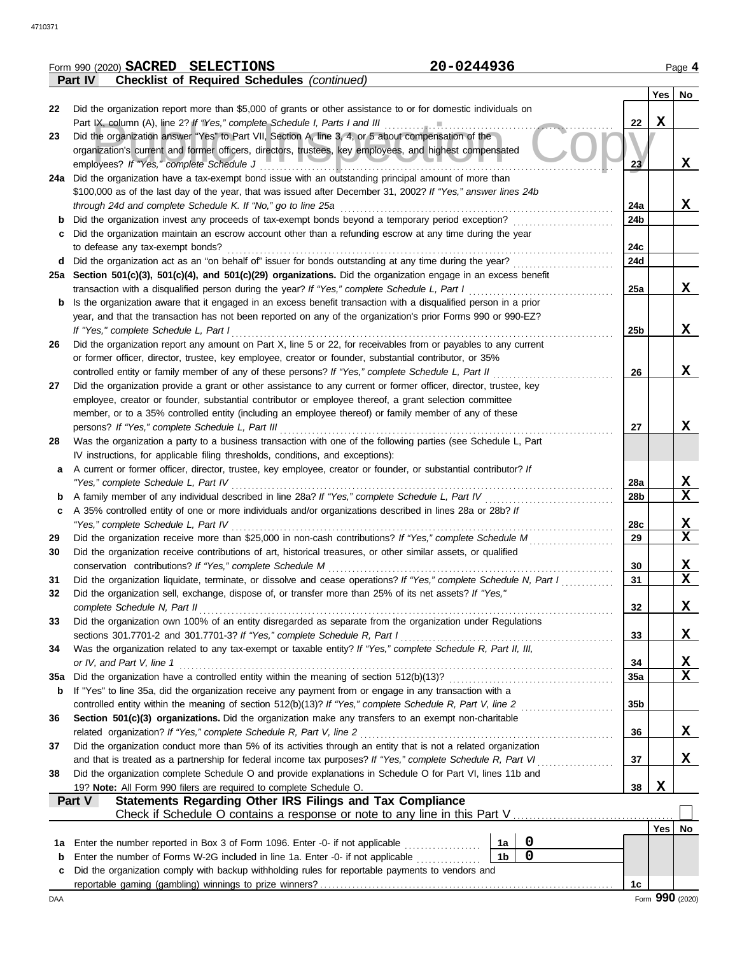|     | 20-0244936<br>Form 990 (2020) SACRED SELECTIONS                                                                                                                                                                                  |                 |             | Page 4      |
|-----|----------------------------------------------------------------------------------------------------------------------------------------------------------------------------------------------------------------------------------|-----------------|-------------|-------------|
|     | <b>Checklist of Required Schedules (continued)</b><br>Part IV                                                                                                                                                                    |                 |             |             |
|     |                                                                                                                                                                                                                                  |                 | Yes         | No          |
| 22  | Did the organization report more than \$5,000 of grants or other assistance to or for domestic individuals on                                                                                                                    |                 |             |             |
|     | Part IX, column (A), line 2? If "Yes," complete Schedule I, Parts I and III                                                                                                                                                      | 22              | $\mathbf X$ |             |
| 23  | Did the organization answer "Yes" to Part VII, Section A, line 3, 4, or 5 about compensation of the                                                                                                                              |                 |             |             |
|     | organization's current and former officers, directors, trustees, key employees, and highest compensated                                                                                                                          |                 |             |             |
|     | employees? If "Yes," complete Schedule J                                                                                                                                                                                         | 23              |             | X           |
|     | 24a Did the organization have a tax-exempt bond issue with an outstanding principal amount of more than                                                                                                                          |                 |             |             |
|     | \$100,000 as of the last day of the year, that was issued after December 31, 2002? If "Yes," answer lines 24b                                                                                                                    |                 |             |             |
|     | through 24d and complete Schedule K. If "No," go to line 25a                                                                                                                                                                     | 24a             |             | X           |
| b   | Did the organization invest any proceeds of tax-exempt bonds beyond a temporary period exception?                                                                                                                                | 24b             |             |             |
| c   | Did the organization maintain an escrow account other than a refunding escrow at any time during the year                                                                                                                        |                 |             |             |
|     | to defease any tax-exempt bonds?                                                                                                                                                                                                 | 24c             |             |             |
|     | d Did the organization act as an "on behalf of" issuer for bonds outstanding at any time during the year?                                                                                                                        | 24d             |             |             |
|     | 25a Section 501(c)(3), 501(c)(4), and 501(c)(29) organizations. Did the organization engage in an excess benefit                                                                                                                 |                 |             | X           |
|     | transaction with a disqualified person during the year? If "Yes," complete Schedule L, Part I                                                                                                                                    | 25a             |             |             |
| b   | Is the organization aware that it engaged in an excess benefit transaction with a disqualified person in a prior<br>year, and that the transaction has not been reported on any of the organization's prior Forms 990 or 990-EZ? |                 |             |             |
|     | If "Yes," complete Schedule L, Part I                                                                                                                                                                                            | 25b             |             | X           |
| 26  | Did the organization report any amount on Part X, line 5 or 22, for receivables from or payables to any current                                                                                                                  |                 |             |             |
|     | or former officer, director, trustee, key employee, creator or founder, substantial contributor, or 35%                                                                                                                          |                 |             |             |
|     | controlled entity or family member of any of these persons? If "Yes," complete Schedule L, Part II                                                                                                                               | 26              |             | X           |
| 27  | Did the organization provide a grant or other assistance to any current or former officer, director, trustee, key                                                                                                                |                 |             |             |
|     | employee, creator or founder, substantial contributor or employee thereof, a grant selection committee                                                                                                                           |                 |             |             |
|     | member, or to a 35% controlled entity (including an employee thereof) or family member of any of these                                                                                                                           |                 |             |             |
|     | persons? If "Yes," complete Schedule L, Part III                                                                                                                                                                                 | 27              |             | X           |
| 28  | Was the organization a party to a business transaction with one of the following parties (see Schedule L, Part                                                                                                                   |                 |             |             |
|     | IV instructions, for applicable filing thresholds, conditions, and exceptions):                                                                                                                                                  |                 |             |             |
| a   | A current or former officer, director, trustee, key employee, creator or founder, or substantial contributor? If                                                                                                                 |                 |             |             |
|     | "Yes," complete Schedule L, Part IV                                                                                                                                                                                              | 28a             |             | X           |
| b   | A family member of any individual described in line 28a? If "Yes," complete Schedule L, Part IV                                                                                                                                  | 28 <sub>b</sub> |             | $\mathbf x$ |
| c   | A 35% controlled entity of one or more individuals and/or organizations described in lines 28a or 28b? If                                                                                                                        |                 |             |             |
|     | "Yes," complete Schedule L, Part IV                                                                                                                                                                                              | 28c             |             | X           |
| 29  | Did the organization receive more than \$25,000 in non-cash contributions? If "Yes," complete Schedule M                                                                                                                         | 29              |             | X           |
| 30  | Did the organization receive contributions of art, historical treasures, or other similar assets, or qualified                                                                                                                   |                 |             |             |
|     | conservation contributions? If "Yes," complete Schedule M                                                                                                                                                                        | 30              |             | X           |
| 31  | Did the organization liquidate, terminate, or dissolve and cease operations? If "Yes," complete Schedule N, Part I                                                                                                               | 31              |             | X           |
| 32  | Did the organization sell, exchange, dispose of, or transfer more than 25% of its net assets? If "Yes,"                                                                                                                          |                 |             |             |
|     | complete Schedule N, Part II                                                                                                                                                                                                     | 32              |             | X           |
| 33  | Did the organization own 100% of an entity disregarded as separate from the organization under Regulations                                                                                                                       |                 |             |             |
|     | sections 301.7701-2 and 301.7701-3? If "Yes," complete Schedule R, Part I                                                                                                                                                        | 33              |             | X           |
| 34  | Was the organization related to any tax-exempt or taxable entity? If "Yes," complete Schedule R, Part II, III,                                                                                                                   |                 |             |             |
|     | or IV, and Part V, line 1                                                                                                                                                                                                        | 34              |             | <u>х</u>    |
| 35a | Did the organization have a controlled entity within the meaning of section 512(b)(13)?                                                                                                                                          | 35a             |             | X           |
| b   | If "Yes" to line 35a, did the organization receive any payment from or engage in any transaction with a                                                                                                                          |                 |             |             |
|     |                                                                                                                                                                                                                                  | 35 <sub>b</sub> |             |             |
| 36  | Section 501(c)(3) organizations. Did the organization make any transfers to an exempt non-charitable                                                                                                                             |                 |             |             |
|     | related organization? If "Yes," complete Schedule R, Part V, line 2                                                                                                                                                              | 36              |             | X           |
| 37  | Did the organization conduct more than 5% of its activities through an entity that is not a related organization                                                                                                                 |                 |             |             |
|     | and that is treated as a partnership for federal income tax purposes? If "Yes," complete Schedule R, Part VI<br>.                                                                                                                | 37              |             | X           |
| 38  | Did the organization complete Schedule O and provide explanations in Schedule O for Part VI, lines 11b and                                                                                                                       |                 |             |             |
|     | 19? Note: All Form 990 filers are required to complete Schedule O.                                                                                                                                                               | 38              | X           |             |
|     | Statements Regarding Other IRS Filings and Tax Compliance<br>Part V                                                                                                                                                              |                 |             |             |
|     |                                                                                                                                                                                                                                  |                 |             |             |
|     |                                                                                                                                                                                                                                  |                 | Yes         | No          |
| 1а  | $\mathbf 0$<br>Enter the number reported in Box 3 of Form 1096. Enter -0- if not applicable<br>1a<br>.                                                                                                                           |                 |             |             |
| b   | $\mathbf 0$<br>1 <sub>b</sub><br>Enter the number of Forms W-2G included in line 1a. Enter -0- if not applicable <i>minimum</i>                                                                                                  |                 |             |             |
| c   | Did the organization comply with backup withholding rules for reportable payments to vendors and                                                                                                                                 |                 |             |             |
|     |                                                                                                                                                                                                                                  | 1c              |             |             |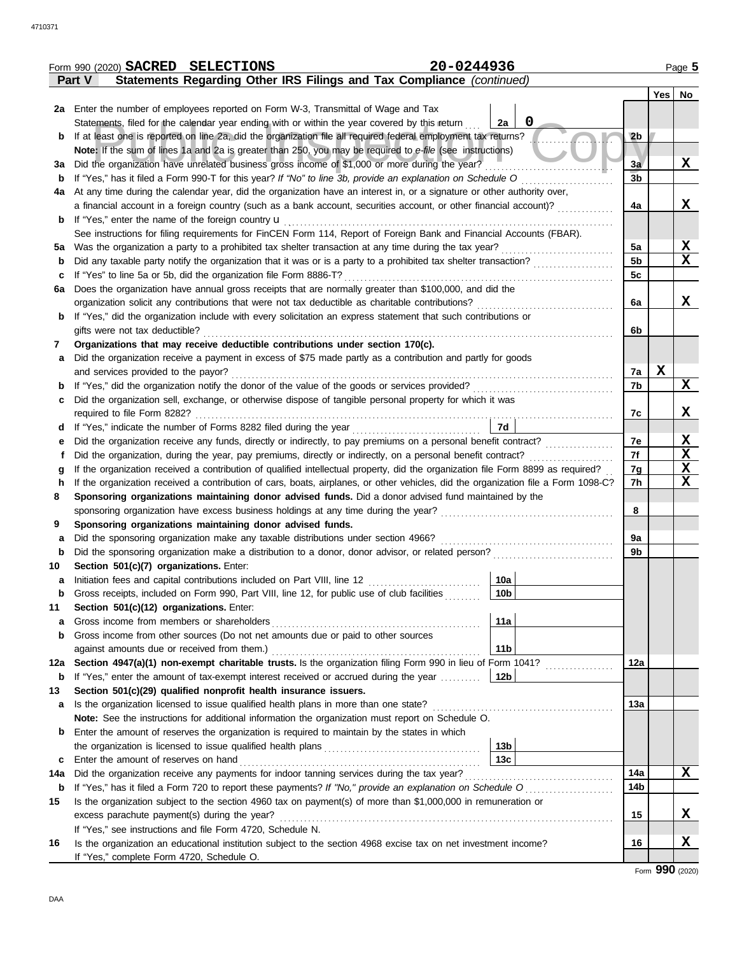|              | 20-0244936<br>Form 990 (2020) SACRED SELECTIONS                                                                                                              |                |                  | Page 5      |
|--------------|--------------------------------------------------------------------------------------------------------------------------------------------------------------|----------------|------------------|-------------|
|              | Statements Regarding Other IRS Filings and Tax Compliance (continued)<br>Part V                                                                              |                |                  |             |
|              |                                                                                                                                                              |                | Yes <sub>l</sub> | No          |
|              | 2a Enter the number of employees reported on Form W-3, Transmittal of Wage and Tax                                                                           |                |                  |             |
|              | 0<br>Statements, filed for the calendar year ending with or within the year covered by this return<br>2a                                                     |                |                  |             |
| b            | If at least one is reported on line 2a, did the organization file all required federal employment tax returns?                                               | 2 <sub>b</sub> |                  |             |
|              | Note: If the sum of lines 1a and 2a is greater than 250, you may be required to e-file (see instructions)                                                    |                |                  |             |
| за           | Did the organization have unrelated business gross income of \$1,000 or more during the year?                                                                | 3a             |                  | X           |
| b            | If "Yes," has it filed a Form 990-T for this year? If "No" to line 3b, provide an explanation on Schedule O                                                  | 3 <sub>b</sub> |                  |             |
| 4a           | At any time during the calendar year, did the organization have an interest in, or a signature or other authority over,                                      |                |                  |             |
|              | a financial account in a foreign country (such as a bank account, securities account, or other financial account)?                                           | 4a             |                  | X           |
| b            |                                                                                                                                                              |                |                  |             |
|              | See instructions for filing requirements for FinCEN Form 114, Report of Foreign Bank and Financial Accounts (FBAR).                                          |                |                  |             |
| 5a           |                                                                                                                                                              | 5a             |                  | $\mathbf x$ |
| b            |                                                                                                                                                              | 5 <sub>b</sub> |                  | $\mathbf x$ |
| c            | If "Yes" to line 5a or 5b, did the organization file Form 8886-T?                                                                                            | 5c             |                  |             |
| 6a           | Does the organization have annual gross receipts that are normally greater than \$100,000, and did the                                                       |                |                  |             |
|              |                                                                                                                                                              | 6a             |                  | X           |
| b            | If "Yes," did the organization include with every solicitation an express statement that such contributions or                                               |                |                  |             |
|              | gifts were not tax deductible?                                                                                                                               | 6b             |                  |             |
| 7            | Organizations that may receive deductible contributions under section 170(c).                                                                                |                |                  |             |
| a            | Did the organization receive a payment in excess of \$75 made partly as a contribution and partly for goods                                                  |                |                  |             |
|              | and services provided to the payor?                                                                                                                          | 7a             | X                |             |
| b            |                                                                                                                                                              | 7b             |                  | X           |
| c            | Did the organization sell, exchange, or otherwise dispose of tangible personal property for which it was                                                     |                |                  |             |
|              |                                                                                                                                                              | 7c             |                  | X           |
| d            | 7d<br>If "Yes," indicate the number of Forms 8282 filed during the year<br>[[[[[[[[[[[[[]]]]]]                                                               |                |                  |             |
| е            | Did the organization receive any funds, directly or indirectly, to pay premiums on a personal benefit contract?                                              | 7е             |                  | X           |
| Ť.           |                                                                                                                                                              | 7f             |                  | $\mathbf X$ |
| g            | If the organization received a contribution of qualified intellectual property, did the organization file Form 8899 as required?                             | 7g             |                  | $\mathbf x$ |
| h            | If the organization received a contribution of cars, boats, airplanes, or other vehicles, did the organization file a Form 1098-C?                           | 7h             |                  | $\mathbf X$ |
| 8            | Sponsoring organizations maintaining donor advised funds. Did a donor advised fund maintained by the                                                         |                |                  |             |
|              |                                                                                                                                                              | 8              |                  |             |
| 9            | Sponsoring organizations maintaining donor advised funds.                                                                                                    |                |                  |             |
| a            | Did the sponsoring organization make any taxable distributions under section 4966? [[[[[[[[[[[[[[[[[[[[[[[[[[[                                               | 9a             |                  |             |
| b            |                                                                                                                                                              | 9b             |                  |             |
| 10           | Section 501(c)(7) organizations. Enter:                                                                                                                      |                |                  |             |
| a            | $\frac{1}{2}$<br>10a                                                                                                                                         |                |                  |             |
| b            | Gross receipts, included on Form 990, Part VIII, line 12, for public use of club facilities<br>10b                                                           |                |                  |             |
| 11           | Section 501(c)(12) organizations. Enter:                                                                                                                     |                |                  |             |
| a            | 11a                                                                                                                                                          |                |                  |             |
| b            | Gross income from other sources (Do not net amounts due or paid to other sources                                                                             |                |                  |             |
|              | 11 <sub>b</sub><br>against amounts due or received from them.)                                                                                               |                |                  |             |
| 12a          | Section 4947(a)(1) non-exempt charitable trusts. Is the organization filing Form 990 in lieu of Form 1041?                                                   | 12a            |                  |             |
| b            | If "Yes," enter the amount of tax-exempt interest received or accrued during the year<br> 12b                                                                |                |                  |             |
| 13           | Section 501(c)(29) qualified nonprofit health insurance issuers.                                                                                             |                |                  |             |
| а            |                                                                                                                                                              | 13а            |                  |             |
|              | Note: See the instructions for additional information the organization must report on Schedule O.                                                            |                |                  |             |
| $\mathbf{p}$ | Enter the amount of reserves the organization is required to maintain by the states in which                                                                 |                |                  |             |
|              | 13 <sub>b</sub>                                                                                                                                              |                |                  |             |
|              |                                                                                                                                                              |                |                  |             |
| c            | 13c                                                                                                                                                          | 14a            |                  | X           |
| 14a          |                                                                                                                                                              | 14b            |                  |             |
| b            |                                                                                                                                                              |                |                  |             |
| 15           | Is the organization subject to the section 4960 tax on payment(s) of more than \$1,000,000 in remuneration or                                                |                |                  |             |
|              | excess parachute payment(s) during the year?                                                                                                                 | 15             |                  | X.          |
|              | If "Yes," see instructions and file Form 4720, Schedule N.                                                                                                   |                |                  | X           |
| 16           | Is the organization an educational institution subject to the section 4968 excise tax on net investment income?<br>If "Yes," complete Form 4720, Schedule O. | 16             |                  |             |
|              |                                                                                                                                                              |                |                  |             |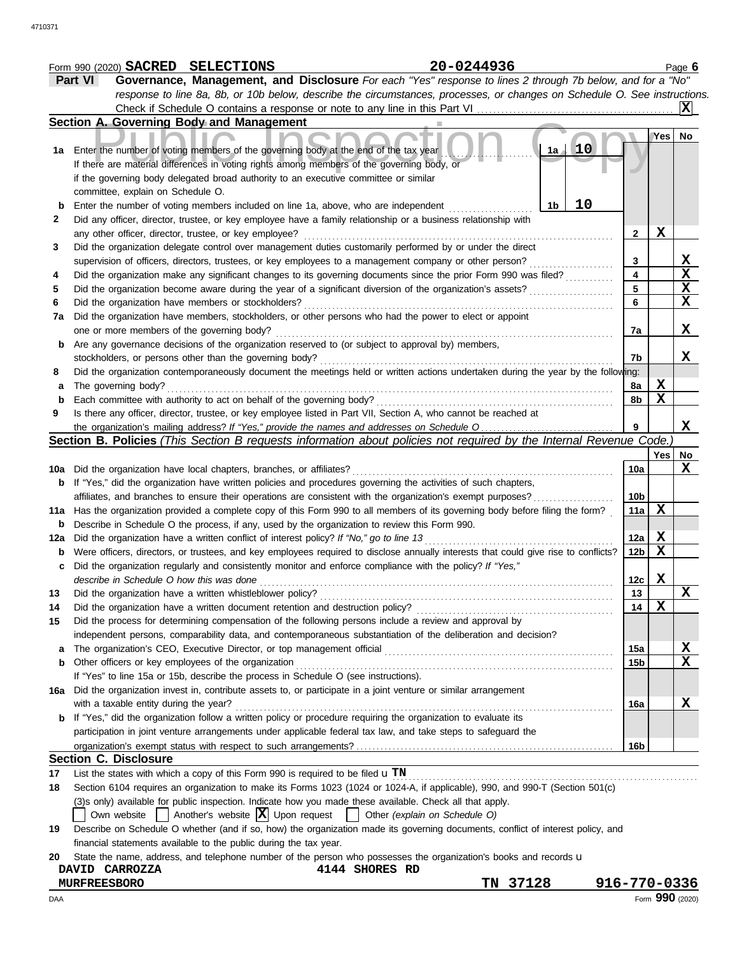|     | 20-0244936<br>Form 990 (2020) SACRED SELECTIONS                                                                                                                                 |                 |                 | Page 6 |
|-----|---------------------------------------------------------------------------------------------------------------------------------------------------------------------------------|-----------------|-----------------|--------|
|     | Governance, Management, and Disclosure For each "Yes" response to lines 2 through 7b below, and for a "No"<br><b>Part VI</b>                                                    |                 |                 |        |
|     | response to line 8a, 8b, or 10b below, describe the circumstances, processes, or changes on Schedule O. See instructions.                                                       |                 |                 |        |
|     |                                                                                                                                                                                 |                 |                 |        |
|     | Section A. Governing Body and Management                                                                                                                                        |                 |                 |        |
|     |                                                                                                                                                                                 |                 | Yes             | No.    |
| 1a  | 10<br>1a<br>Enter the number of voting members of the governing body at the end of the tax year                                                                                 |                 |                 |        |
|     | If there are material differences in voting rights among members of the governing body, or                                                                                      |                 |                 |        |
|     | if the governing body delegated broad authority to an executive committee or similar                                                                                            |                 |                 |        |
|     | committee, explain on Schedule O.                                                                                                                                               |                 |                 |        |
| b   | 10<br>Enter the number of voting members included on line 1a, above, who are independent<br>1b                                                                                  |                 |                 |        |
|     | Did any officer, director, trustee, or key employee have a family relationship or a business relationship with                                                                  |                 |                 |        |
| 2   |                                                                                                                                                                                 |                 | $\mathbf x$     |        |
|     | any other officer, director, trustee, or key employee?                                                                                                                          | 2               |                 |        |
| 3   | Did the organization delegate control over management duties customarily performed by or under the direct                                                                       |                 |                 |        |
|     | supervision of officers, directors, trustees, or key employees to a management company or other person?                                                                         | 3               |                 | X      |
| 4   | Did the organization make any significant changes to its governing documents since the prior Form 990 was filed?                                                                | 4               |                 | X      |
| 5   | Did the organization become aware during the year of a significant diversion of the organization's assets?                                                                      | 5               |                 | X      |
| 6   | Did the organization have members or stockholders?                                                                                                                              | 6               |                 | X      |
| 7a  | Did the organization have members, stockholders, or other persons who had the power to elect or appoint                                                                         |                 |                 |        |
|     | one or more members of the governing body?                                                                                                                                      | 7a              |                 | X      |
| b   | Are any governance decisions of the organization reserved to (or subject to approval by) members,                                                                               |                 |                 |        |
|     | stockholders, or persons other than the governing body?                                                                                                                         | 7b              |                 | X      |
| 8   | Did the organization contemporaneously document the meetings held or written actions undertaken during the year by the following:                                               |                 |                 |        |
| а   | The governing body?                                                                                                                                                             | 8a              | X               |        |
| b   | Each committee with authority to act on behalf of the governing body?                                                                                                           | 8b              | X               |        |
| 9   | Is there any officer, director, trustee, or key employee listed in Part VII, Section A, who cannot be reached at                                                                |                 |                 |        |
|     |                                                                                                                                                                                 | 9               |                 | X      |
|     | Section B. Policies (This Section B requests information about policies not required by the Internal Revenue Code.)                                                             |                 |                 |        |
|     |                                                                                                                                                                                 |                 | Yes             | No     |
|     | Did the organization have local chapters, branches, or affiliates?                                                                                                              | 10a             |                 | X      |
| 10a |                                                                                                                                                                                 |                 |                 |        |
| b   | If "Yes," did the organization have written policies and procedures governing the activities of such chapters,                                                                  |                 |                 |        |
|     | affiliates, and branches to ensure their operations are consistent with the organization's exempt purposes?                                                                     | 10 <sub>b</sub> |                 |        |
|     | 11a Has the organization provided a complete copy of this Form 990 to all members of its governing body before filing the form?                                                 | 11a             | X               |        |
| b   | Describe in Schedule O the process, if any, used by the organization to review this Form 990.                                                                                   |                 |                 |        |
| 12a | Did the organization have a written conflict of interest policy? If "No," go to line 13                                                                                         | 12a             | X               |        |
| b   | Were officers, directors, or trustees, and key employees required to disclose annually interests that could give rise to conflicts?                                             | 12b             | X               |        |
|     | Did the organization regularly and consistently monitor and enforce compliance with the policy? If "Yes,"                                                                       |                 |                 |        |
|     | describe in Schedule O how this was done                                                                                                                                        | 12c             | X               |        |
| 13  | Did the organization have a written whistleblower policy?                                                                                                                       | 13              |                 | X      |
| 14  | Did the organization have a written document retention and destruction policy?                                                                                                  | 14              | X               |        |
| 15  | Did the process for determining compensation of the following persons include a review and approval by                                                                          |                 |                 |        |
|     | independent persons, comparability data, and contemporaneous substantiation of the deliberation and decision?                                                                   |                 |                 |        |
| a   | The organization's CEO, Executive Director, or top management official                                                                                                          | 15a             |                 | X      |
| b   | Other officers or key employees of the organization                                                                                                                             | 15b             |                 | X      |
|     | If "Yes" to line 15a or 15b, describe the process in Schedule O (see instructions).                                                                                             |                 |                 |        |
| 16a | Did the organization invest in, contribute assets to, or participate in a joint venture or similar arrangement                                                                  |                 |                 |        |
|     | with a taxable entity during the year?                                                                                                                                          | 16a             |                 | X      |
| b   | If "Yes," did the organization follow a written policy or procedure requiring the organization to evaluate its                                                                  |                 |                 |        |
|     | participation in joint venture arrangements under applicable federal tax law, and take steps to safeguard the                                                                   |                 |                 |        |
|     |                                                                                                                                                                                 |                 |                 |        |
|     |                                                                                                                                                                                 | 16b             |                 |        |
|     | <b>Section C. Disclosure</b>                                                                                                                                                    |                 |                 |        |
| 17  | List the states with which a copy of this Form 990 is required to be filed $\mathbf{u}$ TN                                                                                      |                 |                 |        |
| 18  | Section 6104 requires an organization to make its Forms 1023 (1024 or 1024-A, if applicable), 990, and 990-T (Section 501(c)                                                    |                 |                 |        |
|     | (3)s only) available for public inspection. Indicate how you made these available. Check all that apply.                                                                        |                 |                 |        |
|     | Own website $\begin{vmatrix} \end{vmatrix}$ Another's website $\begin{vmatrix} X \\ Y \end{vmatrix}$ Upon request $\begin{vmatrix} \end{vmatrix}$ Other (explain on Schedule O) |                 |                 |        |
| 19  | Describe on Schedule O whether (and if so, how) the organization made its governing documents, conflict of interest policy, and                                                 |                 |                 |        |
|     | financial statements available to the public during the tax year.                                                                                                               |                 |                 |        |
| 20  | State the name, address, and telephone number of the person who possesses the organization's books and records u                                                                |                 |                 |        |
|     | 4144 SHORES RD<br>DAVID CARROZZA                                                                                                                                                |                 |                 |        |
|     | TN 37128<br><b>MURFREESBORO</b>                                                                                                                                                 | 916-770-0336    |                 |        |
| DAA |                                                                                                                                                                                 |                 | Form 990 (2020) |        |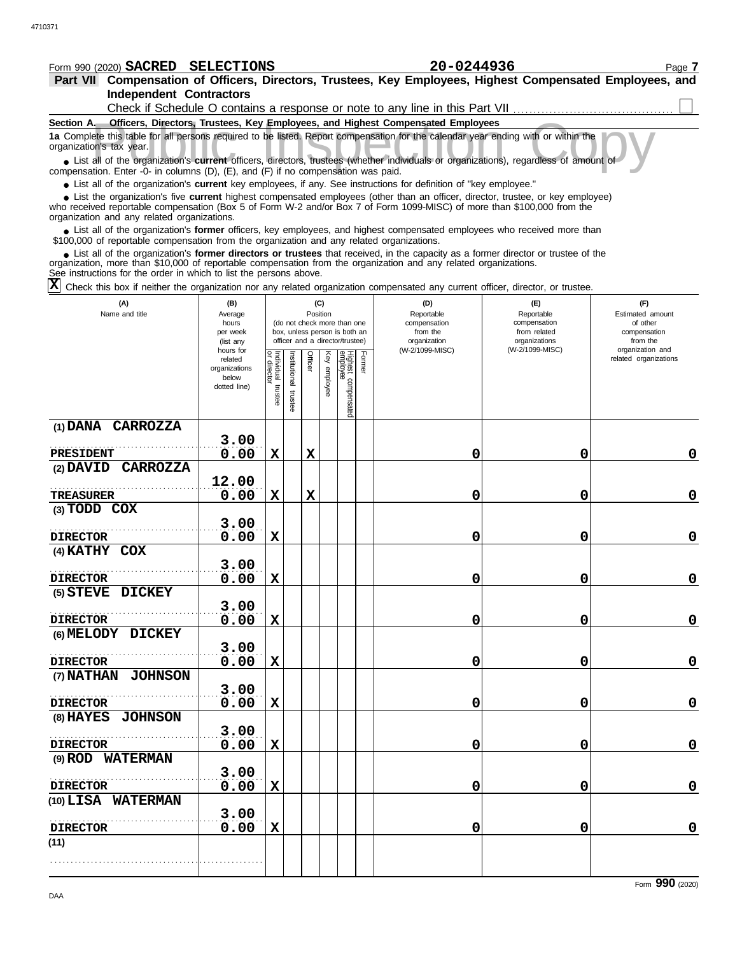| Form 990 (2020) SACRED SELECTIONS                                                                                                                                                                                                                                                                                             |                                                                |                       |                          |         |                                                               |                                                                    |                                                                 | 20-0244936                                                                   |                 | Page 7                                    |  |  |
|-------------------------------------------------------------------------------------------------------------------------------------------------------------------------------------------------------------------------------------------------------------------------------------------------------------------------------|----------------------------------------------------------------|-----------------------|--------------------------|---------|---------------------------------------------------------------|--------------------------------------------------------------------|-----------------------------------------------------------------|------------------------------------------------------------------------------|-----------------|-------------------------------------------|--|--|
| Part VII Compensation of Officers, Directors, Trustees, Key Employees, Highest Compensated Employees, and                                                                                                                                                                                                                     |                                                                |                       |                          |         |                                                               |                                                                    |                                                                 |                                                                              |                 |                                           |  |  |
| <b>Independent Contractors</b>                                                                                                                                                                                                                                                                                                |                                                                |                       |                          |         |                                                               |                                                                    |                                                                 |                                                                              |                 |                                           |  |  |
|                                                                                                                                                                                                                                                                                                                               |                                                                |                       |                          |         |                                                               |                                                                    |                                                                 | Check if Schedule O contains a response or note to any line in this Part VII |                 |                                           |  |  |
| Section A. Officers, Directors, Trustees, Key Employees, and Highest Compensated Employees                                                                                                                                                                                                                                    |                                                                |                       |                          |         |                                                               |                                                                    |                                                                 |                                                                              |                 |                                           |  |  |
| 1a Complete this table for all persons required to be listed. Report compensation for the calendar year ending with or within the<br>organization's tax year.                                                                                                                                                                 |                                                                |                       |                          |         |                                                               |                                                                    |                                                                 |                                                                              |                 |                                           |  |  |
| • List all of the organization's current officers, directors, trustees (whether individuals or organizations), regardless of amount of<br>compensation. Enter -0- in columns (D), (E), and (F) if no compensation was paid.                                                                                                   |                                                                |                       |                          |         |                                                               |                                                                    |                                                                 |                                                                              |                 |                                           |  |  |
| • List all of the organization's current key employees, if any. See instructions for definition of "key employee."                                                                                                                                                                                                            |                                                                |                       |                          |         |                                                               |                                                                    |                                                                 |                                                                              |                 |                                           |  |  |
| • List the organization's five current highest compensated employees (other than an officer, director, trustee, or key employee)<br>who received reportable compensation (Box 5 of Form W-2 and/or Box 7 of Form 1099-MISC) of more than \$100,000 from the<br>organization and any related organizations.                    |                                                                |                       |                          |         |                                                               |                                                                    |                                                                 |                                                                              |                 |                                           |  |  |
| • List all of the organization's former officers, key employees, and highest compensated employees who received more than<br>\$100,000 of reportable compensation from the organization and any related organizations.                                                                                                        |                                                                |                       |                          |         |                                                               |                                                                    |                                                                 |                                                                              |                 |                                           |  |  |
| • List all of the organization's former directors or trustees that received, in the capacity as a former director or trustee of the<br>organization, more than \$10,000 of reportable compensation from the organization and any related organizations.<br>See instructions for the order in which to list the persons above. |                                                                |                       |                          |         |                                                               |                                                                    |                                                                 |                                                                              |                 |                                           |  |  |
| $\overline{\mathbf{x}}$<br>Check this box if neither the organization nor any related organization compensated any current officer, director, or trustee.                                                                                                                                                                     |                                                                |                       |                          |         |                                                               |                                                                    |                                                                 |                                                                              |                 |                                           |  |  |
| (A)<br>(B)<br>(C)<br>Name and title<br>Position<br>Average<br>(do not check more than one<br>hours<br>box, unless person is both an<br>per week<br>officer and a director/trustee)<br>(list any                                                                                                                               |                                                                |                       |                          |         | (D)<br>Reportable<br>compensation<br>from the<br>organization | (E)<br>Reportable<br>compensation<br>from related<br>organizations | (F)<br>Estimated amount<br>of other<br>compensation<br>from the |                                                                              |                 |                                           |  |  |
|                                                                                                                                                                                                                                                                                                                               | hours for<br>related<br>organizations<br>below<br>dotted line) | Individual<br>trustee | Institutional<br>trustee | Officer | Key<br>employee                                               | Former<br>Highest compensated<br>employee                          |                                                                 | (W-2/1099-MISC)                                                              | (W-2/1099-MISC) | organization and<br>related organizations |  |  |
| (1) DANA CARROZZA                                                                                                                                                                                                                                                                                                             |                                                                |                       |                          |         |                                                               |                                                                    |                                                                 |                                                                              |                 |                                           |  |  |
|                                                                                                                                                                                                                                                                                                                               | 3.00                                                           |                       |                          |         |                                                               |                                                                    |                                                                 |                                                                              |                 |                                           |  |  |
| <b>PRESIDENT</b>                                                                                                                                                                                                                                                                                                              | 0.00                                                           | $\mathbf x$           |                          | X       |                                                               |                                                                    |                                                                 | 0                                                                            | 0               | 0                                         |  |  |
| (2) DAVID CARROZZA                                                                                                                                                                                                                                                                                                            |                                                                |                       |                          |         |                                                               |                                                                    |                                                                 |                                                                              |                 |                                           |  |  |
| <b>TREASURER</b>                                                                                                                                                                                                                                                                                                              | 12.00<br>0.00                                                  | $\mathbf x$           |                          | X       |                                                               |                                                                    |                                                                 | 0                                                                            | 0               | 0                                         |  |  |
| $(3)$ TODD COX                                                                                                                                                                                                                                                                                                                |                                                                |                       |                          |         |                                                               |                                                                    |                                                                 |                                                                              |                 |                                           |  |  |
|                                                                                                                                                                                                                                                                                                                               | 3.00                                                           |                       |                          |         |                                                               |                                                                    |                                                                 |                                                                              |                 |                                           |  |  |
| <b>DIRECTOR</b>                                                                                                                                                                                                                                                                                                               | 0.00                                                           | X                     |                          |         |                                                               |                                                                    |                                                                 | 0                                                                            | 0               | 0                                         |  |  |
| (4) KATHY COX                                                                                                                                                                                                                                                                                                                 |                                                                |                       |                          |         |                                                               |                                                                    |                                                                 |                                                                              |                 |                                           |  |  |
|                                                                                                                                                                                                                                                                                                                               | 3.00                                                           |                       |                          |         |                                                               |                                                                    |                                                                 |                                                                              |                 |                                           |  |  |
| <b>DIRECTOR</b><br>(5) STEVE DICKEY                                                                                                                                                                                                                                                                                           | 0.00                                                           | $\mathbf x$           |                          |         |                                                               |                                                                    |                                                                 | 0                                                                            | 0               | 0                                         |  |  |
|                                                                                                                                                                                                                                                                                                                               | 3.00                                                           |                       |                          |         |                                                               |                                                                    |                                                                 |                                                                              |                 |                                           |  |  |
| <b>DIRECTOR</b>                                                                                                                                                                                                                                                                                                               | 0.00                                                           | $\mathbf x$           |                          |         |                                                               |                                                                    |                                                                 | 0                                                                            | 0               | 0                                         |  |  |
| (6) MELODY DICKEY                                                                                                                                                                                                                                                                                                             |                                                                |                       |                          |         |                                                               |                                                                    |                                                                 |                                                                              |                 |                                           |  |  |

**0.00 X 0 0 0**

**0.00 X 0 0 0**

**0.00 X 0 0 0**

**0.00 X 0 0 0**

**0.00 X 0 0 0**

**(11)**

. . . . . . . . . . . . . . . . . . . . . . . . . . . . . . . . . . . . . . . . . . . . . . . . . . . . .

**DIRECTOR**

**DIRECTOR**

**(7) NATHAN JOHNSON**

. . . . . . . . . . . . . . . . . . . . . . . . . . . . . . . . . . . . . . . . . . . . . . . . . . . . . **DIRECTOR**

. . . . . . . . . . . . . . . . . . . . . . . . . . . . . . . . . . . . . . . . . . . . . . . . . . . . . **DIRECTOR**

. . . . . . . . . . . . . . . . . . . . . . . . . . . . . . . . . . . . . . . . . . . . . . . . . . . . . **DIRECTOR**

. . . . . . . . . . . . . . . . . . . . . . . . . . . . . . . . . . . . . . . . . . . . . . . . . . . . . **3.00**

 $\begin{array}{|c|c|c|c|c|}\n \hline\n 0.00\n \end{array}$ 

**3.00**

**3.00**

**3.00**

**3.00**

**(8) HAYES JOHNSON**

**(9) ROD WATERMAN**

**(10) LISA WATERMAN**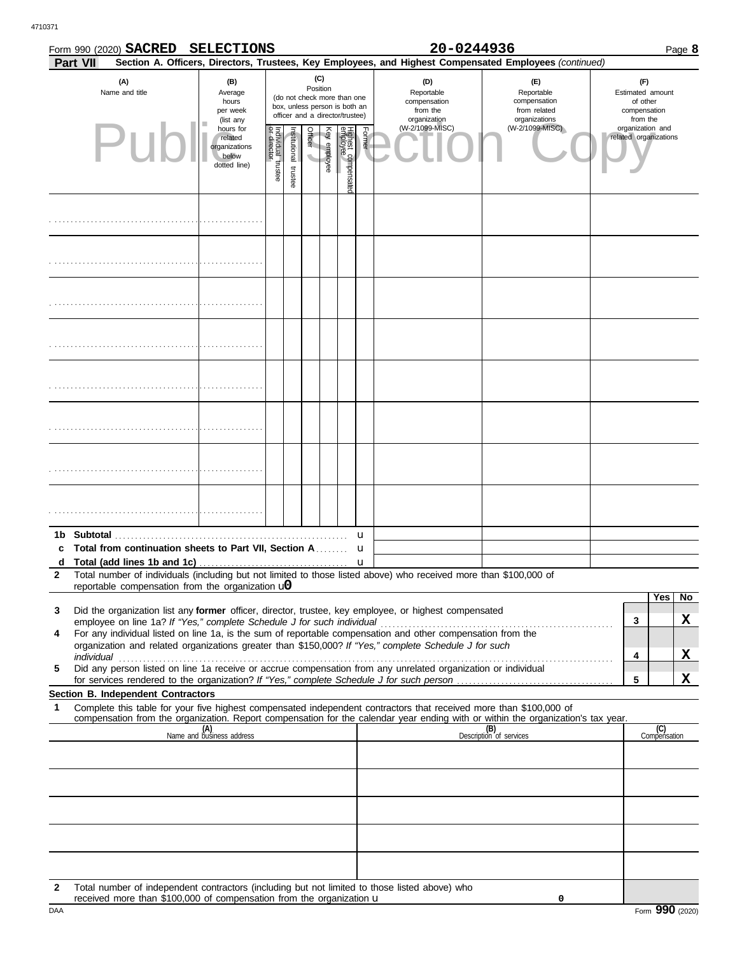|              | Form 990 (2020) SACRED                                                                                                                                   | <b>SELECTIONS</b>                                             |                                   |                      |          |              |                                                                                                 |              | 20-0244936                                                                       |                                                                                                        |                                                                 |                     | Page 8             |
|--------------|----------------------------------------------------------------------------------------------------------------------------------------------------------|---------------------------------------------------------------|-----------------------------------|----------------------|----------|--------------|-------------------------------------------------------------------------------------------------|--------------|----------------------------------------------------------------------------------|--------------------------------------------------------------------------------------------------------|-----------------------------------------------------------------|---------------------|--------------------|
|              | Part VII                                                                                                                                                 |                                                               |                                   |                      |          |              |                                                                                                 |              |                                                                                  | Section A. Officers, Directors, Trustees, Key Employees, and Highest Compensated Employees (continued) |                                                                 |                     |                    |
|              | (A)<br>Name and title                                                                                                                                    | (B)<br>Average<br>hours<br>per week<br>(list any<br>hours for |                                   |                      | Position | (C)          | (do not check more than one<br>box, unless person is both an<br>officer and a director/trustee) |              | (D)<br>Reportable<br>compensation<br>from the<br>organization<br>(W-2/1099-MISC) | (E)<br>Reportable<br>compensation<br>from related<br>organizations<br>(W-2/1099-MISC)                  | (F)<br>Estimated amount<br>of other<br>compensation<br>from the | organization and    |                    |
|              | Put                                                                                                                                                      | related<br>organizations<br>below<br>dotted line)             | Individual trustee<br>or director | nstitutional trustee | Officer  | Key employee | Highest compensate<br>employee                                                                  | Former       |                                                                                  |                                                                                                        | related organizations                                           |                     |                    |
|              |                                                                                                                                                          |                                                               |                                   |                      |          |              |                                                                                                 |              |                                                                                  |                                                                                                        |                                                                 |                     |                    |
|              |                                                                                                                                                          |                                                               |                                   |                      |          |              |                                                                                                 |              |                                                                                  |                                                                                                        |                                                                 |                     |                    |
|              |                                                                                                                                                          |                                                               |                                   |                      |          |              |                                                                                                 |              |                                                                                  |                                                                                                        |                                                                 |                     |                    |
|              |                                                                                                                                                          |                                                               |                                   |                      |          |              |                                                                                                 |              |                                                                                  |                                                                                                        |                                                                 |                     |                    |
|              |                                                                                                                                                          |                                                               |                                   |                      |          |              |                                                                                                 |              |                                                                                  |                                                                                                        |                                                                 |                     |                    |
|              |                                                                                                                                                          |                                                               |                                   |                      |          |              |                                                                                                 |              |                                                                                  |                                                                                                        |                                                                 |                     |                    |
|              |                                                                                                                                                          |                                                               |                                   |                      |          |              |                                                                                                 |              |                                                                                  |                                                                                                        |                                                                 |                     |                    |
|              |                                                                                                                                                          |                                                               |                                   |                      |          |              |                                                                                                 |              |                                                                                  |                                                                                                        |                                                                 |                     |                    |
|              |                                                                                                                                                          |                                                               |                                   |                      |          |              |                                                                                                 | u            |                                                                                  |                                                                                                        |                                                                 |                     |                    |
|              | Total from continuation sheets to Part VII, Section A                                                                                                    |                                                               |                                   |                      |          |              |                                                                                                 | u            |                                                                                  |                                                                                                        |                                                                 |                     |                    |
| $\mathbf{2}$ | Total number of individuals (including but not limited to those listed above) who received more than \$100,000 of                                        |                                                               |                                   |                      |          |              |                                                                                                 | $\mathbf{u}$ |                                                                                  |                                                                                                        |                                                                 |                     |                    |
|              | reportable compensation from the organization $\mathbf{u}$                                                                                               |                                                               |                                   |                      |          |              |                                                                                                 |              |                                                                                  |                                                                                                        |                                                                 |                     |                    |
|              |                                                                                                                                                          |                                                               |                                   |                      |          |              |                                                                                                 |              |                                                                                  |                                                                                                        |                                                                 | Yes                 | $\overline{N_{0}}$ |
| 3            | Did the organization list any former officer, director, trustee, key employee, or highest compensated                                                    |                                                               |                                   |                      |          |              |                                                                                                 |              |                                                                                  |                                                                                                        | 3                                                               |                     | X                  |
| 4            | For any individual listed on line 1a, is the sum of reportable compensation and other compensation from the                                              |                                                               |                                   |                      |          |              |                                                                                                 |              |                                                                                  |                                                                                                        |                                                                 |                     |                    |
|              | organization and related organizations greater than \$150,000? If "Yes," complete Schedule J for such                                                    |                                                               |                                   |                      |          |              |                                                                                                 |              |                                                                                  |                                                                                                        | 4                                                               |                     | X                  |
| 5            | Did any person listed on line 1a receive or accrue compensation from any unrelated organization or individual                                            |                                                               |                                   |                      |          |              |                                                                                                 |              |                                                                                  |                                                                                                        |                                                                 |                     |                    |
|              |                                                                                                                                                          |                                                               |                                   |                      |          |              |                                                                                                 |              |                                                                                  |                                                                                                        | 5                                                               |                     | x                  |
| 1            | Section B. Independent Contractors<br>Complete this table for your five highest compensated independent contractors that received more than \$100,000 of |                                                               |                                   |                      |          |              |                                                                                                 |              |                                                                                  |                                                                                                        |                                                                 |                     |                    |
|              | compensation from the organization. Report compensation for the calendar year ending with or within the organization's tax year.                         |                                                               |                                   |                      |          |              |                                                                                                 |              |                                                                                  |                                                                                                        |                                                                 |                     |                    |
|              |                                                                                                                                                          | (A)<br>Name and business address                              |                                   |                      |          |              |                                                                                                 |              |                                                                                  | (B)<br>Description of services                                                                         |                                                                 | (C)<br>Compensation |                    |
|              |                                                                                                                                                          |                                                               |                                   |                      |          |              |                                                                                                 |              |                                                                                  |                                                                                                        |                                                                 |                     |                    |
|              |                                                                                                                                                          |                                                               |                                   |                      |          |              |                                                                                                 |              |                                                                                  |                                                                                                        |                                                                 |                     |                    |
|              |                                                                                                                                                          |                                                               |                                   |                      |          |              |                                                                                                 |              |                                                                                  |                                                                                                        |                                                                 |                     |                    |
|              |                                                                                                                                                          |                                                               |                                   |                      |          |              |                                                                                                 |              |                                                                                  |                                                                                                        |                                                                 |                     |                    |
|              |                                                                                                                                                          |                                                               |                                   |                      |          |              |                                                                                                 |              |                                                                                  |                                                                                                        |                                                                 |                     |                    |
|              |                                                                                                                                                          |                                                               |                                   |                      |          |              |                                                                                                 |              |                                                                                  |                                                                                                        |                                                                 |                     |                    |
| $\mathbf{2}$ | Total number of independent contractors (including but not limited to those listed above) who                                                            |                                                               |                                   |                      |          |              |                                                                                                 |              |                                                                                  |                                                                                                        |                                                                 |                     |                    |

received more than \$100,000 of compensation from the organization u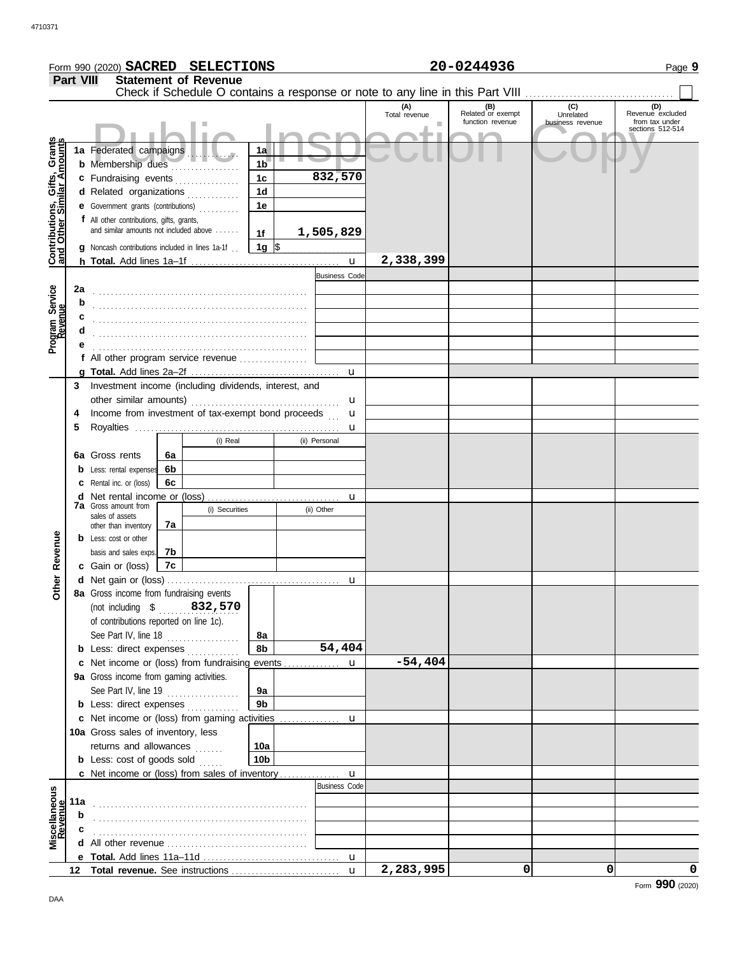|                                                           |                  | Form 990 (2020) SACRED SELECTIONS                       |    |                             |                 |  |                      |                      | 20-0244936               |                                                                               | Page 9                             |
|-----------------------------------------------------------|------------------|---------------------------------------------------------|----|-----------------------------|-----------------|--|----------------------|----------------------|--------------------------|-------------------------------------------------------------------------------|------------------------------------|
|                                                           | <b>Part VIII</b> |                                                         |    | <b>Statement of Revenue</b> |                 |  |                      |                      |                          |                                                                               |                                    |
|                                                           |                  |                                                         |    |                             |                 |  |                      |                      |                          | Check if Schedule O contains a response or note to any line in this Part VIII |                                    |
|                                                           |                  |                                                         |    |                             |                 |  |                      | (A)<br>Total revenue | (B)<br>Related or exempt | (C)<br>Unrelated                                                              | (D)<br>Revenue excluded            |
|                                                           |                  |                                                         |    |                             |                 |  |                      |                      | function revenue         | business revenue                                                              | from tax under<br>sections 512-514 |
|                                                           |                  |                                                         |    |                             |                 |  |                      |                      |                          |                                                                               |                                    |
|                                                           |                  | 1a Federated campaigns                                  |    |                             | 1a              |  |                      |                      |                          |                                                                               |                                    |
|                                                           |                  | b Membership dues                                       |    |                             | 1 <sub>b</sub>  |  |                      |                      |                          |                                                                               |                                    |
| Contributions, Gifts, Grants<br>and Other Similar Amounts |                  | c Fundraising events                                    |    |                             | 1 <sub>c</sub>  |  | 832,570              |                      |                          |                                                                               |                                    |
|                                                           |                  | d Related organizations                                 |    | .                           | 1 <sub>d</sub>  |  |                      |                      |                          |                                                                               |                                    |
|                                                           |                  | e Government grants (contributions)                     |    |                             | 1e              |  |                      |                      |                          |                                                                               |                                    |
|                                                           |                  | f All other contributions, gifts, grants,               |    |                             |                 |  |                      |                      |                          |                                                                               |                                    |
|                                                           |                  | and similar amounts not included above<br>1f            |    |                             |                 |  | 1,505,829            |                      |                          |                                                                               |                                    |
|                                                           |                  | <b>g</b> Noncash contributions included in lines 1a-1f. |    |                             | 1g  \$          |  |                      |                      |                          |                                                                               |                                    |
|                                                           | $\mathbf{u}$     |                                                         |    |                             |                 |  |                      | 2,338,399            |                          |                                                                               |                                    |
|                                                           |                  |                                                         |    |                             |                 |  | <b>Business Code</b> |                      |                          |                                                                               |                                    |
|                                                           | 2a               |                                                         |    |                             |                 |  |                      |                      |                          |                                                                               |                                    |
|                                                           | b                |                                                         |    |                             |                 |  |                      |                      |                          |                                                                               |                                    |
|                                                           |                  |                                                         |    |                             |                 |  |                      |                      |                          |                                                                               |                                    |
|                                                           | d                |                                                         |    |                             |                 |  |                      |                      |                          |                                                                               |                                    |
| Program Service<br>Revenue                                |                  |                                                         |    |                             |                 |  |                      |                      |                          |                                                                               |                                    |
|                                                           |                  | f All other program service revenue                     |    |                             |                 |  |                      |                      |                          |                                                                               |                                    |
|                                                           |                  |                                                         |    |                             |                 |  | $\mathbf u$          |                      |                          |                                                                               |                                    |
|                                                           | 3                | Investment income (including dividends, interest, and   |    |                             |                 |  |                      |                      |                          |                                                                               |                                    |
|                                                           |                  |                                                         |    |                             |                 |  | u                    |                      |                          |                                                                               |                                    |
|                                                           | 4                | Income from investment of tax-exempt bond proceeds      |    |                             |                 |  | u                    |                      |                          |                                                                               |                                    |
|                                                           | 5                |                                                         |    |                             |                 |  | u                    |                      |                          |                                                                               |                                    |
|                                                           |                  |                                                         |    | (i) Real                    |                 |  | (ii) Personal        |                      |                          |                                                                               |                                    |
|                                                           |                  | 6a Gross rents                                          | 6a |                             |                 |  |                      |                      |                          |                                                                               |                                    |
|                                                           |                  | <b>b</b> Less: rental expenses                          | 6b |                             |                 |  |                      |                      |                          |                                                                               |                                    |
|                                                           |                  | <b>c</b> Rental inc. or (loss)                          | 6c |                             |                 |  |                      |                      |                          |                                                                               |                                    |
|                                                           |                  |                                                         |    |                             |                 |  | u                    |                      |                          |                                                                               |                                    |
|                                                           |                  | <b>7a</b> Gross amount from<br>sales of assets          |    | (i) Securities              |                 |  | (ii) Other           |                      |                          |                                                                               |                                    |
|                                                           |                  | other than inventory                                    | 7a |                             |                 |  |                      |                      |                          |                                                                               |                                    |
| Revenue                                                   |                  | <b>b</b> Less: cost or other                            |    |                             |                 |  |                      |                      |                          |                                                                               |                                    |
|                                                           |                  | basis and sales exps.                                   | 7b |                             |                 |  |                      |                      |                          |                                                                               |                                    |
|                                                           |                  | c Gain or (loss)                                        | 7c |                             |                 |  |                      |                      |                          |                                                                               |                                    |
|                                                           |                  | d Net gain or (loss)                                    |    |                             |                 |  |                      |                      |                          |                                                                               |                                    |
| $\tilde{\vec{a}}$                                         |                  | 8a Gross income from fundraising events                 |    |                             |                 |  |                      |                      |                          |                                                                               |                                    |
|                                                           |                  | (not including \$832,570)                               |    |                             |                 |  |                      |                      |                          |                                                                               |                                    |
|                                                           |                  | of contributions reported on line 1c).                  |    |                             |                 |  |                      |                      |                          |                                                                               |                                    |
|                                                           |                  | See Part IV, line 18                                    |    |                             | 8а              |  |                      |                      |                          |                                                                               |                                    |
|                                                           |                  | <b>b</b> Less: direct expenses                          |    |                             | 8b              |  | 54,404               |                      |                          |                                                                               |                                    |
|                                                           |                  |                                                         |    |                             |                 |  |                      | $-54,404$            |                          |                                                                               |                                    |
|                                                           |                  | 9a Gross income from gaming activities.                 |    |                             |                 |  |                      |                      |                          |                                                                               |                                    |
|                                                           |                  | See Part IV, line 19                                    |    |                             | 9a              |  |                      |                      |                          |                                                                               |                                    |
|                                                           |                  | <b>b</b> Less: direct expenses                          |    |                             | 9 <sub>b</sub>  |  |                      |                      |                          |                                                                               |                                    |
|                                                           |                  |                                                         |    |                             |                 |  |                      |                      |                          |                                                                               |                                    |
|                                                           |                  | 10a Gross sales of inventory, less                      |    |                             |                 |  |                      |                      |                          |                                                                               |                                    |
|                                                           |                  | returns and allowances                                  |    |                             | 10a             |  |                      |                      |                          |                                                                               |                                    |
|                                                           |                  | <b>b</b> Less: cost of goods sold                       |    |                             | 10 <sub>b</sub> |  |                      |                      |                          |                                                                               |                                    |
|                                                           |                  | c Net income or (loss) from sales of inventory          |    |                             |                 |  | $\mathbf{u}$         |                      |                          |                                                                               |                                    |
|                                                           |                  |                                                         |    |                             |                 |  | <b>Business Code</b> |                      |                          |                                                                               |                                    |
|                                                           | 11a              |                                                         |    |                             |                 |  |                      |                      |                          |                                                                               |                                    |
|                                                           | b                |                                                         |    |                             |                 |  |                      |                      |                          |                                                                               |                                    |
| Miscellaneous<br>Revenue                                  |                  |                                                         |    |                             |                 |  |                      |                      |                          |                                                                               |                                    |
|                                                           | d                |                                                         |    |                             |                 |  |                      |                      |                          |                                                                               |                                    |
|                                                           |                  |                                                         |    |                             |                 |  | $\mathbf{u}$         |                      |                          |                                                                               |                                    |
|                                                           |                  |                                                         |    |                             |                 |  | $\mathbf{u}$         | 2,283,995            | $\Omega$                 | 0                                                                             | 0                                  |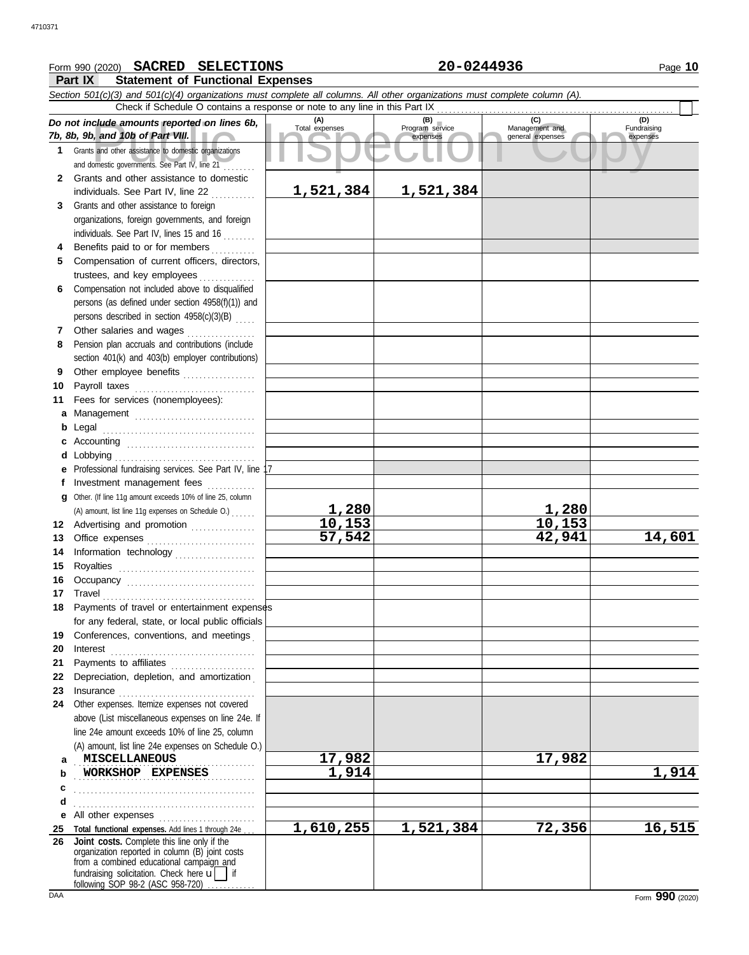|              | Part IX<br><b>Statement of Functional Expenses</b>                                                                                                                                                                             |                        |                                    |                                           |                                |
|--------------|--------------------------------------------------------------------------------------------------------------------------------------------------------------------------------------------------------------------------------|------------------------|------------------------------------|-------------------------------------------|--------------------------------|
|              | Section 501(c)(3) and 501(c)(4) organizations must complete all columns. All other organizations must complete column (A).                                                                                                     |                        |                                    |                                           |                                |
|              | Check if Schedule O contains a response or note to any line in this Part IX                                                                                                                                                    |                        |                                    |                                           |                                |
|              | Do not include amounts reported on lines 6b,<br>7b, 8b, 9b, and 10b of Part VIII.                                                                                                                                              | (A)<br>Total expenses  | (B)<br>Program service<br>expenses | (C)<br>Management and<br>general expenses | (D)<br>Fundraising<br>expenses |
| 1.           | Grants and other assistance to domestic organizations<br>and domestic governments. See Part IV, line 21                                                                                                                        |                        |                                    |                                           |                                |
| $\mathbf{2}$ | Grants and other assistance to domestic                                                                                                                                                                                        |                        |                                    |                                           |                                |
|              | individuals. See Part IV, line 22                                                                                                                                                                                              | 1,521,384              | 1,521,384                          |                                           |                                |
| 3            | Grants and other assistance to foreign                                                                                                                                                                                         |                        |                                    |                                           |                                |
|              | organizations, foreign governments, and foreign                                                                                                                                                                                |                        |                                    |                                           |                                |
|              | individuals. See Part IV, lines 15 and 16                                                                                                                                                                                      |                        |                                    |                                           |                                |
| 4            | Benefits paid to or for members                                                                                                                                                                                                |                        |                                    |                                           |                                |
| 5            | Compensation of current officers, directors,                                                                                                                                                                                   |                        |                                    |                                           |                                |
|              | trustees, and key employees                                                                                                                                                                                                    |                        |                                    |                                           |                                |
| 6            | Compensation not included above to disqualified                                                                                                                                                                                |                        |                                    |                                           |                                |
|              | persons (as defined under section 4958(f)(1)) and                                                                                                                                                                              |                        |                                    |                                           |                                |
|              | persons described in section 4958(c)(3)(B)                                                                                                                                                                                     |                        |                                    |                                           |                                |
| 7            | Other salaries and wages                                                                                                                                                                                                       |                        |                                    |                                           |                                |
| 8            | Pension plan accruals and contributions (include                                                                                                                                                                               |                        |                                    |                                           |                                |
|              | section 401(k) and 403(b) employer contributions)                                                                                                                                                                              |                        |                                    |                                           |                                |
| 9            | Other employee benefits                                                                                                                                                                                                        |                        |                                    |                                           |                                |
| 10           | Payroll taxes                                                                                                                                                                                                                  |                        |                                    |                                           |                                |
| 11           | Fees for services (nonemployees):                                                                                                                                                                                              |                        |                                    |                                           |                                |
| a            |                                                                                                                                                                                                                                |                        |                                    |                                           |                                |
| b            |                                                                                                                                                                                                                                |                        |                                    |                                           |                                |
| c            |                                                                                                                                                                                                                                |                        |                                    |                                           |                                |
| d            | Lobbying                                                                                                                                                                                                                       |                        |                                    |                                           |                                |
| е<br>f       | Professional fundraising services. See Part IV, line 17<br>Investment management fees                                                                                                                                          |                        |                                    |                                           |                                |
| g            | Other. (If line 11g amount exceeds 10% of line 25, column                                                                                                                                                                      |                        |                                    |                                           |                                |
|              | (A) amount, list line 11g expenses on Schedule O.)                                                                                                                                                                             |                        |                                    | <u>1,280</u>                              |                                |
| 12           | Advertising and promotion                                                                                                                                                                                                      | <u>1,280</u><br>10,153 |                                    | 10,153                                    |                                |
| 13           | Office expenses                                                                                                                                                                                                                | 57,542                 |                                    | 42,941                                    | 14,601                         |
| 14           | Information technology                                                                                                                                                                                                         |                        |                                    |                                           |                                |
| 15           | Royalties                                                                                                                                                                                                                      |                        |                                    |                                           |                                |
| 16           |                                                                                                                                                                                                                                |                        |                                    |                                           |                                |
|              | 17 Travel                                                                                                                                                                                                                      |                        |                                    |                                           |                                |
| 18           | Payments of travel or entertainment expenses                                                                                                                                                                                   |                        |                                    |                                           |                                |
|              | for any federal, state, or local public officials                                                                                                                                                                              |                        |                                    |                                           |                                |
| 19           | Conferences, conventions, and meetings                                                                                                                                                                                         |                        |                                    |                                           |                                |
| 20           | Interest                                                                                                                                                                                                                       |                        |                                    |                                           |                                |
| 21           | Payments to affiliates [11] production of the system of the system of the system of the system of the system of the system of the system of the system of the system of the system of the system of the system of the system o |                        |                                    |                                           |                                |
| 22           | Depreciation, depletion, and amortization                                                                                                                                                                                      |                        |                                    |                                           |                                |
| 23           |                                                                                                                                                                                                                                |                        |                                    |                                           |                                |
| 24           | Other expenses. Itemize expenses not covered                                                                                                                                                                                   |                        |                                    |                                           |                                |
|              | above (List miscellaneous expenses on line 24e. If                                                                                                                                                                             |                        |                                    |                                           |                                |
|              | line 24e amount exceeds 10% of line 25, column                                                                                                                                                                                 |                        |                                    |                                           |                                |
|              | (A) amount, list line 24e expenses on Schedule O.)                                                                                                                                                                             |                        |                                    |                                           |                                |
| а            | <b>MISCELLANEOUS</b>                                                                                                                                                                                                           | 17,982                 |                                    | 17,982                                    |                                |
| b            | WORKSHOP EXPENSES                                                                                                                                                                                                              | 1,914                  |                                    |                                           | 1,914                          |
| c            |                                                                                                                                                                                                                                |                        |                                    |                                           |                                |
| d            |                                                                                                                                                                                                                                |                        |                                    |                                           |                                |

Form 990 (2020) Page **10 SACRED SELECTIONS 20-0244936**

**1,610,255 1,521,384 72,356 16,515**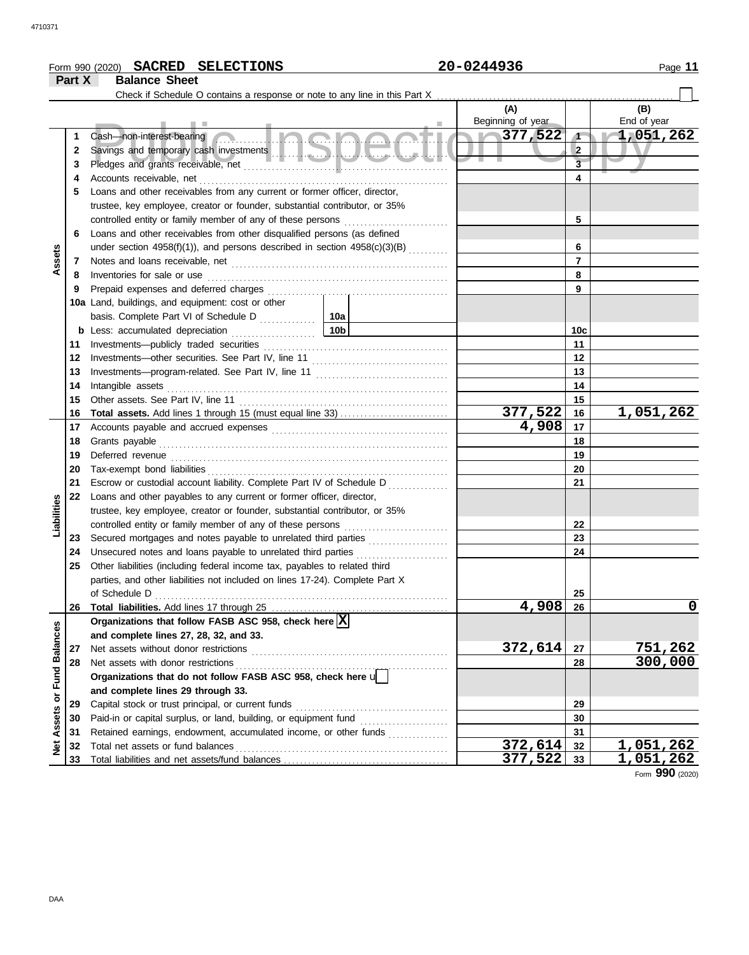|               |                      | Form 990 $(2020)$ <b>SACRED SELECTIONS</b> | 20-0244936 | Page 11    |
|---------------|----------------------|--------------------------------------------|------------|------------|
| <b>Part X</b> | <b>Balance Sheet</b> |                                            |            |            |
|               |                      |                                            |            |            |
|               |                      |                                            | 1.1        | $\sqrt{2}$ |

|                         | Part X<br><b>Balance Sheet</b> |                                                                              |                 |                   |                |                        |
|-------------------------|--------------------------------|------------------------------------------------------------------------------|-----------------|-------------------|----------------|------------------------|
|                         |                                | Check if Schedule O contains a response or note to any line in this Part X   |                 |                   |                |                        |
|                         |                                |                                                                              |                 | (A)               |                | (B)                    |
|                         |                                |                                                                              |                 | Beginning of year |                | End of year            |
|                         | 1                              | Cash—non-interest-bearing                                                    |                 | 377,522           | $\sqrt{2}$     | 1,051,262              |
|                         | 2                              |                                                                              |                 |                   | $\overline{2}$ |                        |
|                         | 3                              |                                                                              |                 |                   | $\overline{3}$ |                        |
|                         | 4                              | Accounts receivable, net                                                     |                 |                   | 4              |                        |
|                         | 5                              | Loans and other receivables from any current or former officer, director,    |                 |                   |                |                        |
|                         |                                | trustee, key employee, creator or founder, substantial contributor, or 35%   |                 |                   |                |                        |
|                         |                                | controlled entity or family member of any of these persons                   |                 |                   | 5              |                        |
|                         | 6                              | Loans and other receivables from other disqualified persons (as defined      |                 |                   |                |                        |
|                         |                                | under section 4958(f)(1)), and persons described in section $4958(c)(3)(B)$  |                 |                   | 6              |                        |
| Assets                  | 7                              |                                                                              |                 |                   | $\overline{7}$ |                        |
|                         | 8                              | Inventories for sale or use                                                  |                 |                   | 8              |                        |
|                         | 9                              | Prepaid expenses and deferred charges                                        |                 |                   | 9              |                        |
|                         |                                | 10a Land, buildings, and equipment: cost or other                            |                 |                   |                |                        |
|                         |                                |                                                                              | 10a             |                   |                |                        |
|                         | b                              | Less: accumulated depreciation<br>.                                          | 10 <sub>b</sub> |                   | 10c            |                        |
|                         | 11                             | Investments-publicly traded securities                                       |                 |                   | 11             |                        |
|                         | 12                             |                                                                              |                 |                   | 12             |                        |
|                         | 13                             |                                                                              |                 |                   | 13             |                        |
|                         | 14                             | Intangible assets                                                            |                 |                   | 14             |                        |
|                         | 15                             |                                                                              |                 |                   | 15             |                        |
|                         | 16                             |                                                                              |                 | 377,522           | 16             | 1,051,262              |
|                         | 17                             |                                                                              |                 | 4,908             | 17             |                        |
|                         | 18                             | Grants payable                                                               |                 |                   | 18             |                        |
|                         | 19                             | Deferred revenue                                                             |                 |                   | 19             |                        |
|                         | 20                             |                                                                              |                 |                   | 20             |                        |
|                         | 21                             | Escrow or custodial account liability. Complete Part IV of Schedule D        |                 |                   | 21             |                        |
|                         | 22                             | Loans and other payables to any current or former officer, director,         |                 |                   |                |                        |
|                         |                                | trustee, key employee, creator or founder, substantial contributor, or 35%   |                 |                   |                |                        |
| Liabilities             |                                | controlled entity or family member of any of these persons                   |                 |                   | 22             |                        |
|                         | 23                             | Secured mortgages and notes payable to unrelated third parties               |                 |                   | 23             |                        |
|                         | 24                             | Unsecured notes and loans payable to unrelated third parties                 | .               |                   | 24             |                        |
|                         | 25                             | Other liabilities (including federal income tax, payables to related third   |                 |                   |                |                        |
|                         |                                | parties, and other liabilities not included on lines 17-24). Complete Part X |                 |                   |                |                        |
|                         |                                | of Schedule D                                                                |                 | 4,908             | 25<br>26       | $\mathbf 0$            |
|                         | 26                             | Organizations that follow FASB ASC 958, check here $\boxed{\mathbf{X}}$      |                 |                   |                |                        |
|                         |                                | and complete lines 27, 28, 32, and 33.                                       |                 |                   |                |                        |
| Assets or Fund Balances | 27                             | Net assets without donor restrictions                                        |                 | 372,614           | 27             | 751,262                |
|                         | 28                             | Net assets with donor restrictions                                           |                 |                   | 28             | 300,000                |
|                         |                                | Organizations that do not follow FASB ASC 958, check here $\mathbf{u}$       |                 |                   |                |                        |
|                         |                                | and complete lines 29 through 33.                                            |                 |                   |                |                        |
|                         | 29                             | Capital stock or trust principal, or current funds                           |                 |                   | 29             |                        |
|                         | 30                             | Paid-in or capital surplus, or land, building, or equipment fund             |                 |                   | 30             |                        |
|                         | 31                             | Retained earnings, endowment, accumulated income, or other funds             |                 |                   | 31             |                        |
| <b>PA</b>               | 32                             | Total net assets or fund balances                                            |                 | 372,614           | 32             | $\overline{1,051,262}$ |
|                         | 33                             |                                                                              |                 | 377,522           | 33             | 1,051,262              |
|                         |                                |                                                                              |                 |                   |                |                        |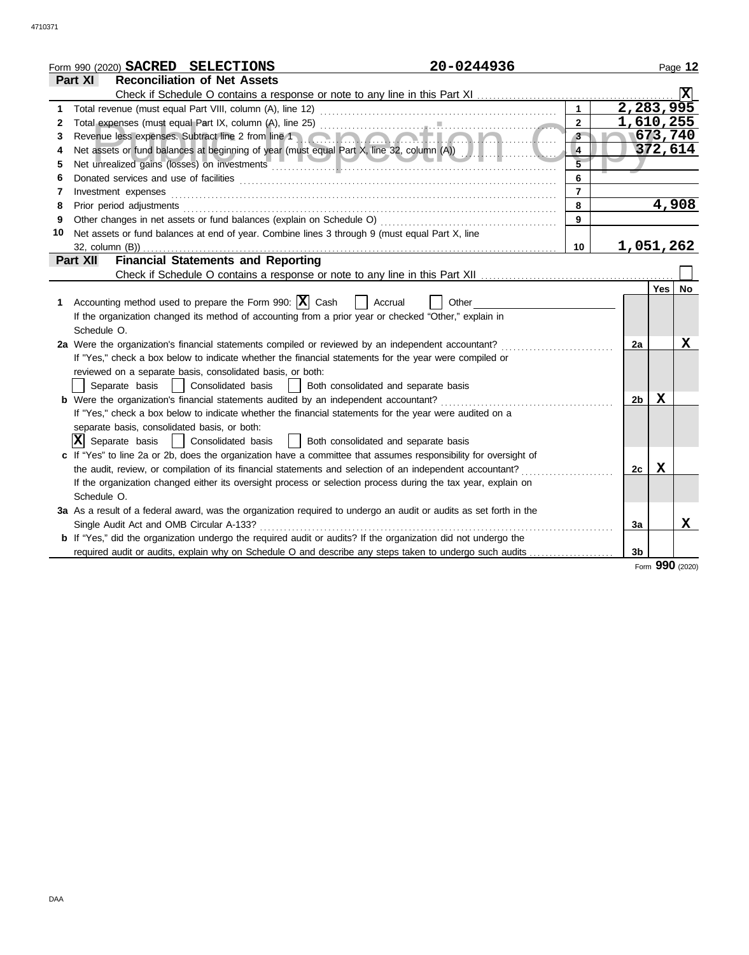| Part XI<br><b>Reconciliation of Net Assets</b><br>Check if Schedule O contains a response or note to any line in this Part XI<br>$\mathbf{1}$<br>1<br>$\overline{2}$<br>2<br>Revenue less expenses. Subtract line 2 from line 1<br>$3 -$<br>3<br>Net assets or fund balances at beginning of year (must equal Part X, line 32, column (A))<br>4<br>4<br>$\overline{5}$<br>Net unrealized gains (losses) on investments entertainments and all the contract of the contract of the contract of<br>5<br>6<br>Donated services and use of facilities [[11] matter contracts and the service of facilities [11] matter contracts and use of facilities [11] matter contracts and the service of facilities [11] matter contracts and the serv<br>6<br>$\overline{7}$<br>Investment expenses<br>7 | Page 12                 |
|----------------------------------------------------------------------------------------------------------------------------------------------------------------------------------------------------------------------------------------------------------------------------------------------------------------------------------------------------------------------------------------------------------------------------------------------------------------------------------------------------------------------------------------------------------------------------------------------------------------------------------------------------------------------------------------------------------------------------------------------------------------------------------------------|-------------------------|
|                                                                                                                                                                                                                                                                                                                                                                                                                                                                                                                                                                                                                                                                                                                                                                                              |                         |
|                                                                                                                                                                                                                                                                                                                                                                                                                                                                                                                                                                                                                                                                                                                                                                                              |                         |
|                                                                                                                                                                                                                                                                                                                                                                                                                                                                                                                                                                                                                                                                                                                                                                                              | 2,283,995               |
|                                                                                                                                                                                                                                                                                                                                                                                                                                                                                                                                                                                                                                                                                                                                                                                              | 1,610,255               |
|                                                                                                                                                                                                                                                                                                                                                                                                                                                                                                                                                                                                                                                                                                                                                                                              | 673,740                 |
|                                                                                                                                                                                                                                                                                                                                                                                                                                                                                                                                                                                                                                                                                                                                                                                              | 372,614                 |
|                                                                                                                                                                                                                                                                                                                                                                                                                                                                                                                                                                                                                                                                                                                                                                                              |                         |
|                                                                                                                                                                                                                                                                                                                                                                                                                                                                                                                                                                                                                                                                                                                                                                                              |                         |
|                                                                                                                                                                                                                                                                                                                                                                                                                                                                                                                                                                                                                                                                                                                                                                                              |                         |
| 8<br>Prior period adjustments<br>8                                                                                                                                                                                                                                                                                                                                                                                                                                                                                                                                                                                                                                                                                                                                                           | 4,908                   |
| Other changes in net assets or fund balances (explain on Schedule O)<br>9<br>9                                                                                                                                                                                                                                                                                                                                                                                                                                                                                                                                                                                                                                                                                                               |                         |
| Net assets or fund balances at end of year. Combine lines 3 through 9 (must equal Part X, line<br>10                                                                                                                                                                                                                                                                                                                                                                                                                                                                                                                                                                                                                                                                                         |                         |
| 10<br>32, column (B))                                                                                                                                                                                                                                                                                                                                                                                                                                                                                                                                                                                                                                                                                                                                                                        | 1,051,262               |
| <b>Financial Statements and Reporting</b><br>Part XII                                                                                                                                                                                                                                                                                                                                                                                                                                                                                                                                                                                                                                                                                                                                        |                         |
|                                                                                                                                                                                                                                                                                                                                                                                                                                                                                                                                                                                                                                                                                                                                                                                              |                         |
|                                                                                                                                                                                                                                                                                                                                                                                                                                                                                                                                                                                                                                                                                                                                                                                              | <b>Yes</b><br><b>No</b> |
| Accounting method used to prepare the Form 990: $ X $ Cash<br>Accrual<br>Other<br>1.                                                                                                                                                                                                                                                                                                                                                                                                                                                                                                                                                                                                                                                                                                         |                         |
| If the organization changed its method of accounting from a prior year or checked "Other," explain in                                                                                                                                                                                                                                                                                                                                                                                                                                                                                                                                                                                                                                                                                        |                         |
| Schedule O.                                                                                                                                                                                                                                                                                                                                                                                                                                                                                                                                                                                                                                                                                                                                                                                  |                         |
| 2a Were the organization's financial statements compiled or reviewed by an independent accountant?<br>2a                                                                                                                                                                                                                                                                                                                                                                                                                                                                                                                                                                                                                                                                                     | X                       |
| If "Yes," check a box below to indicate whether the financial statements for the year were compiled or                                                                                                                                                                                                                                                                                                                                                                                                                                                                                                                                                                                                                                                                                       |                         |
| reviewed on a separate basis, consolidated basis, or both:                                                                                                                                                                                                                                                                                                                                                                                                                                                                                                                                                                                                                                                                                                                                   |                         |
| Separate basis<br>Consolidated basis<br>Both consolidated and separate basis                                                                                                                                                                                                                                                                                                                                                                                                                                                                                                                                                                                                                                                                                                                 |                         |
| <b>b</b> Were the organization's financial statements audited by an independent accountant?<br>2 <sub>b</sub>                                                                                                                                                                                                                                                                                                                                                                                                                                                                                                                                                                                                                                                                                | x                       |
| If "Yes," check a box below to indicate whether the financial statements for the year were audited on a                                                                                                                                                                                                                                                                                                                                                                                                                                                                                                                                                                                                                                                                                      |                         |
| separate basis, consolidated basis, or both:                                                                                                                                                                                                                                                                                                                                                                                                                                                                                                                                                                                                                                                                                                                                                 |                         |
| $ X $ Separate basis<br>Consolidated basis<br>  Both consolidated and separate basis<br>$\mathbf{1}$                                                                                                                                                                                                                                                                                                                                                                                                                                                                                                                                                                                                                                                                                         |                         |
| c If "Yes" to line 2a or 2b, does the organization have a committee that assumes responsibility for oversight of                                                                                                                                                                                                                                                                                                                                                                                                                                                                                                                                                                                                                                                                             |                         |
| the audit, review, or compilation of its financial statements and selection of an independent accountant?<br>2с                                                                                                                                                                                                                                                                                                                                                                                                                                                                                                                                                                                                                                                                              | X                       |
| If the organization changed either its oversight process or selection process during the tax year, explain on                                                                                                                                                                                                                                                                                                                                                                                                                                                                                                                                                                                                                                                                                |                         |
| Schedule O.                                                                                                                                                                                                                                                                                                                                                                                                                                                                                                                                                                                                                                                                                                                                                                                  |                         |
| 3a As a result of a federal award, was the organization required to undergo an audit or audits as set forth in the                                                                                                                                                                                                                                                                                                                                                                                                                                                                                                                                                                                                                                                                           |                         |
| Single Audit Act and OMB Circular A-133?<br>3a                                                                                                                                                                                                                                                                                                                                                                                                                                                                                                                                                                                                                                                                                                                                               | X                       |
| b If "Yes," did the organization undergo the required audit or audits? If the organization did not undergo the                                                                                                                                                                                                                                                                                                                                                                                                                                                                                                                                                                                                                                                                               |                         |
| 3 <sub>b</sub><br>required audit or audits, explain why on Schedule O and describe any steps taken to undergo such audits                                                                                                                                                                                                                                                                                                                                                                                                                                                                                                                                                                                                                                                                    |                         |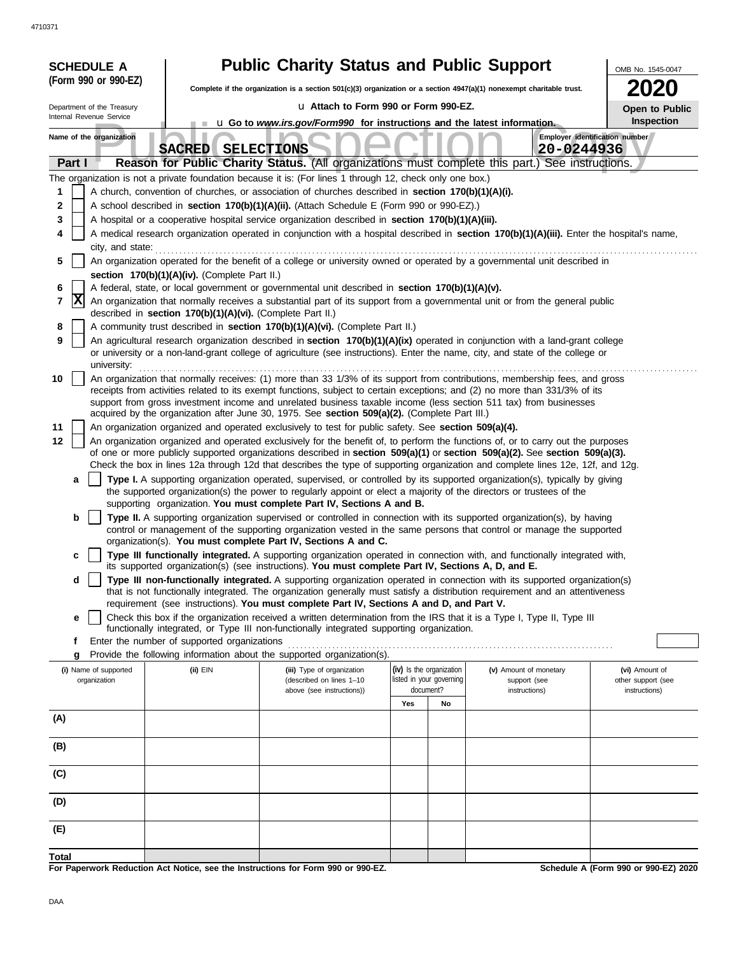| <b>SCHEDULE A</b>          |                                                                                                                                                                                                      | <b>Public Charity Status and Public Support</b>                                                                                                                                                                                                                 |                                       |                                       |                               |  | OMB No. 1545-0047                   |
|----------------------------|------------------------------------------------------------------------------------------------------------------------------------------------------------------------------------------------------|-----------------------------------------------------------------------------------------------------------------------------------------------------------------------------------------------------------------------------------------------------------------|---------------------------------------|---------------------------------------|-------------------------------|--|-------------------------------------|
| (Form 990 or 990-EZ)       |                                                                                                                                                                                                      | Complete if the organization is a section $501(c)(3)$ organization or a section $4947(a)(1)$ nonexempt charitable trust.                                                                                                                                        |                                       |                                       |                               |  |                                     |
| Department of the Treasury |                                                                                                                                                                                                      |                                                                                                                                                                                                                                                                 | La Attach to Form 990 or Form 990-EZ. |                                       |                               |  | Open to Public                      |
| Internal Revenue Service   |                                                                                                                                                                                                      | <b>u</b> Go to <i>www.irs.gov/Form990</i> for instructions and the latest information.                                                                                                                                                                          |                                       |                                       |                               |  | Inspection                          |
| Name of the organization   | Employer identification number<br><b>SELECTIONS</b><br>20-0244936<br><b>SACRED</b>                                                                                                                   |                                                                                                                                                                                                                                                                 |                                       |                                       |                               |  |                                     |
| Part I                     |                                                                                                                                                                                                      | Reason for Public Charity Status. (All organizations must complete this part.) See instructions.                                                                                                                                                                |                                       |                                       |                               |  |                                     |
|                            |                                                                                                                                                                                                      | The organization is not a private foundation because it is: (For lines 1 through 12, check only one box.)                                                                                                                                                       |                                       |                                       |                               |  |                                     |
| 2                          | A church, convention of churches, or association of churches described in section 170(b)(1)(A)(i).<br>1<br>A school described in section 170(b)(1)(A)(ii). (Attach Schedule E (Form 990 or 990-EZ).) |                                                                                                                                                                                                                                                                 |                                       |                                       |                               |  |                                     |
| 3                          |                                                                                                                                                                                                      | A hospital or a cooperative hospital service organization described in section 170(b)(1)(A)(iii).                                                                                                                                                               |                                       |                                       |                               |  |                                     |
| 4                          |                                                                                                                                                                                                      | A medical research organization operated in conjunction with a hospital described in section 170(b)(1)(A)(iii). Enter the hospital's name,                                                                                                                      |                                       |                                       |                               |  |                                     |
| city, and state:           |                                                                                                                                                                                                      |                                                                                                                                                                                                                                                                 |                                       |                                       |                               |  |                                     |
| 5                          |                                                                                                                                                                                                      | An organization operated for the benefit of a college or university owned or operated by a governmental unit described in                                                                                                                                       |                                       |                                       |                               |  |                                     |
| 6                          | section 170(b)(1)(A)(iv). (Complete Part II.)                                                                                                                                                        | A federal, state, or local government or governmental unit described in section 170(b)(1)(A)(v).                                                                                                                                                                |                                       |                                       |                               |  |                                     |
| X<br>7                     |                                                                                                                                                                                                      | An organization that normally receives a substantial part of its support from a governmental unit or from the general public                                                                                                                                    |                                       |                                       |                               |  |                                     |
|                            | described in section 170(b)(1)(A)(vi). (Complete Part II.)                                                                                                                                           |                                                                                                                                                                                                                                                                 |                                       |                                       |                               |  |                                     |
| 8<br>9                     |                                                                                                                                                                                                      | A community trust described in section 170(b)(1)(A)(vi). (Complete Part II.)<br>An agricultural research organization described in section 170(b)(1)(A)(ix) operated in conjunction with a land-grant college                                                   |                                       |                                       |                               |  |                                     |
| university:                |                                                                                                                                                                                                      | or university or a non-land-grant college of agriculture (see instructions). Enter the name, city, and state of the college or                                                                                                                                  |                                       |                                       |                               |  |                                     |
| 10                         |                                                                                                                                                                                                      | An organization that normally receives: (1) more than 33 1/3% of its support from contributions, membership fees, and gross                                                                                                                                     |                                       |                                       |                               |  |                                     |
|                            |                                                                                                                                                                                                      | receipts from activities related to its exempt functions, subject to certain exceptions; and (2) no more than 331/3% of its<br>support from gross investment income and unrelated business taxable income (less section 511 tax) from businesses                |                                       |                                       |                               |  |                                     |
|                            |                                                                                                                                                                                                      | acquired by the organization after June 30, 1975. See section 509(a)(2). (Complete Part III.)                                                                                                                                                                   |                                       |                                       |                               |  |                                     |
| 11                         |                                                                                                                                                                                                      | An organization organized and operated exclusively to test for public safety. See section 509(a)(4).                                                                                                                                                            |                                       |                                       |                               |  |                                     |
| 12                         |                                                                                                                                                                                                      | An organization organized and operated exclusively for the benefit of, to perform the functions of, or to carry out the purposes<br>of one or more publicly supported organizations described in section 509(a)(1) or section 509(a)(2). See section 509(a)(3). |                                       |                                       |                               |  |                                     |
|                            |                                                                                                                                                                                                      | Check the box in lines 12a through 12d that describes the type of supporting organization and complete lines 12e, 12f, and 12g.                                                                                                                                 |                                       |                                       |                               |  |                                     |
| a                          |                                                                                                                                                                                                      | Type I. A supporting organization operated, supervised, or controlled by its supported organization(s), typically by giving                                                                                                                                     |                                       |                                       |                               |  |                                     |
|                            |                                                                                                                                                                                                      | the supported organization(s) the power to regularly appoint or elect a majority of the directors or trustees of the<br>supporting organization. You must complete Part IV, Sections A and B.                                                                   |                                       |                                       |                               |  |                                     |
| b                          |                                                                                                                                                                                                      | Type II. A supporting organization supervised or controlled in connection with its supported organization(s), by having                                                                                                                                         |                                       |                                       |                               |  |                                     |
|                            |                                                                                                                                                                                                      | control or management of the supporting organization vested in the same persons that control or manage the supported                                                                                                                                            |                                       |                                       |                               |  |                                     |
|                            |                                                                                                                                                                                                      | organization(s). You must complete Part IV, Sections A and C.<br>Type III functionally integrated. A supporting organization operated in connection with, and functionally integrated with,                                                                     |                                       |                                       |                               |  |                                     |
| c                          |                                                                                                                                                                                                      | its supported organization(s) (see instructions). You must complete Part IV, Sections A, D, and E.                                                                                                                                                              |                                       |                                       |                               |  |                                     |
| d                          |                                                                                                                                                                                                      | Type III non-functionally integrated. A supporting organization operated in connection with its supported organization(s)                                                                                                                                       |                                       |                                       |                               |  |                                     |
|                            |                                                                                                                                                                                                      | that is not functionally integrated. The organization generally must satisfy a distribution requirement and an attentiveness<br>requirement (see instructions). You must complete Part IV, Sections A and D, and Part V.                                        |                                       |                                       |                               |  |                                     |
| е                          |                                                                                                                                                                                                      | Check this box if the organization received a written determination from the IRS that it is a Type I, Type II, Type III                                                                                                                                         |                                       |                                       |                               |  |                                     |
|                            |                                                                                                                                                                                                      | functionally integrated, or Type III non-functionally integrated supporting organization.                                                                                                                                                                       |                                       |                                       |                               |  |                                     |
| f<br>g                     | Enter the number of supported organizations                                                                                                                                                          | Provide the following information about the supported organization(s).                                                                                                                                                                                          |                                       |                                       |                               |  |                                     |
| (i) Name of supported      | (ii) EIN                                                                                                                                                                                             | (iii) Type of organization                                                                                                                                                                                                                                      |                                       | (iv) Is the organization              | (v) Amount of monetary        |  | (vi) Amount of                      |
| organization               |                                                                                                                                                                                                      | (described on lines 1-10<br>above (see instructions))                                                                                                                                                                                                           |                                       | listed in your governing<br>document? | support (see<br>instructions) |  | other support (see<br>instructions) |
|                            |                                                                                                                                                                                                      |                                                                                                                                                                                                                                                                 | Yes                                   | No                                    |                               |  |                                     |
| (A)                        |                                                                                                                                                                                                      |                                                                                                                                                                                                                                                                 |                                       |                                       |                               |  |                                     |
|                            |                                                                                                                                                                                                      |                                                                                                                                                                                                                                                                 |                                       |                                       |                               |  |                                     |
| (B)                        |                                                                                                                                                                                                      |                                                                                                                                                                                                                                                                 |                                       |                                       |                               |  |                                     |
| (C)                        |                                                                                                                                                                                                      |                                                                                                                                                                                                                                                                 |                                       |                                       |                               |  |                                     |
|                            |                                                                                                                                                                                                      |                                                                                                                                                                                                                                                                 |                                       |                                       |                               |  |                                     |
| (D)                        |                                                                                                                                                                                                      |                                                                                                                                                                                                                                                                 |                                       |                                       |                               |  |                                     |
| (E)                        |                                                                                                                                                                                                      |                                                                                                                                                                                                                                                                 |                                       |                                       |                               |  |                                     |
| Total                      |                                                                                                                                                                                                      |                                                                                                                                                                                                                                                                 |                                       |                                       |                               |  |                                     |

**For Paperwork Reduction Act Notice, see the Instructions for Form 990 or 990-EZ.**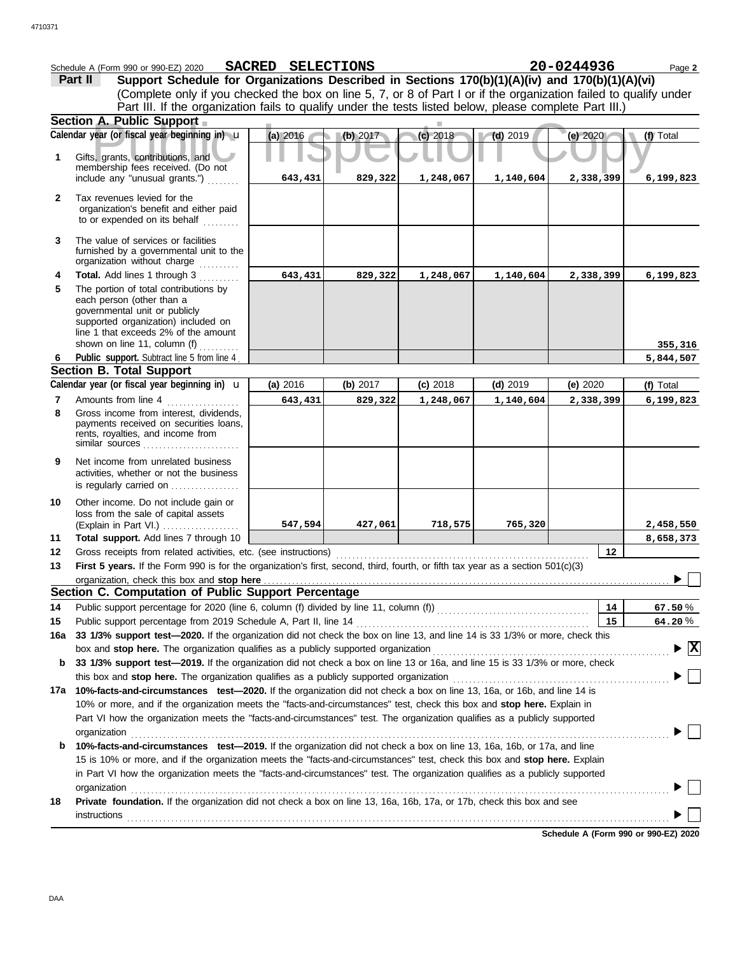|              | Schedule A (Form 990 or 990-EZ) 2020                                                                                            | SACRED SELECTIONS |          |            |            | 20-0244936 | Page 2                             |
|--------------|---------------------------------------------------------------------------------------------------------------------------------|-------------------|----------|------------|------------|------------|------------------------------------|
|              | Support Schedule for Organizations Described in Sections 170(b)(1)(A)(iv) and 170(b)(1)(A)(vi)<br>Part II                       |                   |          |            |            |            |                                    |
|              | (Complete only if you checked the box on line 5, 7, or 8 of Part I or if the organization failed to qualify under               |                   |          |            |            |            |                                    |
|              | Part III. If the organization fails to qualify under the tests listed below, please complete Part III.)                         |                   |          |            |            |            |                                    |
|              | Section A. Public Support                                                                                                       |                   |          |            |            |            |                                    |
|              | Calendar year (or fiscal year beginning in) u                                                                                   | (a) 2016          | (b) 2017 | (c) 2018   | $(d)$ 2019 | (e) 2020   | (f) Total                          |
|              |                                                                                                                                 |                   |          |            |            |            |                                    |
| 1            | Gifts, grants, contributions, and                                                                                               |                   |          |            |            |            |                                    |
|              | membership fees received. (Do not                                                                                               |                   |          |            |            |            |                                    |
|              | include any "unusual grants.")                                                                                                  | 643,431           | 829,322  | 1,248,067  | 1,140,604  | 2,338,399  | 6,199,823                          |
| $\mathbf{2}$ | Tax revenues levied for the                                                                                                     |                   |          |            |            |            |                                    |
|              | organization's benefit and either paid                                                                                          |                   |          |            |            |            |                                    |
|              | to or expended on its behalf                                                                                                    |                   |          |            |            |            |                                    |
| 3            | The value of services or facilities                                                                                             |                   |          |            |            |            |                                    |
|              | furnished by a governmental unit to the                                                                                         |                   |          |            |            |            |                                    |
|              | organization without charge                                                                                                     |                   |          |            |            |            |                                    |
| 4            | Total. Add lines 1 through 3                                                                                                    | 643,431           | 829,322  | 1,248,067  | 1,140,604  | 2,338,399  | 6,199,823                          |
| 5            | The portion of total contributions by                                                                                           |                   |          |            |            |            |                                    |
|              | each person (other than a<br>governmental unit or publicly                                                                      |                   |          |            |            |            |                                    |
|              | supported organization) included on                                                                                             |                   |          |            |            |            |                                    |
|              | line 1 that exceeds 2% of the amount                                                                                            |                   |          |            |            |            |                                    |
|              | shown on line 11, column (f)                                                                                                    |                   |          |            |            |            | 355,316                            |
| 6            | Public support. Subtract line 5 from line 4                                                                                     |                   |          |            |            |            | 5,844,507                          |
|              | <b>Section B. Total Support</b>                                                                                                 |                   |          |            |            |            |                                    |
|              | Calendar year (or fiscal year beginning in) <b>u</b>                                                                            | (a) 2016          | (b) 2017 | $(c)$ 2018 | $(d)$ 2019 | (e) $2020$ | (f) Total                          |
| 7            | Amounts from line 4                                                                                                             | 643,431           | 829,322  | 1,248,067  | 1,140,604  | 2,338,399  | 6,199,823                          |
| 8            | Gross income from interest, dividends,                                                                                          |                   |          |            |            |            |                                    |
|              | payments received on securities loans,<br>rents, royalties, and income from                                                     |                   |          |            |            |            |                                    |
|              | similar sources                                                                                                                 |                   |          |            |            |            |                                    |
| 9            | Net income from unrelated business                                                                                              |                   |          |            |            |            |                                    |
|              | activities, whether or not the business                                                                                         |                   |          |            |            |            |                                    |
|              | is regularly carried on                                                                                                         |                   |          |            |            |            |                                    |
| 10           | Other income. Do not include gain or                                                                                            |                   |          |            |            |            |                                    |
|              | loss from the sale of capital assets                                                                                            |                   |          |            |            |            |                                    |
|              | (Explain in Part VI.)                                                                                                           | 547,594           | 427,061  | 718,575    | 765,320    |            | 2,458,550                          |
| 11           | Total support. Add lines 7 through 10                                                                                           |                   |          |            |            |            | 8,658,373                          |
| 12           | Gross receipts from related activities, etc. (see instructions)                                                                 |                   |          |            |            | $12 \,$    |                                    |
| 13           | First 5 years. If the Form 990 is for the organization's first, second, third, fourth, or fifth tax year as a section 501(c)(3) |                   |          |            |            |            |                                    |
|              | organization, check this box and stop here <b>construction and construction</b> construction and a construction of the          |                   |          |            |            |            |                                    |
|              | Section C. Computation of Public Support Percentage                                                                             |                   |          |            |            |            |                                    |
| 14           |                                                                                                                                 |                   |          |            |            | 14         | 67.50%                             |
| 15           |                                                                                                                                 |                   |          |            |            | 15         | 64.20%                             |
| 16a          | 33 1/3% support test-2020. If the organization did not check the box on line 13, and line 14 is 33 1/3% or more, check this     |                   |          |            |            |            |                                    |
|              |                                                                                                                                 |                   |          |            |            |            | $\blacktriangleright \overline{X}$ |
| b            | 33 1/3% support test-2019. If the organization did not check a box on line 13 or 16a, and line 15 is 33 1/3% or more, check     |                   |          |            |            |            |                                    |
|              |                                                                                                                                 |                   |          |            |            |            |                                    |
| 17а          | 10%-facts-and-circumstances test-2020. If the organization did not check a box on line 13, 16a, or 16b, and line 14 is          |                   |          |            |            |            |                                    |
|              | 10% or more, and if the organization meets the "facts-and-circumstances" test, check this box and stop here. Explain in         |                   |          |            |            |            |                                    |
|              | Part VI how the organization meets the "facts-and-circumstances" test. The organization qualifies as a publicly supported       |                   |          |            |            |            |                                    |
|              | organization                                                                                                                    |                   |          |            |            |            |                                    |
| b            | 10%-facts-and-circumstances test-2019. If the organization did not check a box on line 13, 16a, 16b, or 17a, and line           |                   |          |            |            |            |                                    |
|              | 15 is 10% or more, and if the organization meets the "facts-and-circumstances" test, check this box and stop here. Explain      |                   |          |            |            |            |                                    |
|              | in Part VI how the organization meets the "facts-and-circumstances" test. The organization qualifies as a publicly supported    |                   |          |            |            |            |                                    |
|              | organization www.commutation.com/www.commutation.com/www.commutation.com/www.commutation.com/www.commutation.com                |                   |          |            |            |            |                                    |
| 18           | Private foundation. If the organization did not check a box on line 13, 16a, 16b, 17a, or 17b, check this box and see           |                   |          |            |            |            |                                    |
|              |                                                                                                                                 |                   |          |            |            |            |                                    |
|              |                                                                                                                                 |                   |          |            |            |            |                                    |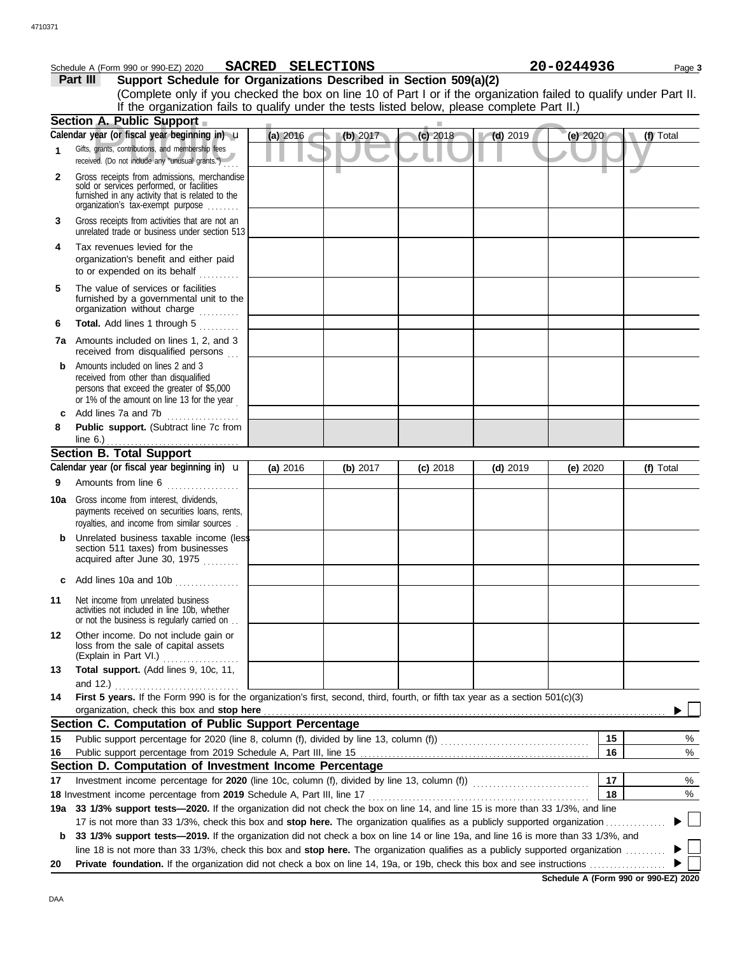| Schedule A (Form 990 or 990-EZ) 2020 | <b>SACRED</b> | <b>SELECTIONS</b> | 20-0244936 | Page ? |
|--------------------------------------|---------------|-------------------|------------|--------|
|                                      |               |                   |            |        |

| Part III | Support Schedule for Organizations Described in Section 509(a)(2)                                                  |
|----------|--------------------------------------------------------------------------------------------------------------------|
|          | (Complete only if you checked the box on line 10 of Part I or if the organization failed to qualify under Part II. |
|          | If the organization fails to qualify under the tests listed below, please complete Part II.)                       |

|              | Section A. Public Support                                                                                                                                                                                                                                        |          |          |            |            |          |    |           |
|--------------|------------------------------------------------------------------------------------------------------------------------------------------------------------------------------------------------------------------------------------------------------------------|----------|----------|------------|------------|----------|----|-----------|
|              | Calendar year (or fiscal year beginning in) u                                                                                                                                                                                                                    | (a) 2016 | (b) 2017 | $(c)$ 2018 | $(d)$ 2019 | (e) 2020 |    | (f) Total |
| 1            | Gifts, grants, contributions, and membership fees<br>received. (Do not include any "unusual grants.")                                                                                                                                                            |          |          |            |            |          |    |           |
| $\mathbf{2}$ | Gross receipts from admissions, merchandise<br>sold or services performed, or facilities<br>furnished in any activity that is related to the<br>organization's tax-exempt purpose                                                                                |          |          |            |            |          |    |           |
| 3            | Gross receipts from activities that are not an<br>unrelated trade or business under section 513                                                                                                                                                                  |          |          |            |            |          |    |           |
| 4            | Tax revenues levied for the<br>organization's benefit and either paid<br>to or expended on its behalf                                                                                                                                                            |          |          |            |            |          |    |           |
| 5            | The value of services or facilities<br>furnished by a governmental unit to the<br>organization without charge<br>.                                                                                                                                               |          |          |            |            |          |    |           |
| 6            | Total. Add lines 1 through 5                                                                                                                                                                                                                                     |          |          |            |            |          |    |           |
|              | <b>7a</b> Amounts included on lines 1, 2, and 3<br>received from disqualified persons                                                                                                                                                                            |          |          |            |            |          |    |           |
| b            | Amounts included on lines 2 and 3<br>received from other than disqualified<br>persons that exceed the greater of \$5,000<br>or 1% of the amount on line 13 for the year                                                                                          |          |          |            |            |          |    |           |
| c            | Add lines 7a and 7b<br>.                                                                                                                                                                                                                                         |          |          |            |            |          |    |           |
| 8            | Public support. (Subtract line 7c from                                                                                                                                                                                                                           |          |          |            |            |          |    |           |
|              | line $6.$ )<br><b>Section B. Total Support</b>                                                                                                                                                                                                                   |          |          |            |            |          |    |           |
|              | Calendar year (or fiscal year beginning in) $\mathbf u$                                                                                                                                                                                                          |          |          |            |            |          |    |           |
|              |                                                                                                                                                                                                                                                                  | (a) 2016 | (b) 2017 | $(c)$ 2018 | $(d)$ 2019 | (e) 2020 |    | (f) Total |
| 9            | Amounts from line 6                                                                                                                                                                                                                                              |          |          |            |            |          |    |           |
| 10a          | Gross income from interest, dividends,<br>payments received on securities loans, rents,<br>royalties, and income from similar sources.                                                                                                                           |          |          |            |            |          |    |           |
|              | Unrelated business taxable income (less<br>section 511 taxes) from businesses<br>acquired after June 30, 1975                                                                                                                                                    |          |          |            |            |          |    |           |
| c            | Add lines 10a and 10b                                                                                                                                                                                                                                            |          |          |            |            |          |    |           |
| 11           | Net income from unrelated business<br>activities not included in line 10b, whether<br>or not the business is regularly carried on                                                                                                                                |          |          |            |            |          |    |           |
| 12           | Other income. Do not include gain or<br>loss from the sale of capital assets<br>(Explain in Part VI.)                                                                                                                                                            |          |          |            |            |          |    |           |
| 13           | Total support. (Add lines 9, 10c, 11,                                                                                                                                                                                                                            |          |          |            |            |          |    |           |
|              | and 12.)                                                                                                                                                                                                                                                         |          |          |            |            |          |    |           |
| 14           | First 5 years. If the Form 990 is for the organization's first, second, third, fourth, or fifth tax year as a section 501(c)(3)                                                                                                                                  |          |          |            |            |          |    |           |
|              | organization, check this box and stop here                                                                                                                                                                                                                       |          |          |            |            |          |    |           |
|              | Section C. Computation of Public Support Percentage                                                                                                                                                                                                              |          |          |            |            |          |    |           |
| 15           |                                                                                                                                                                                                                                                                  |          |          |            |            |          | 15 | %         |
| 16           |                                                                                                                                                                                                                                                                  |          |          |            |            |          | 16 | $\%$      |
|              | Section D. Computation of Investment Income Percentage                                                                                                                                                                                                           |          |          |            |            |          | 17 | %         |
| 17           |                                                                                                                                                                                                                                                                  |          |          |            |            |          |    |           |
|              | 18 Investment income percentage from 2019 Schedule A, Part III, line 17<br>19a 33 1/3% support tests-2020. If the organization did not check the box on line 14, and line 15 is more than 33 1/3%, and line                                                      |          |          |            |            |          | 18 | %         |
|              |                                                                                                                                                                                                                                                                  |          |          |            |            |          |    |           |
| b            | 17 is not more than 33 1/3%, check this box and stop here. The organization qualifies as a publicly supported organization.<br>33 1/3% support tests-2019. If the organization did not check a box on line 14 or line 19a, and line 16 is more than 33 1/3%, and |          |          |            |            |          |    |           |
|              | line 18 is not more than 33 1/3%, check this box and stop here. The organization qualifies as a publicly supported organization                                                                                                                                  |          |          |            |            |          |    |           |
| 20           |                                                                                                                                                                                                                                                                  |          |          |            |            |          |    |           |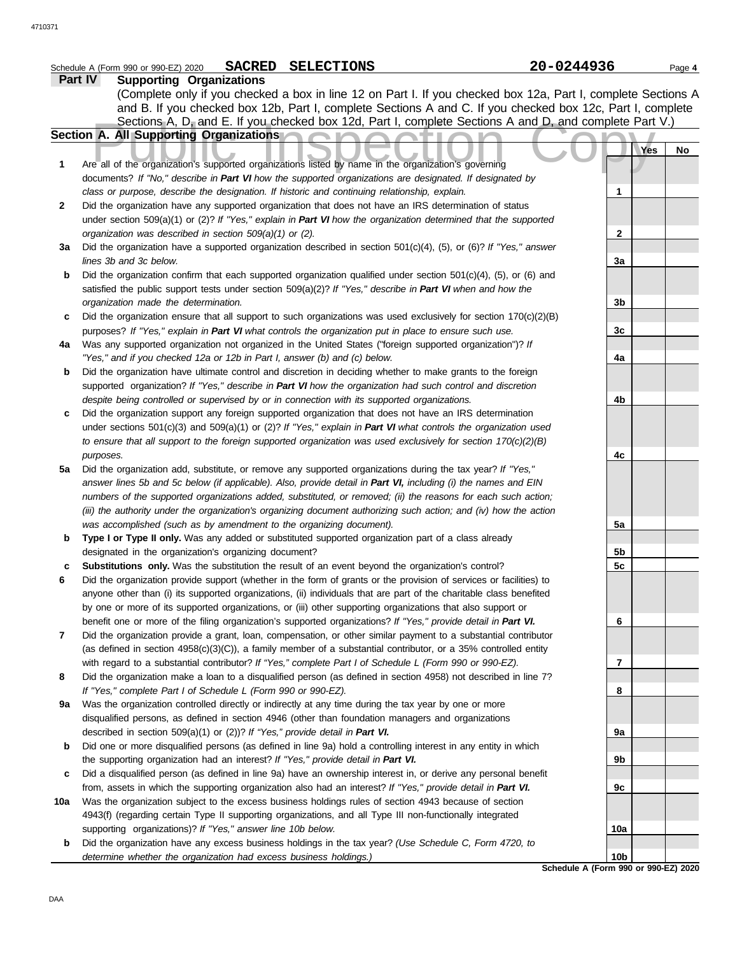|     | SACRED<br><b>SELECTIONS</b><br>Schedule A (Form 990 or 990-EZ) 2020                                                                                                                                                       | 20-0244936                           | Page 4    |
|-----|---------------------------------------------------------------------------------------------------------------------------------------------------------------------------------------------------------------------------|--------------------------------------|-----------|
|     | <b>Part IV</b><br><b>Supporting Organizations</b>                                                                                                                                                                         |                                      |           |
|     | (Complete only if you checked a box in line 12 on Part I. If you checked box 12a, Part I, complete Sections A                                                                                                             |                                      |           |
|     | and B. If you checked box 12b, Part I, complete Sections A and C. If you checked box 12c, Part I, complete                                                                                                                |                                      |           |
|     | Sections A, D, and E. If you checked box 12d, Part I, complete Sections A and D, and complete Part V.)                                                                                                                    |                                      |           |
|     | Section A. All Supporting Organizations                                                                                                                                                                                   |                                      |           |
| 1   | Are all of the organization's supported organizations listed by name in the organization's governing                                                                                                                      |                                      | Yes<br>No |
|     | documents? If "No," describe in Part VI how the supported organizations are designated. If designated by                                                                                                                  |                                      |           |
|     | class or purpose, describe the designation. If historic and continuing relationship, explain.                                                                                                                             | 1                                    |           |
| 2   | Did the organization have any supported organization that does not have an IRS determination of status<br>under section 509(a)(1) or (2)? If "Yes," explain in Part VI how the organization determined that the supported |                                      |           |
|     | organization was described in section 509(a)(1) or (2).                                                                                                                                                                   | $\mathbf{2}$                         |           |
| 3a  | Did the organization have a supported organization described in section 501(c)(4), (5), or (6)? If "Yes," answer                                                                                                          |                                      |           |
|     | lines 3b and 3c below.                                                                                                                                                                                                    | 3a                                   |           |
| b   | Did the organization confirm that each supported organization qualified under section $501(c)(4)$ , (5), or (6) and                                                                                                       |                                      |           |
|     | satisfied the public support tests under section 509(a)(2)? If "Yes," describe in Part VI when and how the                                                                                                                |                                      |           |
|     | organization made the determination.                                                                                                                                                                                      | 3b                                   |           |
| c   | Did the organization ensure that all support to such organizations was used exclusively for section $170(c)(2)(B)$                                                                                                        |                                      |           |
|     | purposes? If "Yes," explain in Part VI what controls the organization put in place to ensure such use.                                                                                                                    | 3c                                   |           |
| 4a  | Was any supported organization not organized in the United States ("foreign supported organization")? If                                                                                                                  |                                      |           |
|     | "Yes," and if you checked 12a or 12b in Part I, answer (b) and (c) below.                                                                                                                                                 | 4a                                   |           |
| b   | Did the organization have ultimate control and discretion in deciding whether to make grants to the foreign                                                                                                               |                                      |           |
|     | supported organization? If "Yes," describe in Part VI how the organization had such control and discretion                                                                                                                |                                      |           |
|     | despite being controlled or supervised by or in connection with its supported organizations.                                                                                                                              | 4b                                   |           |
| c   | Did the organization support any foreign supported organization that does not have an IRS determination                                                                                                                   |                                      |           |
|     | under sections $501(c)(3)$ and $509(a)(1)$ or (2)? If "Yes," explain in Part VI what controls the organization used                                                                                                       |                                      |           |
|     | to ensure that all support to the foreign supported organization was used exclusively for section $170(c)(2)(B)$                                                                                                          |                                      |           |
|     | purposes.                                                                                                                                                                                                                 | 4c                                   |           |
| 5a  | Did the organization add, substitute, or remove any supported organizations during the tax year? If "Yes,"                                                                                                                |                                      |           |
|     | answer lines 5b and 5c below (if applicable). Also, provide detail in Part VI, including (i) the names and EIN                                                                                                            |                                      |           |
|     | numbers of the supported organizations added, substituted, or removed; (ii) the reasons for each such action;                                                                                                             |                                      |           |
|     | (iii) the authority under the organization's organizing document authorizing such action; and (iv) how the action                                                                                                         |                                      |           |
| b   | was accomplished (such as by amendment to the organizing document).<br>Type I or Type II only. Was any added or substituted supported organization part of a class already                                                | 5a                                   |           |
|     | designated in the organization's organizing document?                                                                                                                                                                     | 5b                                   |           |
|     | Substitutions only. Was the substitution the result of an event beyond the organization's control?                                                                                                                        | 5c                                   |           |
| 6   | Did the organization provide support (whether in the form of grants or the provision of services or facilities) to                                                                                                        |                                      |           |
|     | anyone other than (i) its supported organizations, (ii) individuals that are part of the charitable class benefited                                                                                                       |                                      |           |
|     | by one or more of its supported organizations, or (iii) other supporting organizations that also support or                                                                                                               |                                      |           |
|     | benefit one or more of the filing organization's supported organizations? If "Yes," provide detail in Part VI.                                                                                                            | 6                                    |           |
| 7   | Did the organization provide a grant, loan, compensation, or other similar payment to a substantial contributor                                                                                                           |                                      |           |
|     | (as defined in section $4958(c)(3)(C)$ ), a family member of a substantial contributor, or a 35% controlled entity                                                                                                        |                                      |           |
|     | with regard to a substantial contributor? If "Yes," complete Part I of Schedule L (Form 990 or 990-EZ).                                                                                                                   | 7                                    |           |
| 8   | Did the organization make a loan to a disqualified person (as defined in section 4958) not described in line 7?                                                                                                           |                                      |           |
|     | If "Yes," complete Part I of Schedule L (Form 990 or 990-EZ).                                                                                                                                                             | 8                                    |           |
| 9a  | Was the organization controlled directly or indirectly at any time during the tax year by one or more                                                                                                                     |                                      |           |
|     | disqualified persons, as defined in section 4946 (other than foundation managers and organizations                                                                                                                        |                                      |           |
|     | described in section 509(a)(1) or (2))? If "Yes," provide detail in Part VI.                                                                                                                                              | 9а                                   |           |
| b   | Did one or more disqualified persons (as defined in line 9a) hold a controlling interest in any entity in which                                                                                                           |                                      |           |
|     | the supporting organization had an interest? If "Yes," provide detail in Part VI.                                                                                                                                         | 9b                                   |           |
| с   | Did a disqualified person (as defined in line 9a) have an ownership interest in, or derive any personal benefit                                                                                                           |                                      |           |
| 10a | from, assets in which the supporting organization also had an interest? If "Yes," provide detail in Part VI.                                                                                                              | 9c                                   |           |
|     | Was the organization subject to the excess business holdings rules of section 4943 because of section<br>4943(f) (regarding certain Type II supporting organizations, and all Type III non-functionally integrated        |                                      |           |
|     | supporting organizations)? If "Yes," answer line 10b below.                                                                                                                                                               | 10a                                  |           |
| b   | Did the organization have any excess business holdings in the tax year? (Use Schedule C, Form 4720, to                                                                                                                    |                                      |           |
|     | determine whether the organization had excess business holdings.)                                                                                                                                                         | 10b                                  |           |
|     |                                                                                                                                                                                                                           | Schedule A (Form 990 or 990-EZ) 2020 |           |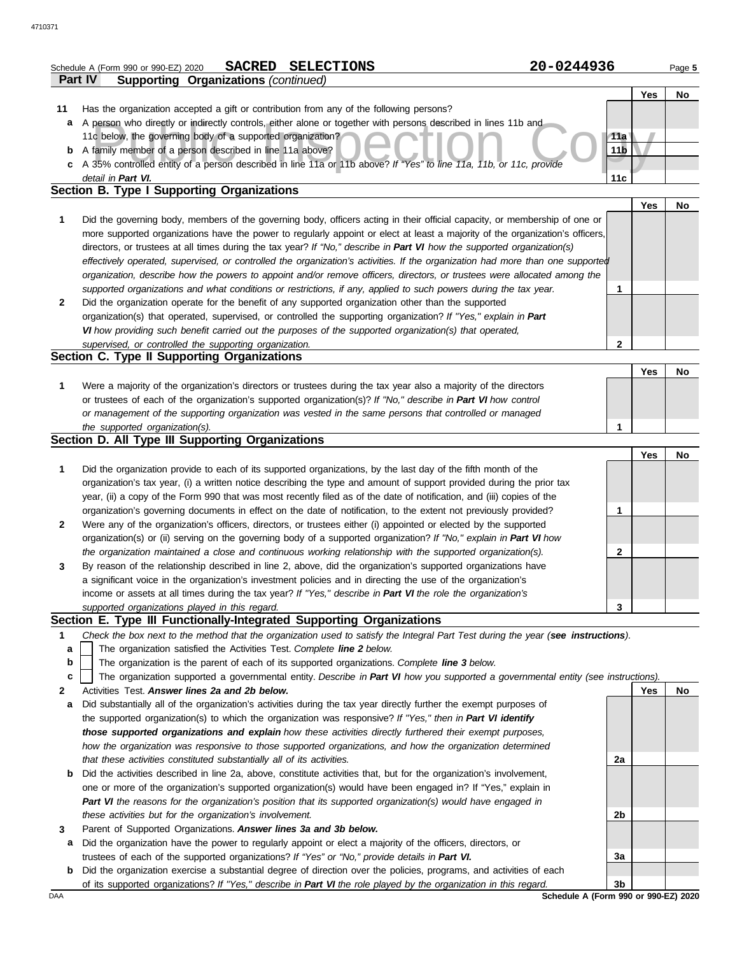| 20-0244936<br><b>SACRED</b><br><b>SELECTIONS</b><br>Schedule A (Form 990 or 990-EZ) 2020<br>Page 5 |                                                                                                                                                                                                                                                          |                 |     |    |  |
|----------------------------------------------------------------------------------------------------|----------------------------------------------------------------------------------------------------------------------------------------------------------------------------------------------------------------------------------------------------------|-----------------|-----|----|--|
|                                                                                                    | <b>Supporting Organizations (continued)</b><br><b>Part IV</b>                                                                                                                                                                                            |                 |     |    |  |
|                                                                                                    |                                                                                                                                                                                                                                                          |                 | Yes | No |  |
| 11                                                                                                 | Has the organization accepted a gift or contribution from any of the following persons?                                                                                                                                                                  |                 |     |    |  |
| a                                                                                                  | A person who directly or indirectly controls, either alone or together with persons described in lines 11b and                                                                                                                                           |                 |     |    |  |
|                                                                                                    | 11c below, the governing body of a supported organization?                                                                                                                                                                                               | 11a             |     |    |  |
| b                                                                                                  | A family member of a person described in line 11a above?                                                                                                                                                                                                 | 11 <sub>b</sub> |     |    |  |
| c                                                                                                  | A 35% controlled entity of a person described in line 11a or 11b above? If "Yes" to line 11a, 11b, or 11c, provide                                                                                                                                       |                 |     |    |  |
|                                                                                                    | detail in Part VI.                                                                                                                                                                                                                                       | 11c             |     |    |  |
|                                                                                                    | <b>Section B. Type I Supporting Organizations</b>                                                                                                                                                                                                        |                 |     |    |  |
|                                                                                                    |                                                                                                                                                                                                                                                          |                 | Yes | No |  |
| 1                                                                                                  | Did the governing body, members of the governing body, officers acting in their official capacity, or membership of one or                                                                                                                               |                 |     |    |  |
|                                                                                                    | more supported organizations have the power to regularly appoint or elect at least a majority of the organization's officers,<br>directors, or trustees at all times during the tax year? If "No," describe in Part VI how the supported organization(s) |                 |     |    |  |
|                                                                                                    | effectively operated, supervised, or controlled the organization's activities. If the organization had more than one supported                                                                                                                           |                 |     |    |  |
|                                                                                                    | organization, describe how the powers to appoint and/or remove officers, directors, or trustees were allocated among the                                                                                                                                 |                 |     |    |  |
|                                                                                                    | supported organizations and what conditions or restrictions, if any, applied to such powers during the tax year.                                                                                                                                         | 1               |     |    |  |
| $\mathbf{2}$                                                                                       | Did the organization operate for the benefit of any supported organization other than the supported                                                                                                                                                      |                 |     |    |  |
|                                                                                                    | organization(s) that operated, supervised, or controlled the supporting organization? If "Yes," explain in Part                                                                                                                                          |                 |     |    |  |
|                                                                                                    | VI how providing such benefit carried out the purposes of the supported organization(s) that operated,                                                                                                                                                   |                 |     |    |  |
|                                                                                                    | supervised, or controlled the supporting organization.                                                                                                                                                                                                   | 2               |     |    |  |
|                                                                                                    | Section C. Type II Supporting Organizations                                                                                                                                                                                                              |                 |     |    |  |
|                                                                                                    |                                                                                                                                                                                                                                                          |                 | Yes | No |  |
| 1                                                                                                  | Were a majority of the organization's directors or trustees during the tax year also a majority of the directors                                                                                                                                         |                 |     |    |  |
|                                                                                                    | or trustees of each of the organization's supported organization(s)? If "No," describe in Part VI how control                                                                                                                                            |                 |     |    |  |
|                                                                                                    | or management of the supporting organization was vested in the same persons that controlled or managed                                                                                                                                                   |                 |     |    |  |
|                                                                                                    | the supported organization(s).                                                                                                                                                                                                                           | 1               |     |    |  |
|                                                                                                    | Section D. All Type III Supporting Organizations                                                                                                                                                                                                         |                 |     |    |  |
|                                                                                                    |                                                                                                                                                                                                                                                          |                 | Yes | No |  |
| 1                                                                                                  | Did the organization provide to each of its supported organizations, by the last day of the fifth month of the                                                                                                                                           |                 |     |    |  |
|                                                                                                    | organization's tax year, (i) a written notice describing the type and amount of support provided during the prior tax                                                                                                                                    |                 |     |    |  |
|                                                                                                    | year, (ii) a copy of the Form 990 that was most recently filed as of the date of notification, and (iii) copies of the                                                                                                                                   |                 |     |    |  |
|                                                                                                    | organization's governing documents in effect on the date of notification, to the extent not previously provided?                                                                                                                                         | 1               |     |    |  |
| $\mathbf{2}$                                                                                       | Were any of the organization's officers, directors, or trustees either (i) appointed or elected by the supported                                                                                                                                         |                 |     |    |  |
|                                                                                                    | organization(s) or (ii) serving on the governing body of a supported organization? If "No," explain in Part VI how<br>the organization maintained a close and continuous working relationship with the supported organization(s).                        | 2               |     |    |  |
| 3                                                                                                  | By reason of the relationship described in line 2, above, did the organization's supported organizations have                                                                                                                                            |                 |     |    |  |
|                                                                                                    | a significant voice in the organization's investment policies and in directing the use of the organization's                                                                                                                                             |                 |     |    |  |
|                                                                                                    | income or assets at all times during the tax year? If "Yes," describe in Part VI the role the organization's                                                                                                                                             |                 |     |    |  |
|                                                                                                    | supported organizations played in this regard.                                                                                                                                                                                                           | 3               |     |    |  |
|                                                                                                    | Section E. Type III Functionally-Integrated Supporting Organizations                                                                                                                                                                                     |                 |     |    |  |
| 1                                                                                                  | Check the box next to the method that the organization used to satisfy the Integral Part Test during the year (see instructions).                                                                                                                        |                 |     |    |  |
| a                                                                                                  | The organization satisfied the Activities Test. Complete line 2 below.                                                                                                                                                                                   |                 |     |    |  |
| b                                                                                                  | The organization is the parent of each of its supported organizations. Complete line 3 below.                                                                                                                                                            |                 |     |    |  |
| c                                                                                                  | The organization supported a governmental entity. Describe in Part VI how you supported a governmental entity (see instructions).                                                                                                                        |                 |     |    |  |
| 2                                                                                                  | Activities Test. Answer lines 2a and 2b below.                                                                                                                                                                                                           |                 | Yes | No |  |
| а                                                                                                  | Did substantially all of the organization's activities during the tax year directly further the exempt purposes of                                                                                                                                       |                 |     |    |  |
|                                                                                                    | the supported organization(s) to which the organization was responsive? If "Yes," then in Part VI identify                                                                                                                                               |                 |     |    |  |
|                                                                                                    | those supported organizations and explain how these activities directly furthered their exempt purposes,                                                                                                                                                 |                 |     |    |  |
|                                                                                                    | how the organization was responsive to those supported organizations, and how the organization determined                                                                                                                                                |                 |     |    |  |
|                                                                                                    | that these activities constituted substantially all of its activities.                                                                                                                                                                                   | 2a              |     |    |  |
| b                                                                                                  | Did the activities described in line 2a, above, constitute activities that, but for the organization's involvement,                                                                                                                                      |                 |     |    |  |
|                                                                                                    | one or more of the organization's supported organization(s) would have been engaged in? If "Yes," explain in                                                                                                                                             |                 |     |    |  |
|                                                                                                    | Part VI the reasons for the organization's position that its supported organization(s) would have engaged in                                                                                                                                             |                 |     |    |  |
|                                                                                                    | these activities but for the organization's involvement.                                                                                                                                                                                                 | 2b              |     |    |  |
| 3                                                                                                  | Parent of Supported Organizations. Answer lines 3a and 3b below.                                                                                                                                                                                         |                 |     |    |  |
| a                                                                                                  | Did the organization have the power to regularly appoint or elect a majority of the officers, directors, or                                                                                                                                              |                 |     |    |  |
|                                                                                                    | trustees of each of the supported organizations? If "Yes" or "No," provide details in Part VI.                                                                                                                                                           | За              |     |    |  |
| b                                                                                                  | Did the organization exercise a substantial degree of direction over the policies, programs, and activities of each                                                                                                                                      |                 |     |    |  |
|                                                                                                    | of its supported organizations? If "Yes," describe in Part VI the role played by the organization in this regard.                                                                                                                                        | 3b              |     |    |  |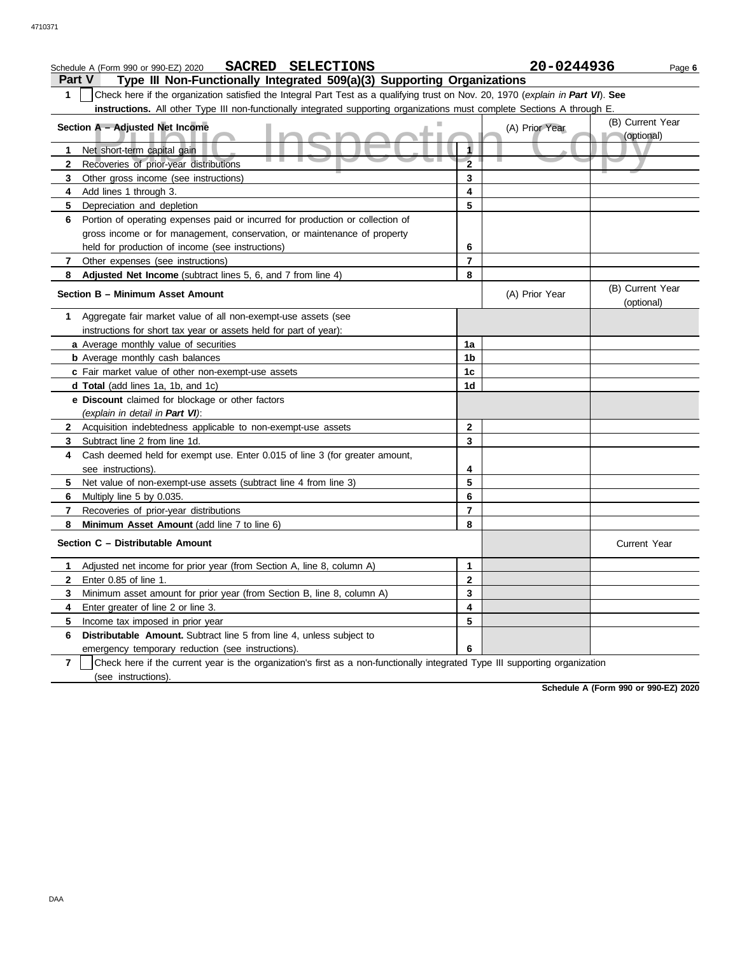|                                                                                          | 20-0244936<br>SACRED SELECTIONS<br>Schedule A (Form 990 or 990-EZ) 2020<br>Page 6                                                |                |                |                                |  |
|------------------------------------------------------------------------------------------|----------------------------------------------------------------------------------------------------------------------------------|----------------|----------------|--------------------------------|--|
| Type III Non-Functionally Integrated 509(a)(3) Supporting Organizations<br><b>Part V</b> |                                                                                                                                  |                |                |                                |  |
| 1                                                                                        | Check here if the organization satisfied the Integral Part Test as a qualifying trust on Nov. 20, 1970 (explain in Part VI). See |                |                |                                |  |
|                                                                                          | instructions. All other Type III non-functionally integrated supporting organizations must complete Sections A through E.        |                |                |                                |  |
|                                                                                          | Section A - Adjusted Net Income                                                                                                  |                | (A) Prior Year | (B) Current Year               |  |
|                                                                                          |                                                                                                                                  |                |                | (optional)                     |  |
| 1                                                                                        | Net short-term capital gain                                                                                                      |                |                |                                |  |
| 2                                                                                        | Recoveries of prior-year distributions                                                                                           | $\overline{2}$ | ٠              |                                |  |
| 3                                                                                        | Other gross income (see instructions)                                                                                            | 3              |                |                                |  |
| 4                                                                                        | Add lines 1 through 3.                                                                                                           | 4              |                |                                |  |
| 5                                                                                        | Depreciation and depletion                                                                                                       | 5              |                |                                |  |
| 6                                                                                        | Portion of operating expenses paid or incurred for production or collection of                                                   |                |                |                                |  |
|                                                                                          | gross income or for management, conservation, or maintenance of property                                                         |                |                |                                |  |
|                                                                                          | held for production of income (see instructions)                                                                                 | 6              |                |                                |  |
| 7                                                                                        | Other expenses (see instructions)                                                                                                | $\overline{7}$ |                |                                |  |
| 8                                                                                        | Adjusted Net Income (subtract lines 5, 6, and 7 from line 4)                                                                     | 8              |                |                                |  |
|                                                                                          | Section B - Minimum Asset Amount                                                                                                 |                | (A) Prior Year | (B) Current Year<br>(optional) |  |
| 1                                                                                        | Aggregate fair market value of all non-exempt-use assets (see                                                                    |                |                |                                |  |
|                                                                                          | instructions for short tax year or assets held for part of year):                                                                |                |                |                                |  |
|                                                                                          | a Average monthly value of securities                                                                                            | 1a             |                |                                |  |
|                                                                                          | <b>b</b> Average monthly cash balances                                                                                           | 1b             |                |                                |  |
|                                                                                          | c Fair market value of other non-exempt-use assets                                                                               | 1c             |                |                                |  |
|                                                                                          | <b>d Total</b> (add lines 1a, 1b, and 1c)                                                                                        | 1d             |                |                                |  |
|                                                                                          | e Discount claimed for blockage or other factors                                                                                 |                |                |                                |  |
|                                                                                          | (explain in detail in Part VI):                                                                                                  |                |                |                                |  |
| $\mathbf{2}$                                                                             | Acquisition indebtedness applicable to non-exempt-use assets                                                                     | $\mathbf{2}$   |                |                                |  |
| 3                                                                                        | Subtract line 2 from line 1d.                                                                                                    | 3              |                |                                |  |
| 4                                                                                        | Cash deemed held for exempt use. Enter 0.015 of line 3 (for greater amount,                                                      |                |                |                                |  |
|                                                                                          | see instructions)                                                                                                                | 4              |                |                                |  |
| 5                                                                                        | Net value of non-exempt-use assets (subtract line 4 from line 3)                                                                 | 5              |                |                                |  |
| 6                                                                                        | Multiply line 5 by 0.035.                                                                                                        | 6              |                |                                |  |
| 7                                                                                        | Recoveries of prior-year distributions                                                                                           | $\overline{7}$ |                |                                |  |
| 8                                                                                        | Minimum Asset Amount (add line 7 to line 6)                                                                                      | 8              |                |                                |  |
|                                                                                          | Section C - Distributable Amount                                                                                                 |                |                | <b>Current Year</b>            |  |
| 1                                                                                        | Adjusted net income for prior year (from Section A, line 8, column A)                                                            | 1              |                |                                |  |
| 2                                                                                        | Enter 0.85 of line 1.                                                                                                            | 2              |                |                                |  |
| 3                                                                                        | Minimum asset amount for prior year (from Section B, line 8, column A)                                                           | 3              |                |                                |  |
| 4                                                                                        | Enter greater of line 2 or line 3.                                                                                               | 4              |                |                                |  |
| 5                                                                                        | Income tax imposed in prior year                                                                                                 | 5              |                |                                |  |
| 6                                                                                        | Distributable Amount. Subtract line 5 from line 4, unless subject to                                                             |                |                |                                |  |
|                                                                                          | emergency temporary reduction (see instructions).                                                                                | 6              |                |                                |  |
| 7                                                                                        | Check here if the current year is the organization's first as a non-functionally integrated Type III supporting organization     |                |                |                                |  |
|                                                                                          | (see instructions).                                                                                                              |                |                |                                |  |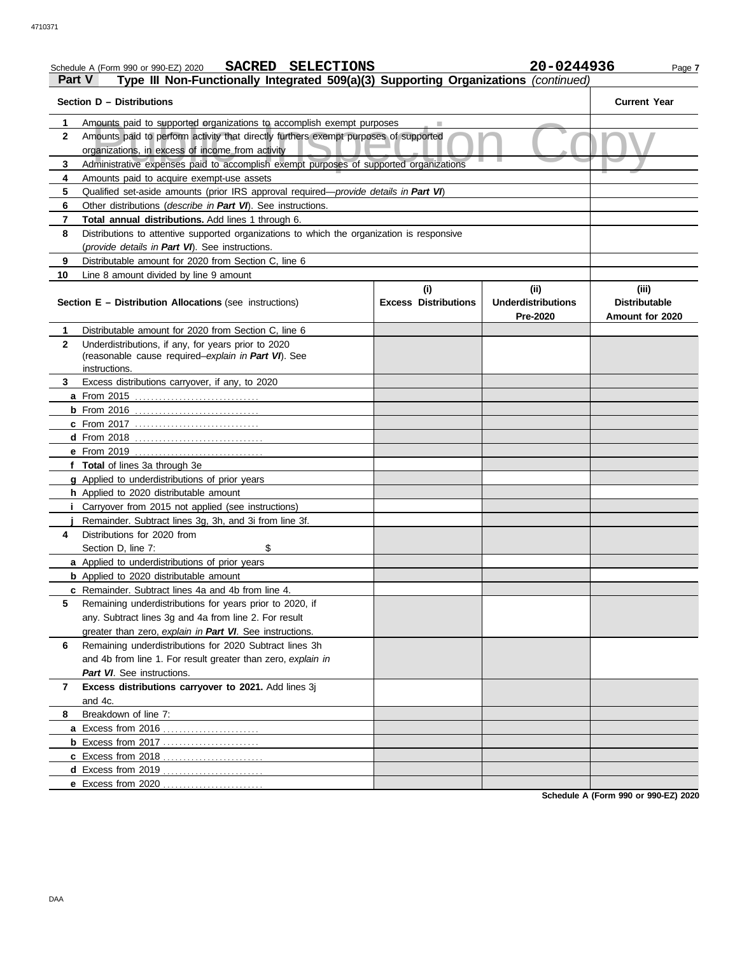|                                                                                               | 20-0244936<br><b>SACRED</b><br><b>SELECTIONS</b><br>Schedule A (Form 990 or 990-EZ) 2020<br>Page 7                                       |                                    |                                                      |                                                  |  |  |
|-----------------------------------------------------------------------------------------------|------------------------------------------------------------------------------------------------------------------------------------------|------------------------------------|------------------------------------------------------|--------------------------------------------------|--|--|
| Type III Non-Functionally Integrated 509(a)(3) Supporting Organizations (continued)<br>Part V |                                                                                                                                          |                                    |                                                      |                                                  |  |  |
|                                                                                               | Section D - Distributions<br><b>Current Year</b>                                                                                         |                                    |                                                      |                                                  |  |  |
| 1                                                                                             | Amounts paid to supported organizations to accomplish exempt purposes                                                                    |                                    |                                                      |                                                  |  |  |
| $\mathbf{2}$                                                                                  | Amounts paid to perform activity that directly furthers exempt purposes of supported<br>organizations, in excess of income from activity |                                    |                                                      |                                                  |  |  |
| 3                                                                                             | Administrative expenses paid to accomplish exempt purposes of supported organizations                                                    |                                    |                                                      |                                                  |  |  |
| 4                                                                                             | Amounts paid to acquire exempt-use assets                                                                                                |                                    |                                                      |                                                  |  |  |
| 5                                                                                             | Qualified set-aside amounts (prior IRS approval required-provide details in Part VI)                                                     |                                    |                                                      |                                                  |  |  |
| 6                                                                                             | Other distributions (describe in Part VI). See instructions.                                                                             |                                    |                                                      |                                                  |  |  |
| 7                                                                                             | Total annual distributions. Add lines 1 through 6.                                                                                       |                                    |                                                      |                                                  |  |  |
| 8                                                                                             | Distributions to attentive supported organizations to which the organization is responsive                                               |                                    |                                                      |                                                  |  |  |
|                                                                                               | (provide details in Part VI). See instructions.                                                                                          |                                    |                                                      |                                                  |  |  |
| 9                                                                                             | Distributable amount for 2020 from Section C, line 6                                                                                     |                                    |                                                      |                                                  |  |  |
| 10                                                                                            | Line 8 amount divided by line 9 amount                                                                                                   |                                    |                                                      |                                                  |  |  |
|                                                                                               | <b>Section E - Distribution Allocations (see instructions)</b>                                                                           | (i)<br><b>Excess Distributions</b> | (ii)<br><b>Underdistributions</b><br><b>Pre-2020</b> | (iii)<br><b>Distributable</b><br>Amount for 2020 |  |  |
| 1                                                                                             | Distributable amount for 2020 from Section C, line 6                                                                                     |                                    |                                                      |                                                  |  |  |
| $\mathbf{2}$                                                                                  | Underdistributions, if any, for years prior to 2020<br>(reasonable cause required-explain in Part VI). See<br>instructions.              |                                    |                                                      |                                                  |  |  |
| 3                                                                                             | Excess distributions carryover, if any, to 2020                                                                                          |                                    |                                                      |                                                  |  |  |
|                                                                                               |                                                                                                                                          |                                    |                                                      |                                                  |  |  |
|                                                                                               |                                                                                                                                          |                                    |                                                      |                                                  |  |  |
|                                                                                               | <b>c</b> From 2017                                                                                                                       |                                    |                                                      |                                                  |  |  |
|                                                                                               |                                                                                                                                          |                                    |                                                      |                                                  |  |  |
|                                                                                               |                                                                                                                                          |                                    |                                                      |                                                  |  |  |
|                                                                                               | f Total of lines 3a through 3e                                                                                                           |                                    |                                                      |                                                  |  |  |
|                                                                                               | g Applied to underdistributions of prior years                                                                                           |                                    |                                                      |                                                  |  |  |
|                                                                                               | h Applied to 2020 distributable amount                                                                                                   |                                    |                                                      |                                                  |  |  |
|                                                                                               | <i>i</i> Carryover from 2015 not applied (see instructions)                                                                              |                                    |                                                      |                                                  |  |  |
|                                                                                               | Remainder. Subtract lines 3q, 3h, and 3i from line 3f.                                                                                   |                                    |                                                      |                                                  |  |  |
| 4                                                                                             | Distributions for 2020 from                                                                                                              |                                    |                                                      |                                                  |  |  |
|                                                                                               | \$<br>Section D, line 7:                                                                                                                 |                                    |                                                      |                                                  |  |  |
|                                                                                               | a Applied to underdistributions of prior years                                                                                           |                                    |                                                      |                                                  |  |  |
|                                                                                               | <b>b</b> Applied to 2020 distributable amount                                                                                            |                                    |                                                      |                                                  |  |  |
|                                                                                               | c Remainder. Subtract lines 4a and 4b from line 4.                                                                                       |                                    |                                                      |                                                  |  |  |
| 5                                                                                             | Remaining underdistributions for years prior to 2020, if                                                                                 |                                    |                                                      |                                                  |  |  |
|                                                                                               | any. Subtract lines 3g and 4a from line 2. For result                                                                                    |                                    |                                                      |                                                  |  |  |
|                                                                                               | greater than zero, explain in Part VI. See instructions.                                                                                 |                                    |                                                      |                                                  |  |  |
| 6                                                                                             | Remaining underdistributions for 2020 Subtract lines 3h                                                                                  |                                    |                                                      |                                                  |  |  |
|                                                                                               | and 4b from line 1. For result greater than zero, explain in                                                                             |                                    |                                                      |                                                  |  |  |
|                                                                                               | Part VI. See instructions.                                                                                                               |                                    |                                                      |                                                  |  |  |
| 7                                                                                             | Excess distributions carryover to 2021. Add lines 3j                                                                                     |                                    |                                                      |                                                  |  |  |
|                                                                                               | and 4c.                                                                                                                                  |                                    |                                                      |                                                  |  |  |
| 8                                                                                             | Breakdown of line 7:                                                                                                                     |                                    |                                                      |                                                  |  |  |
|                                                                                               |                                                                                                                                          |                                    |                                                      |                                                  |  |  |
|                                                                                               | <b>b</b> Excess from 2017                                                                                                                |                                    |                                                      |                                                  |  |  |
|                                                                                               |                                                                                                                                          |                                    |                                                      |                                                  |  |  |
|                                                                                               |                                                                                                                                          |                                    |                                                      |                                                  |  |  |
|                                                                                               | e Excess from 2020                                                                                                                       |                                    |                                                      |                                                  |  |  |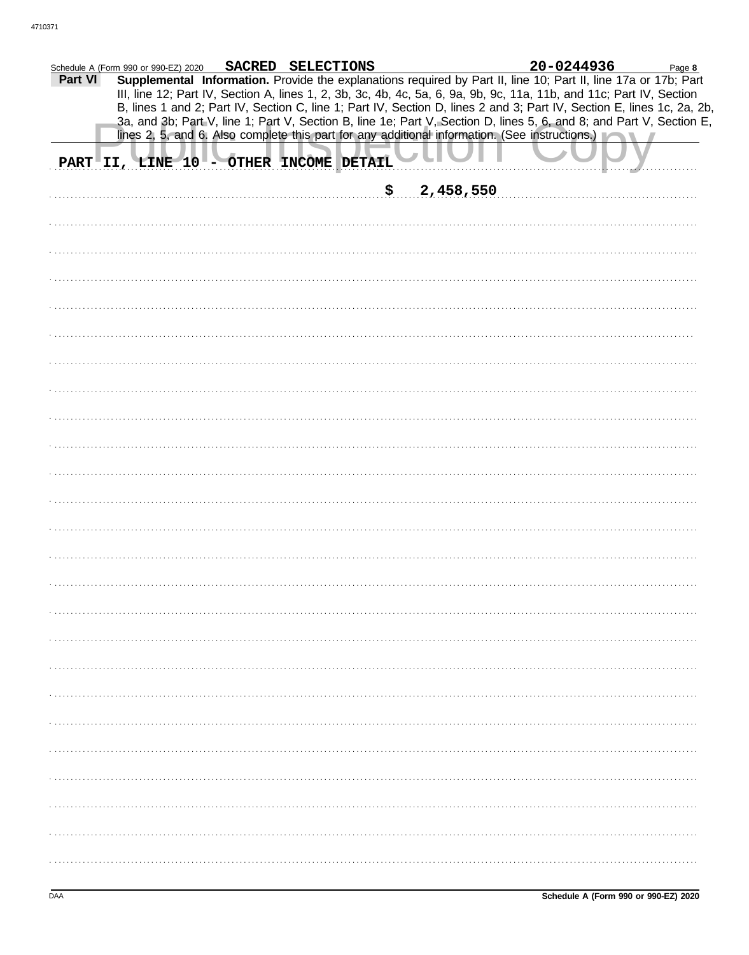| SACRED SELECTIONS<br>Schedule A (Form 990 or 990-EZ) 2020<br>Supplemental Information. Provide the explanations required by Part II, line 10; Part II, line 17a or 17b; Part<br>Part VI<br>III, line 12; Part IV, Section A, lines 1, 2, 3b, 3c, 4b, 4c, 5a, 6, 9a, 9b, 9c, 11a, 11b, and 11c; Part IV, Section<br>B, lines 1 and 2; Part IV, Section C, line 1; Part IV, Section D, lines 2 and 3; Part IV, Section E, lines 1c, 2a, 2b,<br>3a, and 3b; Part V, line 1; Part V, Section B, line 1e; Part V, Section D, lines 5, 6, and 8; and Part V, Section E,<br>lines 2, 5, and 6. Also complete this part for any additional information. (See instructions.)<br>PART II, LINE 10 - OTHER INCOME DETAIL | 20-0244936<br>Page 8 |
|---------------------------------------------------------------------------------------------------------------------------------------------------------------------------------------------------------------------------------------------------------------------------------------------------------------------------------------------------------------------------------------------------------------------------------------------------------------------------------------------------------------------------------------------------------------------------------------------------------------------------------------------------------------------------------------------------------------|----------------------|
| \$                                                                                                                                                                                                                                                                                                                                                                                                                                                                                                                                                                                                                                                                                                            | 2,458,550            |
|                                                                                                                                                                                                                                                                                                                                                                                                                                                                                                                                                                                                                                                                                                               |                      |
|                                                                                                                                                                                                                                                                                                                                                                                                                                                                                                                                                                                                                                                                                                               |                      |
|                                                                                                                                                                                                                                                                                                                                                                                                                                                                                                                                                                                                                                                                                                               |                      |
|                                                                                                                                                                                                                                                                                                                                                                                                                                                                                                                                                                                                                                                                                                               |                      |
|                                                                                                                                                                                                                                                                                                                                                                                                                                                                                                                                                                                                                                                                                                               |                      |
|                                                                                                                                                                                                                                                                                                                                                                                                                                                                                                                                                                                                                                                                                                               |                      |
|                                                                                                                                                                                                                                                                                                                                                                                                                                                                                                                                                                                                                                                                                                               |                      |
|                                                                                                                                                                                                                                                                                                                                                                                                                                                                                                                                                                                                                                                                                                               |                      |
|                                                                                                                                                                                                                                                                                                                                                                                                                                                                                                                                                                                                                                                                                                               |                      |
|                                                                                                                                                                                                                                                                                                                                                                                                                                                                                                                                                                                                                                                                                                               |                      |
|                                                                                                                                                                                                                                                                                                                                                                                                                                                                                                                                                                                                                                                                                                               |                      |
|                                                                                                                                                                                                                                                                                                                                                                                                                                                                                                                                                                                                                                                                                                               |                      |
|                                                                                                                                                                                                                                                                                                                                                                                                                                                                                                                                                                                                                                                                                                               |                      |
|                                                                                                                                                                                                                                                                                                                                                                                                                                                                                                                                                                                                                                                                                                               |                      |
|                                                                                                                                                                                                                                                                                                                                                                                                                                                                                                                                                                                                                                                                                                               |                      |
|                                                                                                                                                                                                                                                                                                                                                                                                                                                                                                                                                                                                                                                                                                               |                      |
|                                                                                                                                                                                                                                                                                                                                                                                                                                                                                                                                                                                                                                                                                                               |                      |
|                                                                                                                                                                                                                                                                                                                                                                                                                                                                                                                                                                                                                                                                                                               |                      |
|                                                                                                                                                                                                                                                                                                                                                                                                                                                                                                                                                                                                                                                                                                               |                      |
|                                                                                                                                                                                                                                                                                                                                                                                                                                                                                                                                                                                                                                                                                                               |                      |
|                                                                                                                                                                                                                                                                                                                                                                                                                                                                                                                                                                                                                                                                                                               |                      |
|                                                                                                                                                                                                                                                                                                                                                                                                                                                                                                                                                                                                                                                                                                               |                      |
|                                                                                                                                                                                                                                                                                                                                                                                                                                                                                                                                                                                                                                                                                                               |                      |
|                                                                                                                                                                                                                                                                                                                                                                                                                                                                                                                                                                                                                                                                                                               |                      |
|                                                                                                                                                                                                                                                                                                                                                                                                                                                                                                                                                                                                                                                                                                               |                      |
|                                                                                                                                                                                                                                                                                                                                                                                                                                                                                                                                                                                                                                                                                                               |                      |
|                                                                                                                                                                                                                                                                                                                                                                                                                                                                                                                                                                                                                                                                                                               |                      |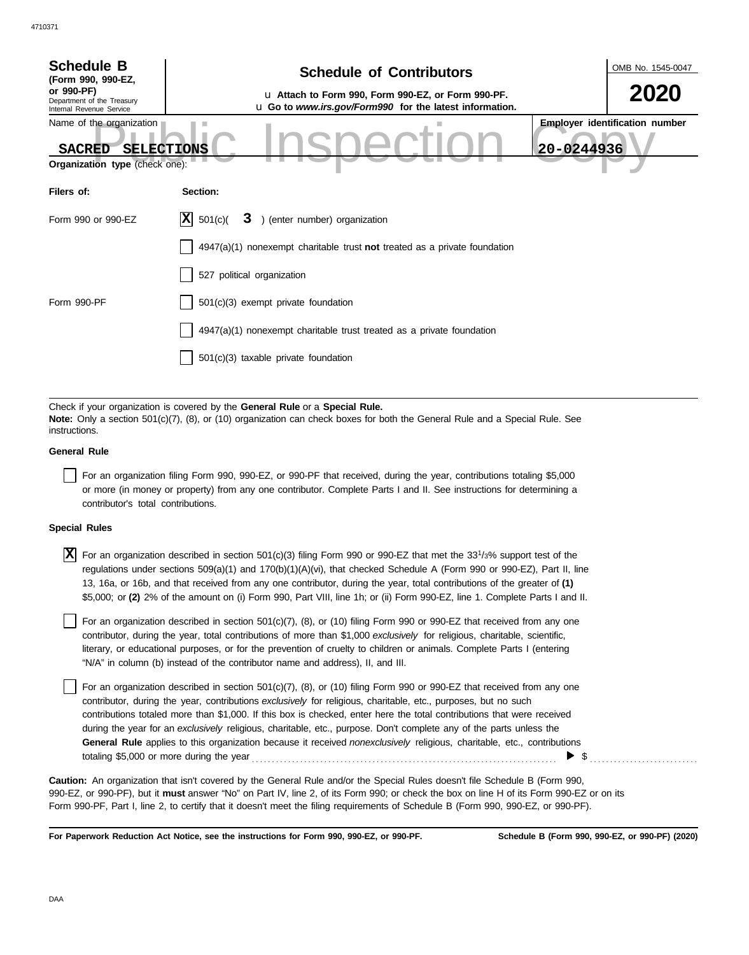| Filers of:<br>Section:<br>$ \mathbf{X} $ 501(c)(<br>3 ) (enter number) organization<br>Form 990 or 990-EZ<br>4947(a)(1) nonexempt charitable trust not treated as a private foundation<br>527 political organization<br>501(c)(3) exempt private foundation<br>Form 990-PF | OMB No. 1545-0047<br>2020<br><b>Employer identification number</b> |
|----------------------------------------------------------------------------------------------------------------------------------------------------------------------------------------------------------------------------------------------------------------------------|--------------------------------------------------------------------|
|                                                                                                                                                                                                                                                                            |                                                                    |
|                                                                                                                                                                                                                                                                            |                                                                    |
|                                                                                                                                                                                                                                                                            |                                                                    |
| 4947(a)(1) nonexempt charitable trust treated as a private foundation<br>501(c)(3) taxable private foundation                                                                                                                                                              |                                                                    |

**Note:** Only a section 501(c)(7), (8), or (10) organization can check boxes for both the General Rule and a Special Rule. See instructions.

## **General Rule**

For an organization filing Form 990, 990-EZ, or 990-PF that received, during the year, contributions totaling \$5,000 or more (in money or property) from any one contributor. Complete Parts I and II. See instructions for determining a contributor's total contributions.

## **Special Rules**

 $\overline{X}$  For an organization described in section 501(c)(3) filing Form 990 or 990-EZ that met the 33<sup>1</sup>/3% support test of the regulations under sections 509(a)(1) and 170(b)(1)(A)(vi), that checked Schedule A (Form 990 or 990-EZ), Part II, line 13, 16a, or 16b, and that received from any one contributor, during the year, total contributions of the greater of **(1)** \$5,000; or **(2)** 2% of the amount on (i) Form 990, Part VIII, line 1h; or (ii) Form 990-EZ, line 1. Complete Parts I and II.

literary, or educational purposes, or for the prevention of cruelty to children or animals. Complete Parts I (entering For an organization described in section 501(c)(7), (8), or (10) filing Form 990 or 990-EZ that received from any one contributor, during the year, total contributions of more than \$1,000 *exclusively* for religious, charitable, scientific, "N/A" in column (b) instead of the contributor name and address), II, and III.

For an organization described in section 501(c)(7), (8), or (10) filing Form 990 or 990-EZ that received from any one contributor, during the year, contributions *exclusively* for religious, charitable, etc., purposes, but no such contributions totaled more than \$1,000. If this box is checked, enter here the total contributions that were received during the year for an *exclusively* religious, charitable, etc., purpose. Don't complete any of the parts unless the **General Rule** applies to this organization because it received *nonexclusively* religious, charitable, etc., contributions totaling \$5,000 or more during the year . . . . . . . . . . . . . . . . . . . . . . . . . . . . . . . . . . . . . . . . . . . . . . . . . . . . . . . . . . . . . . . . . . . . . . . . . . . .  $\triangleright$  \$

990-EZ, or 990-PF), but it **must** answer "No" on Part IV, line 2, of its Form 990; or check the box on line H of its Form 990-EZ or on its Form 990-PF, Part I, line 2, to certify that it doesn't meet the filing requirements of Schedule B (Form 990, 990-EZ, or 990-PF). **Caution:** An organization that isn't covered by the General Rule and/or the Special Rules doesn't file Schedule B (Form 990,

**For Paperwork Reduction Act Notice, see the instructions for Form 990, 990-EZ, or 990-PF.**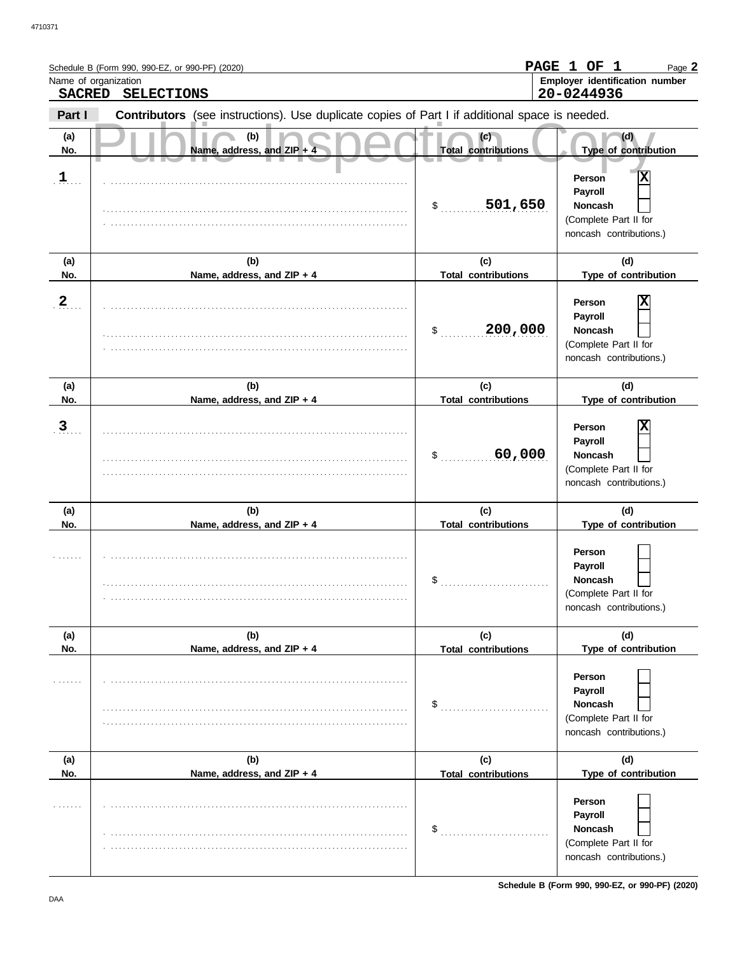|                         | Schedule B (Form 990, 990-EZ, or 990-PF) (2020)<br>Name of organization                                             |                                   | PAGE 1 OF 1<br>Page 2<br>Employer identification number                                                |
|-------------------------|---------------------------------------------------------------------------------------------------------------------|-----------------------------------|--------------------------------------------------------------------------------------------------------|
| <b>SACRED</b><br>Part I | <b>SELECTIONS</b><br>Contributors (see instructions). Use duplicate copies of Part I if additional space is needed. |                                   | 20-0244936                                                                                             |
| (a)<br>No.              | (b)<br>Name, address, and ZIP + 4                                                                                   | (c)<br><b>Total contributions</b> | (d)<br>Type of contribution                                                                            |
| $1$ .                   |                                                                                                                     | 501,650<br>$\mathsf{\$}$          | $\mathbf x$<br>Person<br>Payroll<br><b>Noncash</b><br>(Complete Part II for<br>noncash contributions.) |
| (a)<br>No.              | (b)<br>Name, address, and ZIP + 4                                                                                   | (c)<br><b>Total contributions</b> | (d)<br>Type of contribution                                                                            |
| $\overline{2}$          |                                                                                                                     | 200,000<br>\$                     | ΙX<br>Person<br>Payroll<br><b>Noncash</b><br>(Complete Part II for<br>noncash contributions.)          |
| (a)<br>No.              | (b)<br>Name, address, and ZIP + 4                                                                                   | (c)<br><b>Total contributions</b> | (d)<br>Type of contribution                                                                            |
| $\overline{3}$          |                                                                                                                     | 60,000<br>\$                      | $\mathbf x$<br>Person<br>Payroll<br><b>Noncash</b><br>(Complete Part II for<br>noncash contributions.) |
| (a)<br>No.              | (b)<br>Name, address, and ZIP + 4                                                                                   | (c)<br><b>Total contributions</b> | (d)<br>Type of contribution                                                                            |
|                         |                                                                                                                     | \$                                | Person<br><b>Payroll</b><br>Noncash<br>(Complete Part II for<br>noncash contributions.)                |
| (a)<br>No.              | (b)<br>Name, address, and ZIP + 4                                                                                   | (c)<br><b>Total contributions</b> | (d)<br>Type of contribution                                                                            |
|                         |                                                                                                                     | \$                                | Person<br>Payroll<br>Noncash<br>(Complete Part II for<br>noncash contributions.)                       |
| (a)<br>No.              | (b)<br>Name, address, and ZIP + 4                                                                                   | (c)<br><b>Total contributions</b> | (d)<br>Type of contribution                                                                            |
|                         |                                                                                                                     | \$                                | Person<br>Payroll<br>Noncash<br>(Complete Part II for<br>noncash contributions.)                       |

**Schedule B (Form 990, 990-EZ, or 990-PF) (2020)**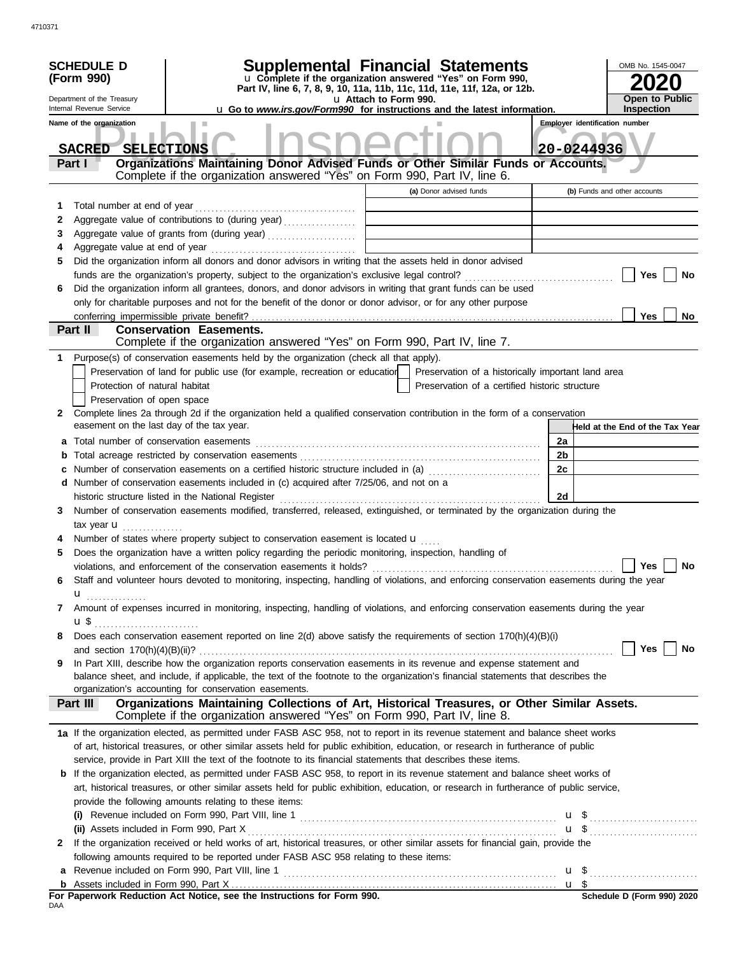|              | <b>SCHEDULE D</b>          |                                                                                                                                                                           |                       | <b>Supplemental Financial Statements</b>                                               |    |                                       | OMB No. 1545-0047               |
|--------------|----------------------------|---------------------------------------------------------------------------------------------------------------------------------------------------------------------------|-----------------------|----------------------------------------------------------------------------------------|----|---------------------------------------|---------------------------------|
|              | (Form 990)                 |                                                                                                                                                                           |                       | u Complete if the organization answered "Yes" on Form 990,                             |    |                                       |                                 |
|              | Department of the Treasury |                                                                                                                                                                           | u Attach to Form 990. | Part IV, line 6, 7, 8, 9, 10, 11a, 11b, 11c, 11d, 11e, 11f, 12a, or 12b.               |    |                                       | <b>Open to Public</b>           |
|              | Internal Revenue Service   |                                                                                                                                                                           |                       | <b>u</b> Go to <i>www.irs.gov/Form990</i> for instructions and the latest information. |    |                                       | <b>Inspection</b>               |
|              | Name of the organization   | ٠                                                                                                                                                                         |                       |                                                                                        |    | <b>Employer identification number</b> |                                 |
|              | <b>SACRED</b>              | <b>SELECTIONS</b>                                                                                                                                                         |                       |                                                                                        |    | 20-0244936                            |                                 |
|              | Part I                     | Organizations Maintaining Donor Advised Funds or Other Similar Funds or Accounts.                                                                                         |                       |                                                                                        |    |                                       |                                 |
|              |                            | Complete if the organization answered "Yes" on Form 990, Part IV, line 6.                                                                                                 |                       |                                                                                        |    |                                       |                                 |
|              |                            |                                                                                                                                                                           |                       | (a) Donor advised funds                                                                |    | (b) Funds and other accounts          |                                 |
| 1            |                            |                                                                                                                                                                           |                       |                                                                                        |    |                                       |                                 |
| 2            |                            | Aggregate value of contributions to (during year)                                                                                                                         |                       |                                                                                        |    |                                       |                                 |
| 3            |                            | Aggregate value of grants from (during year)                                                                                                                              |                       |                                                                                        |    |                                       |                                 |
| 4            |                            |                                                                                                                                                                           |                       |                                                                                        |    |                                       |                                 |
| 5            |                            | Did the organization inform all donors and donor advisors in writing that the assets held in donor advised                                                                |                       |                                                                                        |    |                                       |                                 |
|              |                            |                                                                                                                                                                           |                       |                                                                                        |    |                                       | Yes<br>No                       |
| 6            |                            | Did the organization inform all grantees, donors, and donor advisors in writing that grant funds can be used                                                              |                       |                                                                                        |    |                                       |                                 |
|              |                            | only for charitable purposes and not for the benefit of the donor or donor advisor, or for any other purpose                                                              |                       |                                                                                        |    |                                       |                                 |
|              | Part II                    | <b>Conservation Easements.</b>                                                                                                                                            |                       |                                                                                        |    |                                       | Yes<br>No                       |
|              |                            | Complete if the organization answered "Yes" on Form 990, Part IV, line 7.                                                                                                 |                       |                                                                                        |    |                                       |                                 |
|              |                            | 1 Purpose(s) of conservation easements held by the organization (check all that apply).                                                                                   |                       |                                                                                        |    |                                       |                                 |
|              |                            | Preservation of land for public use (for example, recreation or education                                                                                                 |                       | Preservation of a historically important land area                                     |    |                                       |                                 |
|              |                            | Protection of natural habitat                                                                                                                                             |                       | Preservation of a certified historic structure                                         |    |                                       |                                 |
|              |                            | Preservation of open space                                                                                                                                                |                       |                                                                                        |    |                                       |                                 |
| $\mathbf{2}$ |                            | Complete lines 2a through 2d if the organization held a qualified conservation contribution in the form of a conservation                                                 |                       |                                                                                        |    |                                       |                                 |
|              |                            | easement on the last day of the tax year.                                                                                                                                 |                       |                                                                                        |    |                                       | Held at the End of the Tax Year |
|              |                            |                                                                                                                                                                           |                       |                                                                                        | 2a |                                       |                                 |
| b            |                            |                                                                                                                                                                           |                       |                                                                                        | 2b |                                       |                                 |
|              |                            | Number of conservation easements on a certified historic structure included in (a)                                                                                        |                       |                                                                                        | 2c |                                       |                                 |
|              |                            | d Number of conservation easements included in (c) acquired after 7/25/06, and not on a                                                                                   |                       |                                                                                        |    |                                       |                                 |
|              |                            |                                                                                                                                                                           |                       |                                                                                        | 2d |                                       |                                 |
| 3            |                            | Number of conservation easements modified, transferred, released, extinguished, or terminated by the organization during the                                              |                       |                                                                                        |    |                                       |                                 |
|              |                            | tax year $\mathbf{u}$ ,                                                                                                                                                   |                       |                                                                                        |    |                                       |                                 |
|              |                            | Number of states where property subject to conservation easement is located <b>u</b>                                                                                      |                       |                                                                                        |    |                                       |                                 |
| 5            |                            | Does the organization have a written policy regarding the periodic monitoring, inspection, handling of                                                                    |                       |                                                                                        |    |                                       |                                 |
|              |                            | violations, and enforcement of the conservation easements it holds?                                                                                                       |                       |                                                                                        |    |                                       | Yes<br>No                       |
| 6            |                            | Staff and volunteer hours devoted to monitoring, inspecting, handling of violations, and enforcing conservation easements during the year                                 |                       |                                                                                        |    |                                       |                                 |
|              | $\mathbf{u}$               |                                                                                                                                                                           |                       |                                                                                        |    |                                       |                                 |
| 7            |                            | Amount of expenses incurred in monitoring, inspecting, handling of violations, and enforcing conservation easements during the year                                       |                       |                                                                                        |    |                                       |                                 |
|              |                            |                                                                                                                                                                           |                       |                                                                                        |    |                                       |                                 |
| 8            |                            | Does each conservation easement reported on line 2(d) above satisfy the requirements of section 170(h)(4)(B)(i)                                                           |                       |                                                                                        |    |                                       |                                 |
|              |                            |                                                                                                                                                                           |                       |                                                                                        |    |                                       | Yes $\vert$ $\vert$<br>No       |
| 9            |                            | In Part XIII, describe how the organization reports conservation easements in its revenue and expense statement and                                                       |                       |                                                                                        |    |                                       |                                 |
|              |                            | balance sheet, and include, if applicable, the text of the footnote to the organization's financial statements that describes the                                         |                       |                                                                                        |    |                                       |                                 |
|              |                            | organization's accounting for conservation easements.                                                                                                                     |                       |                                                                                        |    |                                       |                                 |
|              | Part III                   | Organizations Maintaining Collections of Art, Historical Treasures, or Other Similar Assets.<br>Complete if the organization answered "Yes" on Form 990, Part IV, line 8. |                       |                                                                                        |    |                                       |                                 |
|              |                            | 1a If the organization elected, as permitted under FASB ASC 958, not to report in its revenue statement and balance sheet works                                           |                       |                                                                                        |    |                                       |                                 |
|              |                            | of art, historical treasures, or other similar assets held for public exhibition, education, or research in furtherance of public                                         |                       |                                                                                        |    |                                       |                                 |
|              |                            | service, provide in Part XIII the text of the footnote to its financial statements that describes these items.                                                            |                       |                                                                                        |    |                                       |                                 |
|              |                            | <b>b</b> If the organization elected, as permitted under FASB ASC 958, to report in its revenue statement and balance sheet works of                                      |                       |                                                                                        |    |                                       |                                 |
|              |                            | art, historical treasures, or other similar assets held for public exhibition, education, or research in furtherance of public service,                                   |                       |                                                                                        |    |                                       |                                 |
|              |                            | provide the following amounts relating to these items:                                                                                                                    |                       |                                                                                        |    |                                       |                                 |
|              |                            |                                                                                                                                                                           |                       |                                                                                        |    |                                       | $\mathbf{u}$ \$                 |
|              |                            |                                                                                                                                                                           |                       |                                                                                        |    |                                       | $\mathbf{u}$ \$                 |
| 2            |                            | If the organization received or held works of art, historical treasures, or other similar assets for financial gain, provide the                                          |                       |                                                                                        |    |                                       |                                 |
|              |                            | following amounts required to be reported under FASB ASC 958 relating to these items:                                                                                     |                       |                                                                                        |    |                                       |                                 |
|              |                            | <b>a</b> Revenue included on Form 990, Part VIII, line 1 $\ldots$ $\ldots$ $\ldots$ $\ldots$ $\ldots$ $\ldots$ $\ldots$ $\ldots$ $\ldots$ $\ldots$                        |                       |                                                                                        |    |                                       |                                 |
|              |                            |                                                                                                                                                                           |                       |                                                                                        |    |                                       |                                 |
|              |                            | For Paperwork Reduction Act Notice, see the Instructions for Form 990.                                                                                                    |                       |                                                                                        |    |                                       | Schedule D (Form 990) 2020      |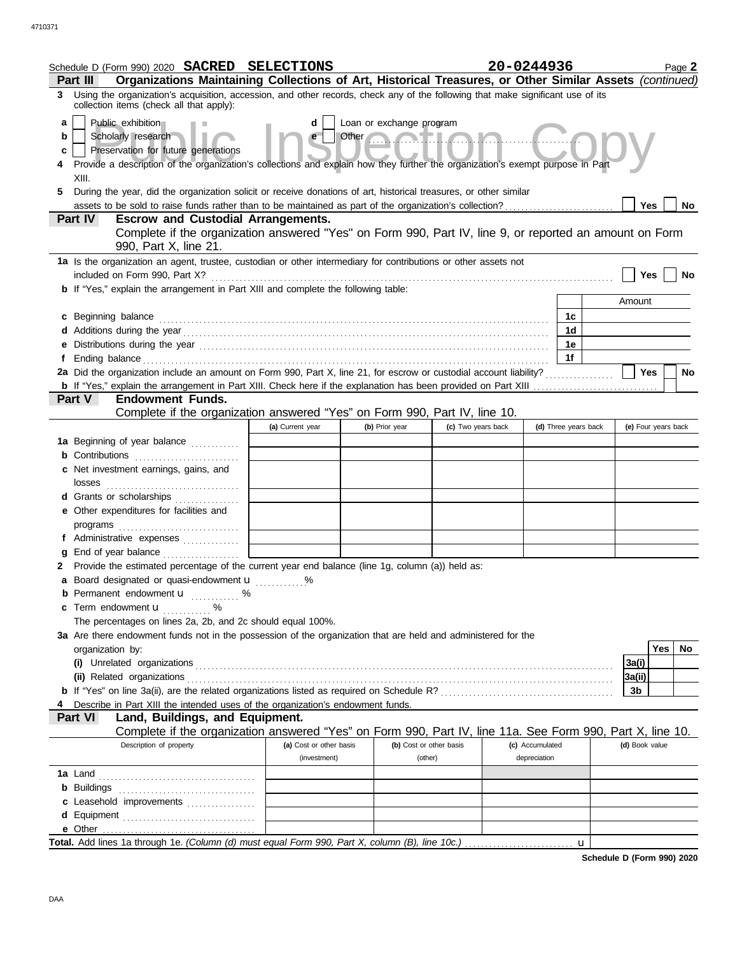|             | Schedule D (Form 990) 2020 SACRED SELECTIONS                                                                                                                                                                              |                                          |                                                  |                    | 20-0244936      |                      |                     | Page 2           |
|-------------|---------------------------------------------------------------------------------------------------------------------------------------------------------------------------------------------------------------------------|------------------------------------------|--------------------------------------------------|--------------------|-----------------|----------------------|---------------------|------------------|
|             | Organizations Maintaining Collections of Art, Historical Treasures, or Other Similar Assets (continued)<br><b>Part III</b>                                                                                                |                                          |                                                  |                    |                 |                      |                     |                  |
|             | 3 Using the organization's acquisition, accession, and other records, check any of the following that make significant use of its<br>collection items (check all that apply):                                             |                                          |                                                  |                    |                 |                      |                     |                  |
| a<br>b<br>c | Public exhibition<br>Scholarly research<br>Preservation for future generations<br>Provide a description of the organization's collections and explain how they further the organization's exempt purpose in Part<br>XIII. | d<br>e                                   | Loan or exchange program<br>Other <b>Company</b> | <b>DELLE</b>       |                 |                      |                     |                  |
| 5           | During the year, did the organization solicit or receive donations of art, historical treasures, or other similar                                                                                                         |                                          |                                                  |                    |                 |                      |                     |                  |
|             | assets to be sold to raise funds rather than to be maintained as part of the organization's collection?                                                                                                                   |                                          |                                                  |                    |                 |                      | Yes                 | No               |
|             | <b>Escrow and Custodial Arrangements.</b><br><b>Part IV</b>                                                                                                                                                               |                                          |                                                  |                    |                 |                      |                     |                  |
|             | Complete if the organization answered "Yes" on Form 990, Part IV, line 9, or reported an amount on Form<br>990, Part X, line 21.                                                                                          |                                          |                                                  |                    |                 |                      |                     |                  |
|             | 1a Is the organization an agent, trustee, custodian or other intermediary for contributions or other assets not<br>included on Form 990, Part X?                                                                          |                                          |                                                  |                    |                 |                      | Yes                 | No               |
|             | <b>b</b> If "Yes," explain the arrangement in Part XIII and complete the following table:                                                                                                                                 |                                          |                                                  |                    |                 |                      |                     |                  |
|             |                                                                                                                                                                                                                           |                                          |                                                  |                    |                 |                      | Amount              |                  |
|             | c Beginning balance                                                                                                                                                                                                       |                                          |                                                  |                    |                 | 1c                   |                     |                  |
|             |                                                                                                                                                                                                                           |                                          |                                                  |                    |                 | 1 <sub>d</sub>       |                     |                  |
|             |                                                                                                                                                                                                                           |                                          |                                                  |                    |                 | 1е<br>1f             |                     |                  |
|             | 2a Did the organization include an amount on Form 990, Part X, line 21, for escrow or custodial account liability?                                                                                                        |                                          |                                                  |                    |                 |                      | <b>Yes</b>          | No               |
|             |                                                                                                                                                                                                                           |                                          |                                                  |                    |                 |                      |                     |                  |
|             | <b>Part V</b><br><b>Endowment Funds.</b>                                                                                                                                                                                  |                                          |                                                  |                    |                 |                      |                     |                  |
|             | Complete if the organization answered "Yes" on Form 990, Part IV, line 10.                                                                                                                                                |                                          |                                                  |                    |                 |                      |                     |                  |
|             |                                                                                                                                                                                                                           | (a) Current year                         | (b) Prior year                                   | (c) Two years back |                 | (d) Three years back | (e) Four years back |                  |
|             | 1a Beginning of year balance                                                                                                                                                                                              |                                          |                                                  |                    |                 |                      |                     |                  |
|             | <b>b</b> Contributions                                                                                                                                                                                                    |                                          |                                                  |                    |                 |                      |                     |                  |
|             | c Net investment earnings, gains, and<br>losses                                                                                                                                                                           |                                          |                                                  |                    |                 |                      |                     |                  |
|             | <b>d</b> Grants or scholarships<br>.                                                                                                                                                                                      |                                          |                                                  |                    |                 |                      |                     |                  |
|             | e Other expenditures for facilities and<br>programs                                                                                                                                                                       |                                          |                                                  |                    |                 |                      |                     |                  |
|             | f Administrative expenses                                                                                                                                                                                                 |                                          |                                                  |                    |                 |                      |                     |                  |
|             |                                                                                                                                                                                                                           |                                          |                                                  |                    |                 |                      |                     |                  |
| 2           | Provide the estimated percentage of the current year end balance (line 1g, column (a)) held as:                                                                                                                           |                                          |                                                  |                    |                 |                      |                     |                  |
|             | a Board designated or quasi-endowment u                                                                                                                                                                                   | $\ldots \ldots \overset{\mathsf{96}}{ }$ |                                                  |                    |                 |                      |                     |                  |
|             | Permanent endowment <b>u</b> %<br>c Term endowment u                                                                                                                                                                      |                                          |                                                  |                    |                 |                      |                     |                  |
|             | .<br>The percentages on lines 2a, 2b, and 2c should equal 100%.                                                                                                                                                           |                                          |                                                  |                    |                 |                      |                     |                  |
|             | 3a Are there endowment funds not in the possession of the organization that are held and administered for the                                                                                                             |                                          |                                                  |                    |                 |                      |                     |                  |
|             | organization by:                                                                                                                                                                                                          |                                          |                                                  |                    |                 |                      |                     | <b>Yes</b><br>No |
|             | (i) Unrelated organizations                                                                                                                                                                                               |                                          |                                                  |                    |                 |                      | 3a(i)               |                  |
|             | (ii) Related organizations                                                                                                                                                                                                |                                          |                                                  |                    |                 |                      | 3a(ii)              |                  |
|             |                                                                                                                                                                                                                           |                                          |                                                  |                    |                 |                      | 3b                  |                  |
|             | Describe in Part XIII the intended uses of the organization's endowment funds.<br><b>Part VI</b>                                                                                                                          |                                          |                                                  |                    |                 |                      |                     |                  |
|             | Land, Buildings, and Equipment.<br>Complete if the organization answered "Yes" on Form 990, Part IV, line 11a. See Form 990, Part X, line 10.                                                                             |                                          |                                                  |                    |                 |                      |                     |                  |
|             | Description of property                                                                                                                                                                                                   | (a) Cost or other basis                  | (b) Cost or other basis                          |                    | (c) Accumulated |                      | (d) Book value      |                  |
|             |                                                                                                                                                                                                                           | (investment)                             | (other)                                          |                    | depreciation    |                      |                     |                  |
|             |                                                                                                                                                                                                                           |                                          |                                                  |                    |                 |                      |                     |                  |
|             |                                                                                                                                                                                                                           |                                          |                                                  |                    |                 |                      |                     |                  |
|             | c Leasehold improvements                                                                                                                                                                                                  |                                          |                                                  |                    |                 |                      |                     |                  |
|             |                                                                                                                                                                                                                           |                                          |                                                  |                    |                 |                      |                     |                  |
|             |                                                                                                                                                                                                                           |                                          |                                                  |                    |                 |                      |                     |                  |
|             |                                                                                                                                                                                                                           |                                          |                                                  |                    |                 |                      |                     |                  |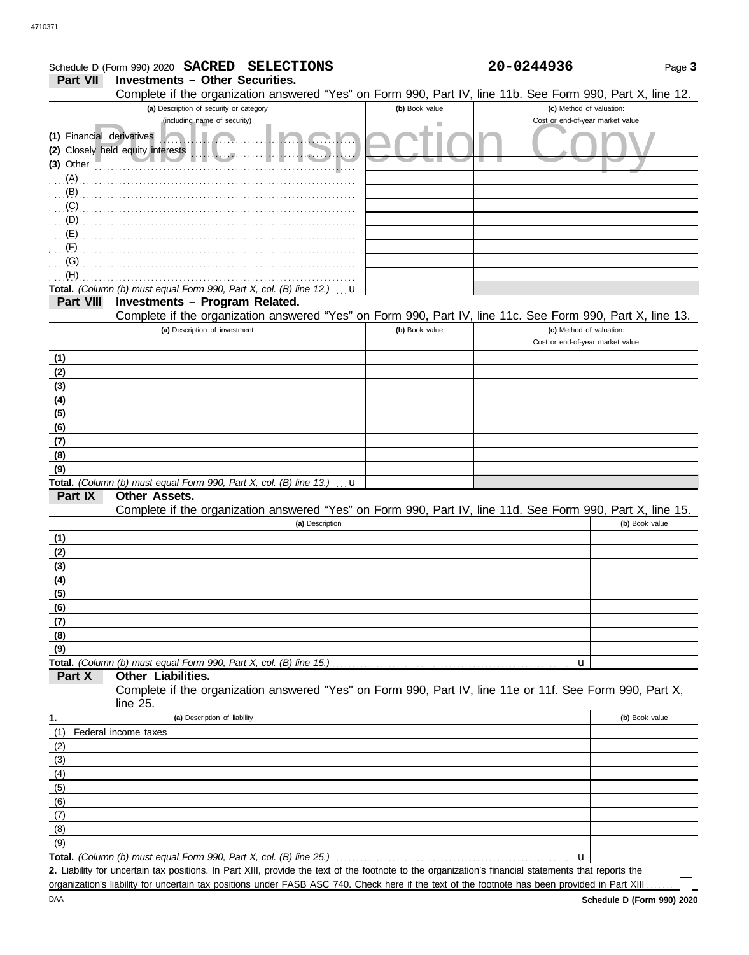|                           | Schedule D (Form 990) 2020 SACRED SELECTIONS                                                                                                         |                | 20-0244936                       | Page 3         |
|---------------------------|------------------------------------------------------------------------------------------------------------------------------------------------------|----------------|----------------------------------|----------------|
| <b>Part VII</b>           | <b>Investments - Other Securities.</b>                                                                                                               |                |                                  |                |
|                           | Complete if the organization answered "Yes" on Form 990, Part IV, line 11b. See Form 990, Part X, line 12.                                           |                |                                  |                |
|                           | (a) Description of security or category                                                                                                              | (b) Book value | (c) Method of valuation:         |                |
|                           | (including name of security)                                                                                                                         |                | Cost or end-of-year market value |                |
| (1) Financial derivatives |                                                                                                                                                      |                |                                  |                |
|                           | (2) Closely held equity interests                                                                                                                    |                |                                  |                |
|                           |                                                                                                                                                      |                |                                  |                |
| (3) Other                 |                                                                                                                                                      |                |                                  |                |
| $(A)$ .                   |                                                                                                                                                      |                |                                  |                |
| (B)                       |                                                                                                                                                      |                |                                  |                |
| (C)                       |                                                                                                                                                      |                |                                  |                |
| (D)                       |                                                                                                                                                      |                |                                  |                |
| $(E)$ .                   |                                                                                                                                                      |                |                                  |                |
| (F)                       |                                                                                                                                                      |                |                                  |                |
| (G)                       |                                                                                                                                                      |                |                                  |                |
| (H)                       |                                                                                                                                                      |                |                                  |                |
|                           | Total. (Column (b) must equal Form 990, Part X, col. (B) line 12.)<br>u                                                                              |                |                                  |                |
| <b>Part VIII</b>          | Investments - Program Related.                                                                                                                       |                |                                  |                |
|                           | Complete if the organization answered "Yes" on Form 990, Part IV, line 11c. See Form 990, Part X, line 13.                                           |                |                                  |                |
|                           | (a) Description of investment                                                                                                                        | (b) Book value | (c) Method of valuation:         |                |
|                           |                                                                                                                                                      |                | Cost or end-of-year market value |                |
|                           |                                                                                                                                                      |                |                                  |                |
| (1)                       |                                                                                                                                                      |                |                                  |                |
| (2)                       |                                                                                                                                                      |                |                                  |                |
| (3)                       |                                                                                                                                                      |                |                                  |                |
| (4)                       |                                                                                                                                                      |                |                                  |                |
| (5)                       |                                                                                                                                                      |                |                                  |                |
| (6)                       |                                                                                                                                                      |                |                                  |                |
| (7)                       |                                                                                                                                                      |                |                                  |                |
| (8)                       |                                                                                                                                                      |                |                                  |                |
| (9)                       |                                                                                                                                                      |                |                                  |                |
|                           | Total. (Column (b) must equal Form 990, Part X, col. (B) line 13.)<br>u                                                                              |                |                                  |                |
| Part IX                   | <b>Other Assets.</b>                                                                                                                                 |                |                                  |                |
|                           | Complete if the organization answered "Yes" on Form 990, Part IV, line 11d. See Form 990, Part X, line 15.                                           |                |                                  |                |
|                           | (a) Description                                                                                                                                      |                |                                  | (b) Book value |
| (1)                       |                                                                                                                                                      |                |                                  |                |
| (2)                       |                                                                                                                                                      |                |                                  |                |
| (3)                       |                                                                                                                                                      |                |                                  |                |
| (4)                       |                                                                                                                                                      |                |                                  |                |
| (5)                       |                                                                                                                                                      |                |                                  |                |
| (6)                       |                                                                                                                                                      |                |                                  |                |
|                           |                                                                                                                                                      |                |                                  |                |
| (7)                       |                                                                                                                                                      |                |                                  |                |
| (8)                       |                                                                                                                                                      |                |                                  |                |
| (9)                       |                                                                                                                                                      |                |                                  |                |
|                           | Total. (Column (b) must equal Form 990, Part X, col. (B) line 15.)                                                                                   |                | u                                |                |
| Part X                    | Other Liabilities.                                                                                                                                   |                |                                  |                |
|                           | Complete if the organization answered "Yes" on Form 990, Part IV, line 11e or 11f. See Form 990, Part X,                                             |                |                                  |                |
|                           | line 25.                                                                                                                                             |                |                                  |                |
| 1.                        | (a) Description of liability                                                                                                                         |                |                                  | (b) Book value |
| (1)                       | Federal income taxes                                                                                                                                 |                |                                  |                |
| (2)                       |                                                                                                                                                      |                |                                  |                |
| (3)                       |                                                                                                                                                      |                |                                  |                |
| (4)                       |                                                                                                                                                      |                |                                  |                |
| (5)                       |                                                                                                                                                      |                |                                  |                |
| (6)                       |                                                                                                                                                      |                |                                  |                |
| (7)                       |                                                                                                                                                      |                |                                  |                |
| (8)                       |                                                                                                                                                      |                |                                  |                |
|                           |                                                                                                                                                      |                |                                  |                |
| (9)                       |                                                                                                                                                      |                |                                  |                |
|                           | Total. (Column (b) must equal Form 990, Part X, col. (B) line 25.)                                                                                   |                | u                                |                |
|                           | 2. Liability for uncertain tax positions. In Part XIII, provide the text of the footnote to the organization's financial statements that reports the |                |                                  |                |
|                           | organization's liability for uncertain tax positions under FASB ASC 740. Check here if the text of the footnote has been provided in Part XIII       |                |                                  |                |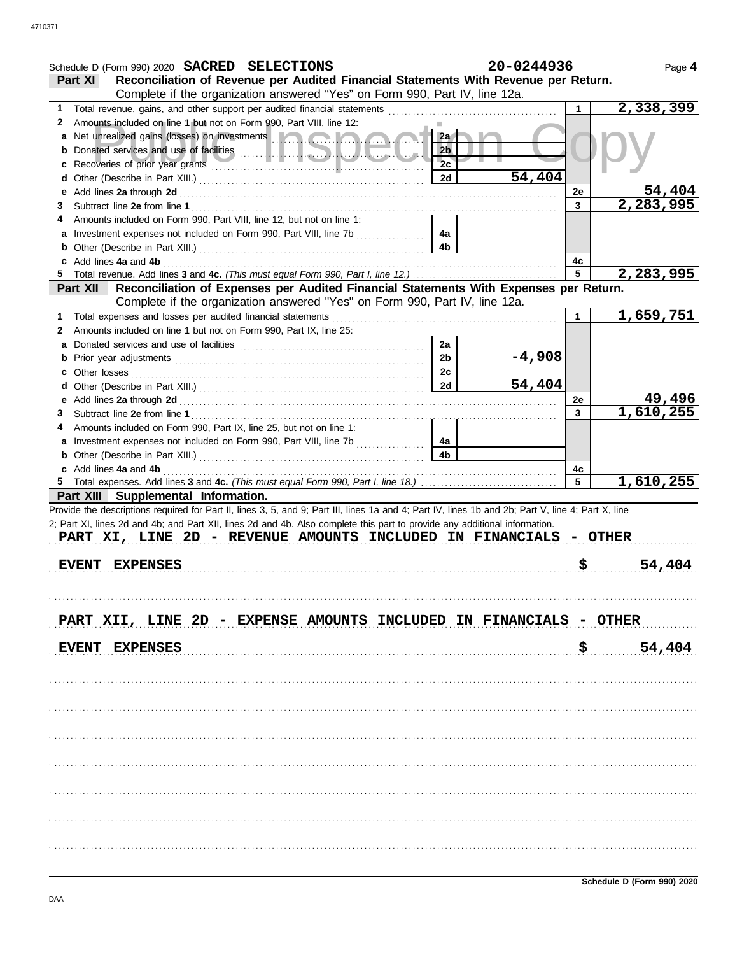| Schedule D (Form 990) 2020 SACRED SELECTIONS                                                                                                       |                | 20-0244936 |             | Page 4                     |
|----------------------------------------------------------------------------------------------------------------------------------------------------|----------------|------------|-------------|----------------------------|
| Reconciliation of Revenue per Audited Financial Statements With Revenue per Return.<br>Part XI                                                     |                |            |             |                            |
| Complete if the organization answered "Yes" on Form 990, Part IV, line 12a.                                                                        |                |            |             |                            |
| 1 Total revenue, gains, and other support per audited financial statements                                                                         |                |            | 1           | 2,338,399                  |
| Amounts included on line 1 but not on Form 990, Part VIII, line 12:<br>2                                                                           |                |            |             |                            |
| Net unrealized gains (losses) on investments <b>All Community</b><br>a                                                                             | 2a             |            |             |                            |
| b                                                                                                                                                  | 2 <sub>b</sub> |            |             |                            |
| c                                                                                                                                                  | 2c             |            |             |                            |
| d                                                                                                                                                  | 2d             | 54,404     |             |                            |
| е                                                                                                                                                  |                |            | 2e<br>3     | <u>54,404</u><br>2,283,995 |
| 3<br>Amounts included on Form 990, Part VIII, line 12, but not on line 1:<br>4                                                                     |                |            |             |                            |
| Investment expenses not included on Form 990, Part VIII, line 7b<br>a                                                                              | 4a             |            |             |                            |
| b                                                                                                                                                  | 4 <sub>b</sub> |            |             |                            |
| Add lines 4a and 4b<br>C                                                                                                                           |                |            | 4c          |                            |
| 5.                                                                                                                                                 |                |            | 5           | 2,283,995                  |
| Reconciliation of Expenses per Audited Financial Statements With Expenses per Return.<br><b>Part XII</b>                                           |                |            |             |                            |
| Complete if the organization answered "Yes" on Form 990, Part IV, line 12a.                                                                        |                |            |             |                            |
| 1 Total expenses and losses per audited financial statements                                                                                       |                |            | $\mathbf 1$ | 1,659,751                  |
| Amounts included on line 1 but not on Form 990, Part IX, line 25:<br>2                                                                             |                |            |             |                            |
| a                                                                                                                                                  | 2a             |            |             |                            |
| b                                                                                                                                                  | 2 <sub>b</sub> | $-4,908$   |             |                            |
| C                                                                                                                                                  | 2c             |            |             |                            |
| d                                                                                                                                                  | 2d             | 54,404     |             |                            |
| Add lines 2a through 2d [[11] Add [11] Add lines 2a through 2d [11] Add lines 2a through 2d [11] Add lines 2.<br>е                                 |                |            | 2e          | 49,496                     |
| 3                                                                                                                                                  |                |            | 3           | 1,610,255                  |
| Amounts included on Form 990, Part IX, line 25, but not on line 1:<br>4                                                                            |                |            |             |                            |
| Investment expenses not included on Form 990, Part VIII, line 7b<br>a                                                                              | 4a             |            |             |                            |
| b                                                                                                                                                  | 4 <sub>b</sub> |            |             |                            |
| c Add lines 4a and 4b                                                                                                                              |                |            | 4c          |                            |
|                                                                                                                                                    |                |            | 5           | 1,610,255                  |
| Part XIII Supplemental Information.                                                                                                                |                |            |             |                            |
| Provide the descriptions required for Part II, lines 3, 5, and 9; Part III, lines 1a and 4; Part IV, lines 1b and 2b; Part V, line 4; Part X, line |                |            |             |                            |
| 2; Part XI, lines 2d and 4b; and Part XII, lines 2d and 4b. Also complete this part to provide any additional information.                         |                |            |             |                            |
| PART XI, LINE 2D - REVENUE AMOUNTS INCLUDED IN FINANCIALS - OTHER                                                                                  |                |            |             |                            |
|                                                                                                                                                    |                |            |             |                            |
| <b>EXPENSES</b><br><b>EVENT</b>                                                                                                                    |                |            | \$          | 54,404                     |
|                                                                                                                                                    |                |            |             |                            |
|                                                                                                                                                    |                |            |             |                            |
|                                                                                                                                                    |                |            |             |                            |
| PART XII, LINE 2D - EXPENSE AMOUNTS INCLUDED IN FINANCIALS - OTHER                                                                                 |                |            |             |                            |
| EVENT EXPENSES                                                                                                                                     |                |            |             | 54,404                     |
|                                                                                                                                                    |                |            |             |                            |
|                                                                                                                                                    |                |            |             |                            |
|                                                                                                                                                    |                |            |             |                            |
|                                                                                                                                                    |                |            |             |                            |
|                                                                                                                                                    |                |            |             |                            |
|                                                                                                                                                    |                |            |             |                            |
|                                                                                                                                                    |                |            |             |                            |
|                                                                                                                                                    |                |            |             |                            |
|                                                                                                                                                    |                |            |             |                            |
|                                                                                                                                                    |                |            |             |                            |
|                                                                                                                                                    |                |            |             |                            |
|                                                                                                                                                    |                |            |             |                            |
|                                                                                                                                                    |                |            |             |                            |
|                                                                                                                                                    |                |            |             |                            |
|                                                                                                                                                    |                |            |             |                            |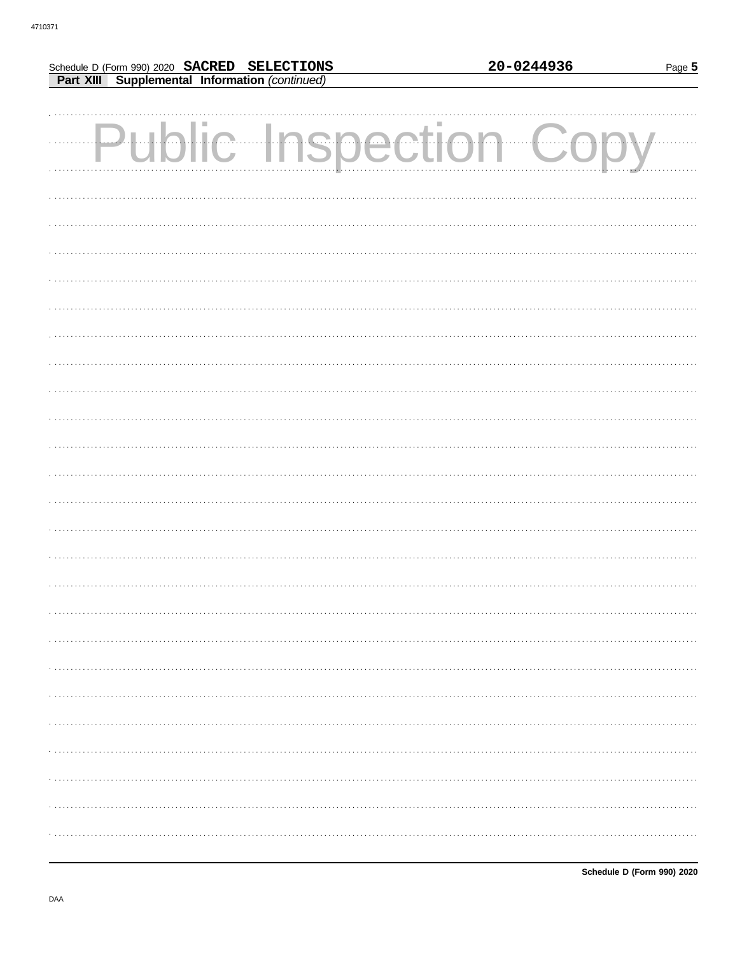| Schedule D (Form 990) 2020 SACRED SELECTIONS   | 20-0244936<br>Page 5 |
|------------------------------------------------|----------------------|
| Part XIII Supplemental Information (continued) |                      |
|                                                |                      |
|                                                |                      |
| Public Inspection Co                           |                      |
|                                                |                      |
|                                                |                      |
|                                                |                      |
|                                                |                      |
|                                                |                      |
|                                                |                      |
|                                                |                      |
|                                                |                      |
|                                                |                      |
|                                                |                      |
|                                                |                      |
|                                                |                      |
|                                                |                      |
|                                                |                      |
|                                                |                      |
|                                                |                      |
|                                                |                      |
|                                                |                      |
|                                                |                      |
|                                                |                      |
|                                                |                      |
|                                                |                      |
|                                                |                      |
|                                                |                      |
|                                                | .                    |
|                                                |                      |
|                                                |                      |
|                                                |                      |
|                                                |                      |
|                                                |                      |
|                                                |                      |
|                                                |                      |
|                                                |                      |
|                                                |                      |
|                                                |                      |
|                                                |                      |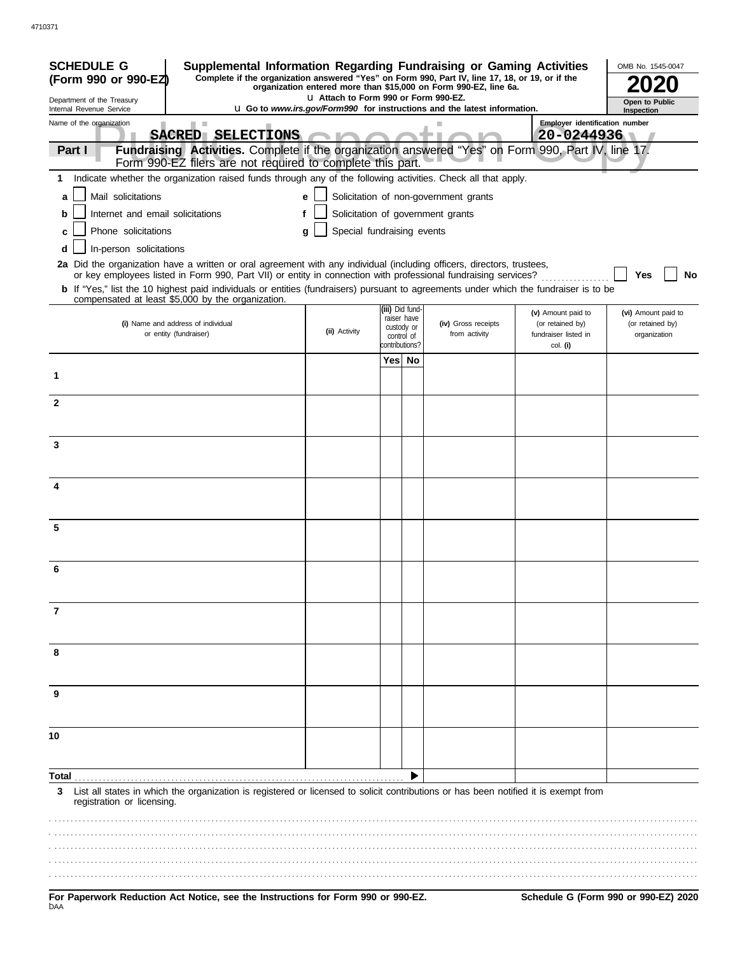| <b>SCHEDULE G</b><br>(Form 990 or 990-EZ)                                                                                               | Supplemental Information Regarding Fundraising or Gaming Activities<br>Complete if the organization answered "Yes" on Form 990, Part IV, line 17, 18, or 19, or if the                                                                                                                                                                                                                                                                        |                                 |  |                                |                                                                                 |                                              | OMB No. 1545-0047                    |
|-----------------------------------------------------------------------------------------------------------------------------------------|-----------------------------------------------------------------------------------------------------------------------------------------------------------------------------------------------------------------------------------------------------------------------------------------------------------------------------------------------------------------------------------------------------------------------------------------------|---------------------------------|--|--------------------------------|---------------------------------------------------------------------------------|----------------------------------------------|--------------------------------------|
| organization entered more than \$15,000 on Form 990-EZ, line 6a.<br>La Attach to Form 990 or Form 990-EZ.<br>Department of the Treasury |                                                                                                                                                                                                                                                                                                                                                                                                                                               |                                 |  |                                | Open to Public                                                                  |                                              |                                      |
| Internal Revenue Service                                                                                                                |                                                                                                                                                                                                                                                                                                                                                                                                                                               |                                 |  |                                | <b>u</b> Go to www.irs.gov/Form990 for instructions and the latest information. |                                              | Inspection                           |
| Name of the organization                                                                                                                | SACRED SELECTIONS                                                                                                                                                                                                                                                                                                                                                                                                                             |                                 |  |                                |                                                                                 | Employer identification number<br>20-0244936 |                                      |
| Part I                                                                                                                                  | Fundraising Activities. Complete if the organization answered "Yes" on Form 990, Part IV, line 17.<br>Form 990-EZ filers are not required to complete this part.                                                                                                                                                                                                                                                                              |                                 |  |                                |                                                                                 |                                              |                                      |
|                                                                                                                                         | 1 Indicate whether the organization raised funds through any of the following activities. Check all that apply.                                                                                                                                                                                                                                                                                                                               |                                 |  |                                |                                                                                 |                                              |                                      |
| Mail solicitations<br>a                                                                                                                 |                                                                                                                                                                                                                                                                                                                                                                                                                                               | е                               |  |                                | Solicitation of non-government grants                                           |                                              |                                      |
| Internet and email solicitations<br>b                                                                                                   |                                                                                                                                                                                                                                                                                                                                                                                                                                               |                                 |  |                                | Solicitation of government grants                                               |                                              |                                      |
| Phone solicitations                                                                                                                     |                                                                                                                                                                                                                                                                                                                                                                                                                                               | Special fundraising events<br>g |  |                                |                                                                                 |                                              |                                      |
| In-person solicitations<br>d                                                                                                            |                                                                                                                                                                                                                                                                                                                                                                                                                                               |                                 |  |                                |                                                                                 |                                              |                                      |
|                                                                                                                                         | 2a Did the organization have a written or oral agreement with any individual (including officers, directors, trustees,<br>or key employees listed in Form 990, Part VII) or entity in connection with professional fundraising services?<br><b>b</b> If "Yes," list the 10 highest paid individuals or entities (fundraisers) pursuant to agreements under which the fundraiser is to be<br>compensated at least \$5,000 by the organization. |                                 |  |                                |                                                                                 |                                              | Yes<br>No                            |
|                                                                                                                                         |                                                                                                                                                                                                                                                                                                                                                                                                                                               |                                 |  | (iii) Did fund-<br>raiser have |                                                                                 | (v) Amount paid to                           | (vi) Amount paid to                  |
|                                                                                                                                         | (i) Name and address of individual<br>or entity (fundraiser)                                                                                                                                                                                                                                                                                                                                                                                  | (ii) Activity                   |  | custody or<br>control of       | (iv) Gross receipts<br>from activity                                            | (or retained by)<br>fundraiser listed in     | (or retained by)<br>organization     |
|                                                                                                                                         |                                                                                                                                                                                                                                                                                                                                                                                                                                               |                                 |  | contributions?                 |                                                                                 | col. (i)                                     |                                      |
| 1                                                                                                                                       |                                                                                                                                                                                                                                                                                                                                                                                                                                               |                                 |  | Yes No                         |                                                                                 |                                              |                                      |
| $\mathbf{2}$                                                                                                                            |                                                                                                                                                                                                                                                                                                                                                                                                                                               |                                 |  |                                |                                                                                 |                                              |                                      |
|                                                                                                                                         |                                                                                                                                                                                                                                                                                                                                                                                                                                               |                                 |  |                                |                                                                                 |                                              |                                      |
| 3                                                                                                                                       |                                                                                                                                                                                                                                                                                                                                                                                                                                               |                                 |  |                                |                                                                                 |                                              |                                      |
|                                                                                                                                         |                                                                                                                                                                                                                                                                                                                                                                                                                                               |                                 |  |                                |                                                                                 |                                              |                                      |
| 4                                                                                                                                       |                                                                                                                                                                                                                                                                                                                                                                                                                                               |                                 |  |                                |                                                                                 |                                              |                                      |
|                                                                                                                                         |                                                                                                                                                                                                                                                                                                                                                                                                                                               |                                 |  |                                |                                                                                 |                                              |                                      |
| 5                                                                                                                                       |                                                                                                                                                                                                                                                                                                                                                                                                                                               |                                 |  |                                |                                                                                 |                                              |                                      |
| 6                                                                                                                                       |                                                                                                                                                                                                                                                                                                                                                                                                                                               |                                 |  |                                |                                                                                 |                                              |                                      |
|                                                                                                                                         |                                                                                                                                                                                                                                                                                                                                                                                                                                               |                                 |  |                                |                                                                                 |                                              |                                      |
| 7                                                                                                                                       |                                                                                                                                                                                                                                                                                                                                                                                                                                               |                                 |  |                                |                                                                                 |                                              |                                      |
|                                                                                                                                         |                                                                                                                                                                                                                                                                                                                                                                                                                                               |                                 |  |                                |                                                                                 |                                              |                                      |
| 8                                                                                                                                       |                                                                                                                                                                                                                                                                                                                                                                                                                                               |                                 |  |                                |                                                                                 |                                              |                                      |
| 9                                                                                                                                       |                                                                                                                                                                                                                                                                                                                                                                                                                                               |                                 |  |                                |                                                                                 |                                              |                                      |
|                                                                                                                                         |                                                                                                                                                                                                                                                                                                                                                                                                                                               |                                 |  |                                |                                                                                 |                                              |                                      |
| 10                                                                                                                                      |                                                                                                                                                                                                                                                                                                                                                                                                                                               |                                 |  |                                |                                                                                 |                                              |                                      |
|                                                                                                                                         |                                                                                                                                                                                                                                                                                                                                                                                                                                               |                                 |  |                                |                                                                                 |                                              |                                      |
| Total                                                                                                                                   |                                                                                                                                                                                                                                                                                                                                                                                                                                               |                                 |  |                                |                                                                                 |                                              |                                      |
| 3<br>registration or licensing.                                                                                                         | List all states in which the organization is registered or licensed to solicit contributions or has been notified it is exempt from                                                                                                                                                                                                                                                                                                           |                                 |  |                                |                                                                                 |                                              |                                      |
|                                                                                                                                         |                                                                                                                                                                                                                                                                                                                                                                                                                                               |                                 |  |                                |                                                                                 |                                              |                                      |
|                                                                                                                                         |                                                                                                                                                                                                                                                                                                                                                                                                                                               |                                 |  |                                |                                                                                 |                                              |                                      |
|                                                                                                                                         |                                                                                                                                                                                                                                                                                                                                                                                                                                               |                                 |  |                                |                                                                                 |                                              |                                      |
|                                                                                                                                         |                                                                                                                                                                                                                                                                                                                                                                                                                                               |                                 |  |                                |                                                                                 |                                              |                                      |
|                                                                                                                                         | For Paperwork Reduction Act Notice, see the Instructions for Form 000 or 000-F7                                                                                                                                                                                                                                                                                                                                                               |                                 |  |                                |                                                                                 |                                              | Schodule C (Form 000 or 000-F7) 2020 |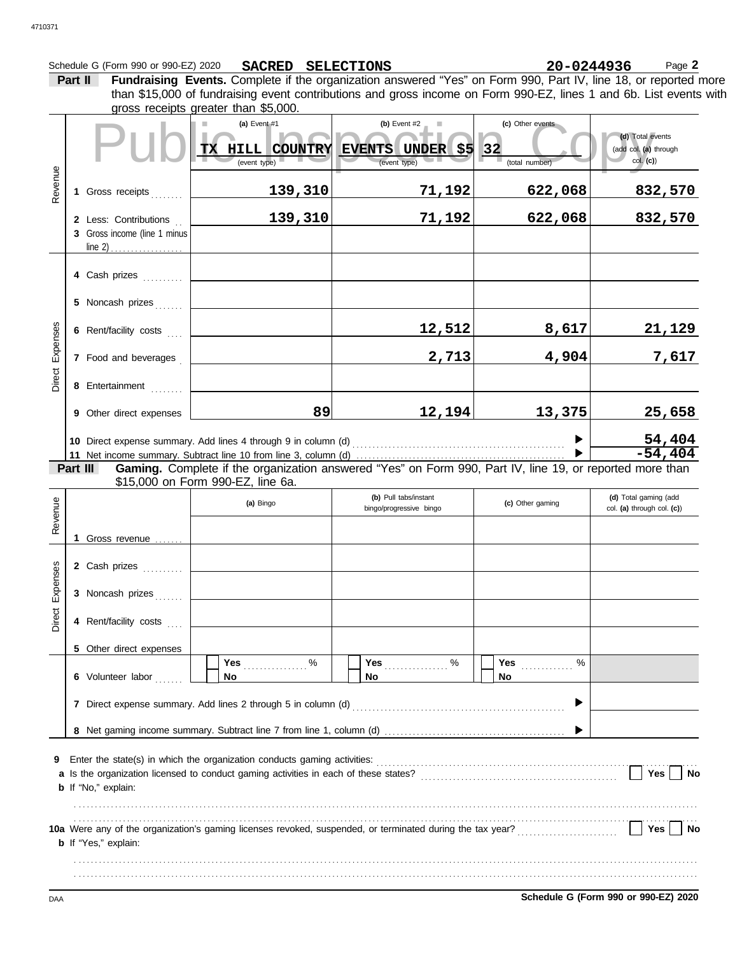#### Schedule G (Form 990 or 990-EZ) 2020 **SACRED SELECTIONS** 20 - 20 - 0244936 Page 2 **SACRED SELECTIONS 20-0244936**

**Part II Fundraising Events.** Complete if the organization answered "Yes" on Form 990, Part IV, line 18, or reported more gross receipts greater than \$5,000. than \$15,000 of fundraising event contributions and gross income on Form 990-EZ, lines 1 and 6b. List events with

|                 |          |                                                                    | gross receipts greater than \$5,000.                                                                     |                                                                              |                                          |                                                       |
|-----------------|----------|--------------------------------------------------------------------|----------------------------------------------------------------------------------------------------------|------------------------------------------------------------------------------|------------------------------------------|-------------------------------------------------------|
|                 |          |                                                                    | (a) Event #1<br><b>HILL</b><br><b>COUNTRY</b><br>TХ<br>(event type)                                      | (b) Event $#2$<br>ш<br><b>UNDER</b><br>.\$5<br><b>EVENTS</b><br>(event type) | (c) Other events<br>32<br>(total number) | (d) Total events<br>(add col. (a) through<br>col. (c) |
| Revenue         |          | 1 Gross receipts                                                   | 139,310                                                                                                  | 71,192                                                                       | 622,068                                  | 832,570                                               |
|                 |          | 2 Less: Contributions<br>3 Gross income (line 1 minus<br>line $2)$ | 139,310                                                                                                  | 71,192                                                                       | 622,068                                  | 832,570                                               |
|                 |          | 4 Cash prizes                                                      |                                                                                                          |                                                                              |                                          |                                                       |
|                 |          | 5 Noncash prizes                                                   |                                                                                                          |                                                                              |                                          |                                                       |
|                 |          | 6 Rent/facility costs                                              |                                                                                                          | 12,512                                                                       | 8,617                                    | <u>21,129</u>                                         |
| Direct Expenses |          | 7 Food and beverages                                               |                                                                                                          | 2,713                                                                        | 4,904                                    | 7,617                                                 |
|                 |          | 8 Entertainment                                                    |                                                                                                          |                                                                              |                                          |                                                       |
|                 |          | 9 Other direct expenses                                            | 89                                                                                                       | 12,194                                                                       | 13,375                                   | 25,658                                                |
|                 |          |                                                                    | 10 Direct expense summary. Add lines 4 through 9 in column (d)                                           |                                                                              | ▶                                        | 54,404<br>$-54,404$                                   |
|                 | Part III |                                                                    | Gaming. Complete if the organization answered "Yes" on Form 990, Part IV, line 19, or reported more than |                                                                              |                                          |                                                       |
|                 |          |                                                                    | \$15,000 on Form 990-EZ, line 6a.                                                                        |                                                                              |                                          |                                                       |
| Revenue         |          |                                                                    | (a) Bingo                                                                                                | (b) Pull tabs/instant<br>bingo/progressive bingo                             | (c) Other gaming                         | (d) Total gaming (add<br>col. (a) through col. (c))   |
|                 |          |                                                                    |                                                                                                          |                                                                              |                                          |                                                       |
|                 |          | 1 Gross revenue                                                    |                                                                                                          |                                                                              |                                          |                                                       |
| Expenses        |          | 2 Cash prizes                                                      |                                                                                                          |                                                                              |                                          |                                                       |
|                 |          | 3 Noncash prizes                                                   |                                                                                                          |                                                                              |                                          |                                                       |
| Direct          |          | 4 Rent/facility costs                                              |                                                                                                          |                                                                              |                                          |                                                       |
|                 |          | 5 Other direct expenses                                            |                                                                                                          |                                                                              |                                          |                                                       |
|                 |          | 6 Volunteer labor                                                  | Yes <sub>with</sub><br>$\ldots$ %<br>No                                                                  | Yes %<br>No                                                                  | $\%$<br>Yes<br><b>No</b>                 |                                                       |
|                 |          |                                                                    | 7 Direct expense summary. Add lines 2 through 5 in column (d)                                            |                                                                              | ▶                                        |                                                       |
|                 |          |                                                                    |                                                                                                          |                                                                              | ▶                                        |                                                       |
|                 |          | <b>b</b> If "No," explain:                                         |                                                                                                          |                                                                              |                                          | Yes<br>No                                             |
|                 |          | <b>b</b> If "Yes," explain:                                        |                                                                                                          |                                                                              |                                          | Yes<br>No                                             |
|                 |          |                                                                    |                                                                                                          |                                                                              |                                          |                                                       |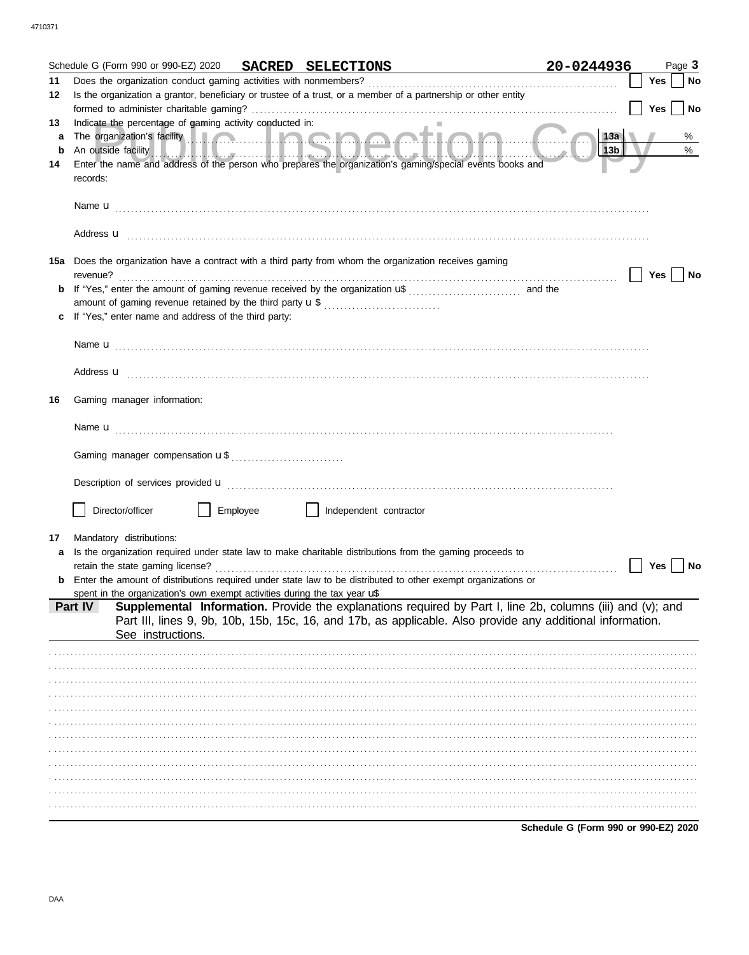|    | Schedule G (Form 990 or 990-EZ) 2020 SACRED SELECTIONS                               |          |                                                                                                                                                                                                                                                     | 20-0244936                           |            | Page 3    |
|----|--------------------------------------------------------------------------------------|----------|-----------------------------------------------------------------------------------------------------------------------------------------------------------------------------------------------------------------------------------------------------|--------------------------------------|------------|-----------|
| 11 | Does the organization conduct gaming activities with nonmembers?                     |          |                                                                                                                                                                                                                                                     |                                      | <b>Yes</b> | <b>No</b> |
| 12 |                                                                                      |          | Is the organization a grantor, beneficiary or trustee of a trust, or a member of a partnership or other entity                                                                                                                                      |                                      | Yes        | No        |
| 13 | Indicate the percentage of gaming activity conducted in:                             |          |                                                                                                                                                                                                                                                     |                                      |            |           |
| a  |                                                                                      |          | The organization's facility <b>with the contract of the organization's facility</b>                                                                                                                                                                 | 13a                                  |            | %         |
| b  |                                                                                      |          | An outside facility and the contract of the contract of the contract of the contract of the contract of the contract of the contract of the contract of the contract of the contract of the contract of the contract of the co<br>HITTI III. ATA WA | 13b                                  |            | %         |
| 14 | records:                                                                             |          | Enter the name and address of the person who prepares the organization's gaming/special events books and                                                                                                                                            |                                      |            |           |
|    |                                                                                      |          |                                                                                                                                                                                                                                                     |                                      |            |           |
|    |                                                                                      |          | Address <b>u</b>                                                                                                                                                                                                                                    |                                      |            |           |
|    |                                                                                      |          | 15a Does the organization have a contract with a third party from whom the organization receives gaming                                                                                                                                             |                                      |            |           |
|    |                                                                                      |          |                                                                                                                                                                                                                                                     |                                      | Yes        | No        |
|    |                                                                                      |          |                                                                                                                                                                                                                                                     |                                      |            |           |
|    |                                                                                      |          | amount of gaming revenue retained by the third party <b>u</b> \$                                                                                                                                                                                    |                                      |            |           |
|    | If "Yes," enter name and address of the third party:                                 |          |                                                                                                                                                                                                                                                     |                                      |            |           |
|    |                                                                                      |          | Name <b>u</b> entre and the contract of the contract of the contract of the contract of the contract of the contract of the contract of the contract of the contract of the contract of the contract of the contract of the contrac                 |                                      |            |           |
|    |                                                                                      |          | Address <b>u</b> <u>contractive and the contractive and the contractive and the contractive and the contractive and the contractive and the contractive and contract and contract and contract and contract and contract and contract</u>           |                                      |            |           |
| 16 | Gaming manager information:                                                          |          |                                                                                                                                                                                                                                                     |                                      |            |           |
|    |                                                                                      |          |                                                                                                                                                                                                                                                     |                                      |            |           |
|    |                                                                                      |          |                                                                                                                                                                                                                                                     |                                      |            |           |
|    |                                                                                      |          |                                                                                                                                                                                                                                                     |                                      |            |           |
|    | Director/officer                                                                     | Employee | Independent contractor                                                                                                                                                                                                                              |                                      |            |           |
| 17 |                                                                                      |          |                                                                                                                                                                                                                                                     |                                      |            |           |
|    | Mandatory distributions:                                                             |          | Is the organization required under state law to make charitable distributions from the gaming proceeds to                                                                                                                                           |                                      |            |           |
|    | retain the state gaming license?                                                     |          |                                                                                                                                                                                                                                                     |                                      | Yes        | No        |
|    |                                                                                      |          | Enter the amount of distributions required under state law to be distributed to other exempt organizations or                                                                                                                                       |                                      |            |           |
|    | spent in the organization's own exempt activities during the tax year $\mathbf{u}^*$ |          |                                                                                                                                                                                                                                                     |                                      |            |           |
|    | Part IV<br>See instructions.                                                         |          | Supplemental Information. Provide the explanations required by Part I, line 2b, columns (iii) and (v); and<br>Part III, lines 9, 9b, 10b, 15b, 15c, 16, and 17b, as applicable. Also provide any additional information.                            |                                      |            |           |
|    |                                                                                      |          |                                                                                                                                                                                                                                                     |                                      |            |           |
|    |                                                                                      |          |                                                                                                                                                                                                                                                     |                                      |            |           |
|    |                                                                                      |          |                                                                                                                                                                                                                                                     |                                      |            |           |
|    |                                                                                      |          |                                                                                                                                                                                                                                                     |                                      |            |           |
|    |                                                                                      |          |                                                                                                                                                                                                                                                     |                                      |            |           |
|    |                                                                                      |          |                                                                                                                                                                                                                                                     |                                      |            |           |
|    |                                                                                      |          |                                                                                                                                                                                                                                                     |                                      |            |           |
|    |                                                                                      |          |                                                                                                                                                                                                                                                     |                                      |            |           |
|    |                                                                                      |          |                                                                                                                                                                                                                                                     |                                      |            |           |
|    |                                                                                      |          |                                                                                                                                                                                                                                                     |                                      |            |           |
|    |                                                                                      |          |                                                                                                                                                                                                                                                     |                                      |            |           |
|    |                                                                                      |          |                                                                                                                                                                                                                                                     |                                      |            |           |
|    |                                                                                      |          |                                                                                                                                                                                                                                                     | Schedule G (Form 990 or 990-EZ) 2020 |            |           |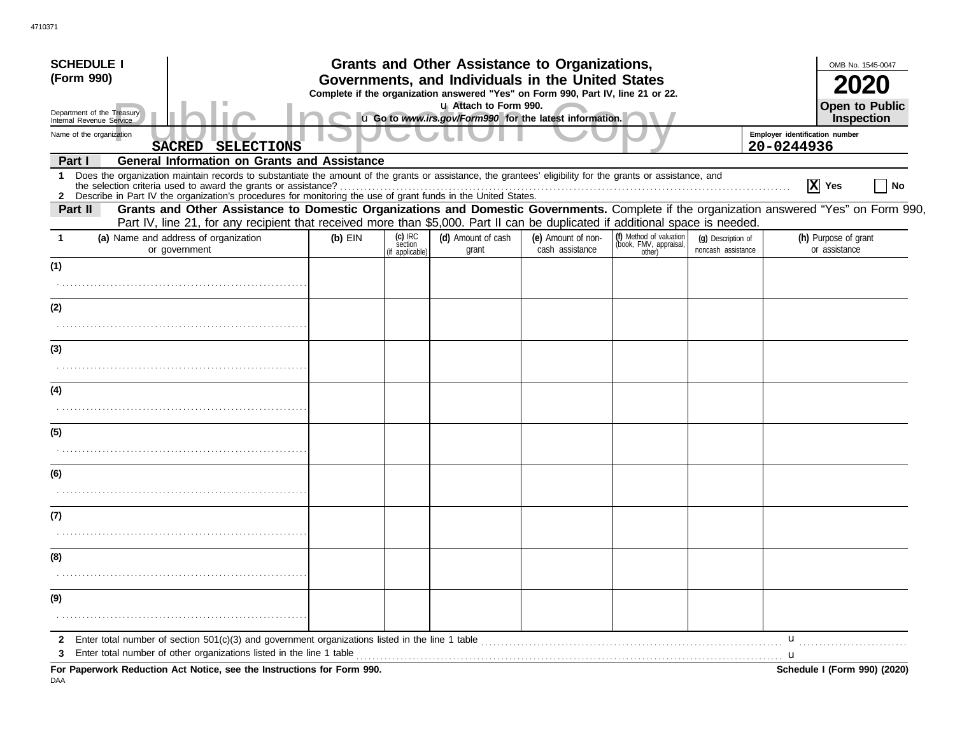| (Form 990)<br>Governments, and Individuals in the United States<br>Complete if the organization answered "Yes" on Form 990, Part IV, line 21 or 22.<br>u Attach to Form 990.<br>Department of the Treasury<br>u Go to www.irs.gov/Form990 for the latest information.<br>Internal Revenue Service<br>Employer identification number<br>Name of the organization<br>SACRED SELECTIONS<br>20-0244936<br><b>General Information on Grants and Assistance</b><br>Part I<br>Does the organization maintain records to substantiate the amount of the grants or assistance, the grantees' eligibility for the grants or assistance, and<br>1<br>the selection criteria used to award the grants or assistance?<br>2 Describe in Part IV the organization's procedures for monitoring the use of grant funds in the United States.<br>Grants and Other Assistance to Domestic Organizations and Domestic Governments. Complete if the organization answered "Yes" on Form 990,<br>Part II<br>Part IV, line 21, for any recipient that received more than \$5,000. Part II can be duplicated if additional space is needed. | <b>Open to Public</b><br>Inspection   |
|---------------------------------------------------------------------------------------------------------------------------------------------------------------------------------------------------------------------------------------------------------------------------------------------------------------------------------------------------------------------------------------------------------------------------------------------------------------------------------------------------------------------------------------------------------------------------------------------------------------------------------------------------------------------------------------------------------------------------------------------------------------------------------------------------------------------------------------------------------------------------------------------------------------------------------------------------------------------------------------------------------------------------------------------------------------------------------------------------------------------|---------------------------------------|
|                                                                                                                                                                                                                                                                                                                                                                                                                                                                                                                                                                                                                                                                                                                                                                                                                                                                                                                                                                                                                                                                                                                     |                                       |
|                                                                                                                                                                                                                                                                                                                                                                                                                                                                                                                                                                                                                                                                                                                                                                                                                                                                                                                                                                                                                                                                                                                     |                                       |
|                                                                                                                                                                                                                                                                                                                                                                                                                                                                                                                                                                                                                                                                                                                                                                                                                                                                                                                                                                                                                                                                                                                     |                                       |
|                                                                                                                                                                                                                                                                                                                                                                                                                                                                                                                                                                                                                                                                                                                                                                                                                                                                                                                                                                                                                                                                                                                     |                                       |
|                                                                                                                                                                                                                                                                                                                                                                                                                                                                                                                                                                                                                                                                                                                                                                                                                                                                                                                                                                                                                                                                                                                     |                                       |
|                                                                                                                                                                                                                                                                                                                                                                                                                                                                                                                                                                                                                                                                                                                                                                                                                                                                                                                                                                                                                                                                                                                     | $\overline{X}$ Yes<br>No              |
|                                                                                                                                                                                                                                                                                                                                                                                                                                                                                                                                                                                                                                                                                                                                                                                                                                                                                                                                                                                                                                                                                                                     |                                       |
|                                                                                                                                                                                                                                                                                                                                                                                                                                                                                                                                                                                                                                                                                                                                                                                                                                                                                                                                                                                                                                                                                                                     |                                       |
| $(c)$ IRC<br>(f) Method of valuation<br>(d) Amount of cash<br>(a) Name and address of organization<br>(e) Amount of non-<br>$(b)$ EIN<br>(g) Description of<br>1<br>(book, FMV, appraisal,<br>other)<br>section<br>cash assistance<br>or government<br>grant<br>noncash assistance<br>(if applicable)                                                                                                                                                                                                                                                                                                                                                                                                                                                                                                                                                                                                                                                                                                                                                                                                               | (h) Purpose of grant<br>or assistance |
| (1)                                                                                                                                                                                                                                                                                                                                                                                                                                                                                                                                                                                                                                                                                                                                                                                                                                                                                                                                                                                                                                                                                                                 |                                       |
| (2)                                                                                                                                                                                                                                                                                                                                                                                                                                                                                                                                                                                                                                                                                                                                                                                                                                                                                                                                                                                                                                                                                                                 |                                       |
|                                                                                                                                                                                                                                                                                                                                                                                                                                                                                                                                                                                                                                                                                                                                                                                                                                                                                                                                                                                                                                                                                                                     |                                       |
| (3)                                                                                                                                                                                                                                                                                                                                                                                                                                                                                                                                                                                                                                                                                                                                                                                                                                                                                                                                                                                                                                                                                                                 |                                       |
|                                                                                                                                                                                                                                                                                                                                                                                                                                                                                                                                                                                                                                                                                                                                                                                                                                                                                                                                                                                                                                                                                                                     |                                       |
| (4)                                                                                                                                                                                                                                                                                                                                                                                                                                                                                                                                                                                                                                                                                                                                                                                                                                                                                                                                                                                                                                                                                                                 |                                       |
|                                                                                                                                                                                                                                                                                                                                                                                                                                                                                                                                                                                                                                                                                                                                                                                                                                                                                                                                                                                                                                                                                                                     |                                       |
| (5)                                                                                                                                                                                                                                                                                                                                                                                                                                                                                                                                                                                                                                                                                                                                                                                                                                                                                                                                                                                                                                                                                                                 |                                       |
|                                                                                                                                                                                                                                                                                                                                                                                                                                                                                                                                                                                                                                                                                                                                                                                                                                                                                                                                                                                                                                                                                                                     |                                       |
| (6)                                                                                                                                                                                                                                                                                                                                                                                                                                                                                                                                                                                                                                                                                                                                                                                                                                                                                                                                                                                                                                                                                                                 |                                       |
|                                                                                                                                                                                                                                                                                                                                                                                                                                                                                                                                                                                                                                                                                                                                                                                                                                                                                                                                                                                                                                                                                                                     |                                       |
| (7)                                                                                                                                                                                                                                                                                                                                                                                                                                                                                                                                                                                                                                                                                                                                                                                                                                                                                                                                                                                                                                                                                                                 |                                       |
|                                                                                                                                                                                                                                                                                                                                                                                                                                                                                                                                                                                                                                                                                                                                                                                                                                                                                                                                                                                                                                                                                                                     |                                       |
| (8)                                                                                                                                                                                                                                                                                                                                                                                                                                                                                                                                                                                                                                                                                                                                                                                                                                                                                                                                                                                                                                                                                                                 |                                       |
|                                                                                                                                                                                                                                                                                                                                                                                                                                                                                                                                                                                                                                                                                                                                                                                                                                                                                                                                                                                                                                                                                                                     |                                       |
| (9)                                                                                                                                                                                                                                                                                                                                                                                                                                                                                                                                                                                                                                                                                                                                                                                                                                                                                                                                                                                                                                                                                                                 |                                       |
|                                                                                                                                                                                                                                                                                                                                                                                                                                                                                                                                                                                                                                                                                                                                                                                                                                                                                                                                                                                                                                                                                                                     |                                       |
| Enter total number of section $501(c)(3)$ and government organizations listed in the line 1 table<br>u<br>$\mathbf{2}$<br>Enter total number of other organizations listed in the line 1 table                                                                                                                                                                                                                                                                                                                                                                                                                                                                                                                                                                                                                                                                                                                                                                                                                                                                                                                      |                                       |
| 3<br><u></u> <b>u</b><br>For Paperwork Reduction Act Notice, see the Instructions for Form 990.                                                                                                                                                                                                                                                                                                                                                                                                                                                                                                                                                                                                                                                                                                                                                                                                                                                                                                                                                                                                                     | Schedule I (Form 990) (2020)          |

DAA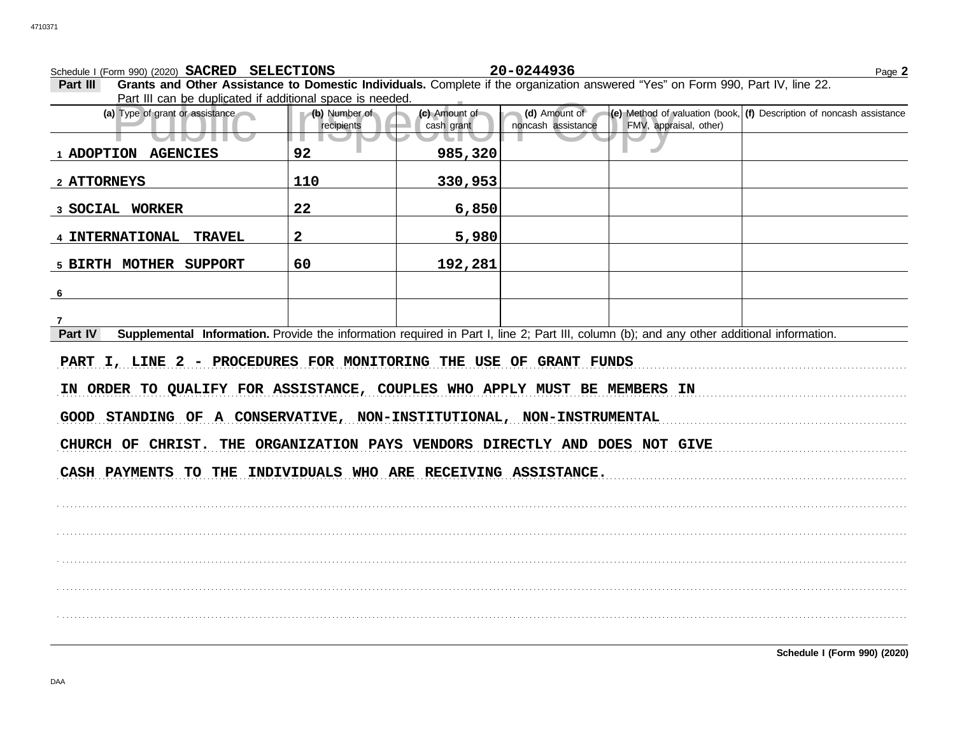# Schedule I (Form 990) (2020) Page **2 SACRED SELECTIONS 20-0244936**

## **Part III Grants and Other Assistance to Domestic Individuals.** Complete if the organization answered "Yes" on Form 990, Part IV, line 22. Part III can be duplicated if additional space is needed.

| Part in can be duplicated in additional space is needed.                   |                                                                                                                                           |                             |                                     |                        |                                                                                      |  |  |  |
|----------------------------------------------------------------------------|-------------------------------------------------------------------------------------------------------------------------------------------|-----------------------------|-------------------------------------|------------------------|--------------------------------------------------------------------------------------|--|--|--|
| (a) Type of grant or assistance                                            | (b) Number of<br>recipients                                                                                                               | (c) Amount of<br>cash grant | (d) Amount of<br>noncash assistance | FMV, appraisal, other) | $ e\rangle$ Method of valuation (book, $ f\rangle$ Description of noncash assistance |  |  |  |
| 1 ADOPTION AGENCIES                                                        | 92                                                                                                                                        | 985,320                     |                                     |                        |                                                                                      |  |  |  |
| 2 ATTORNEYS                                                                | 110                                                                                                                                       | 330,953                     |                                     |                        |                                                                                      |  |  |  |
| 3 SOCIAL WORKER                                                            | 22                                                                                                                                        | 6,850                       |                                     |                        |                                                                                      |  |  |  |
| <b>4 INTERNATIONAL</b><br><b>TRAVEL</b>                                    | $\mathbf{2}$                                                                                                                              | 5,980                       |                                     |                        |                                                                                      |  |  |  |
|                                                                            | 60                                                                                                                                        |                             |                                     |                        |                                                                                      |  |  |  |
| 5 BIRTH MOTHER SUPPORT                                                     |                                                                                                                                           | 192,281                     |                                     |                        |                                                                                      |  |  |  |
| 6                                                                          |                                                                                                                                           |                             |                                     |                        |                                                                                      |  |  |  |
| 7<br>Part IV                                                               | Supplemental Information. Provide the information required in Part I, line 2; Part III, column (b); and any other additional information. |                             |                                     |                        |                                                                                      |  |  |  |
| PART I, LINE 2 - PROCEDURES FOR MONITORING THE USE OF GRANT FUNDS          |                                                                                                                                           |                             |                                     |                        |                                                                                      |  |  |  |
| IN ORDER TO QUALIFY FOR ASSISTANCE, COUPLES WHO APPLY MUST BE MEMBERS IN   |                                                                                                                                           |                             |                                     |                        |                                                                                      |  |  |  |
| GOOD STANDING OF A CONSERVATIVE, NON-INSTITUTIONAL, NON-INSTRUMENTAL       |                                                                                                                                           |                             |                                     |                        |                                                                                      |  |  |  |
| CHURCH OF CHRIST. THE ORGANIZATION PAYS VENDORS DIRECTLY AND DOES NOT GIVE |                                                                                                                                           |                             |                                     |                        |                                                                                      |  |  |  |
| CASH PAYMENTS TO THE INDIVIDUALS WHO ARE RECEIVING ASSISTANCE.             |                                                                                                                                           |                             |                                     |                        |                                                                                      |  |  |  |
|                                                                            |                                                                                                                                           |                             |                                     |                        |                                                                                      |  |  |  |
|                                                                            |                                                                                                                                           |                             |                                     |                        |                                                                                      |  |  |  |
|                                                                            |                                                                                                                                           |                             |                                     |                        |                                                                                      |  |  |  |
|                                                                            |                                                                                                                                           |                             |                                     |                        |                                                                                      |  |  |  |
|                                                                            |                                                                                                                                           |                             |                                     |                        |                                                                                      |  |  |  |
|                                                                            |                                                                                                                                           |                             |                                     |                        |                                                                                      |  |  |  |
|                                                                            |                                                                                                                                           |                             |                                     |                        |                                                                                      |  |  |  |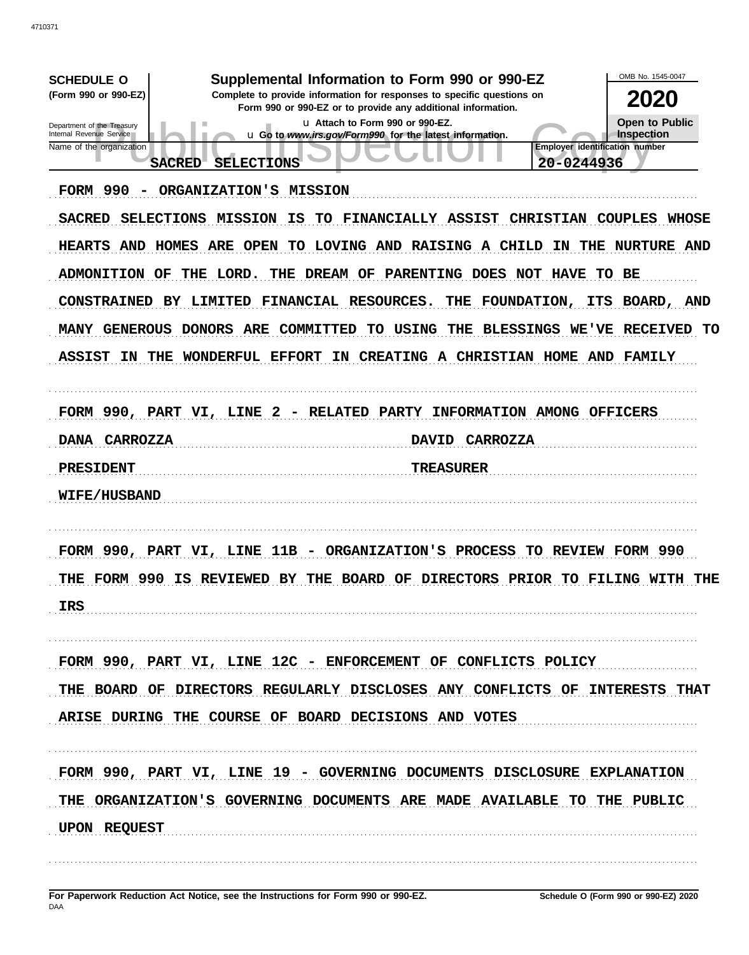| Supplemental Information to Form 990 or 990-EZ<br><b>SCHEDULE O</b><br>(Form 990 or 990-EZ)<br>Complete to provide information for responses to specific questions on<br>Form 990 or 990-EZ or to provide any additional information.<br>u Attach to Form 990 or 990-EZ.<br>Department of the Treasury<br>Internal Revenue Service<br>u Go to www.irs.gov/Form990 for the latest information.<br><b>Employer identification number</b><br>Name of the organization<br>20-0244936<br><b>SELECTIONS</b><br><b>SACRED</b><br><b>FORM 990</b><br>ORGANIZATION'S MISSION<br>$\overline{\phantom{a}}$<br><b>MISSION</b><br><b>SACRED</b><br><b>SELECTIONS</b><br>IS.<br>TO FINANCIALLY ASSIST<br>CHRISTIAN<br><b>HEARTS</b><br>AND<br>HOMES<br>ARE OPEN<br>TO LOVING AND RAISING<br>A CHILD<br>THE<br>IN<br>DREAM OF<br>PARENTING DOES NOT HAVE<br><b>ADMONITION</b><br>OF<br>THE<br>LORD.<br>THE<br>FINANCIAL RESOURCES.<br><b>CONSTRAINED</b><br>BY<br>LIMITED<br>THE<br>FOUNDATION, ITS | OMB No. 1545-0047<br><b>2020</b><br><b>Open to Public</b><br>Inspection<br><b>COUPLES</b><br><b>WHOSE</b><br><b>NURTURE AND</b><br>TO BE<br>BOARD, AND |
|--------------------------------------------------------------------------------------------------------------------------------------------------------------------------------------------------------------------------------------------------------------------------------------------------------------------------------------------------------------------------------------------------------------------------------------------------------------------------------------------------------------------------------------------------------------------------------------------------------------------------------------------------------------------------------------------------------------------------------------------------------------------------------------------------------------------------------------------------------------------------------------------------------------------------------------------------------------------------------------|--------------------------------------------------------------------------------------------------------------------------------------------------------|
| DONORS ARE<br>COMMITTED<br>USING<br>THE<br><b>BLESSINGS</b><br>MANY GENEROUS<br>TО<br><b>WE'VE</b><br>A CHRISTIAN HOME AND FAMILY<br><b>ASSIST</b><br>THE<br><b>WONDERFUL</b><br><b>EFFORT</b><br><b>CREATING</b><br>ΙN<br>IN.                                                                                                                                                                                                                                                                                                                                                                                                                                                                                                                                                                                                                                                                                                                                                       | <b>RECEIVED</b><br>TO                                                                                                                                  |
| FORM 990, PART VI,<br>LINE<br>-2<br><b>RELATED PARTY</b><br>INFORMATION AMONG<br>DANA CARROZZA<br><b>CARROZZA</b><br><b>DAVID</b><br><b>TREASURER</b><br><b>PRESIDENT</b><br><b>WIFE/HUSBAND</b>                                                                                                                                                                                                                                                                                                                                                                                                                                                                                                                                                                                                                                                                                                                                                                                     | <b>OFFICERS</b>                                                                                                                                        |
| FORM 990,<br>11B<br>ORGANIZATION'S<br><b>PROCESS</b><br><b>PART</b><br>LINE<br>TО<br>VI<br>THE FORM 990 IS REVIEWED BY THE BOARD OF DIRECTORS PRIOR TO FILING WITH THE<br>IRS                                                                                                                                                                                                                                                                                                                                                                                                                                                                                                                                                                                                                                                                                                                                                                                                        | <b>REVIEW FORM 990</b>                                                                                                                                 |
| FORM 990, PART VI, LINE 12C - ENFORCEMENT OF CONFLICTS POLICY<br>THE BOARD OF DIRECTORS REGULARLY DISCLOSES ANY CONFLICTS OF INTERESTS THAT<br>ARISE DURING THE COURSE OF BOARD DECISIONS AND VOTES                                                                                                                                                                                                                                                                                                                                                                                                                                                                                                                                                                                                                                                                                                                                                                                  |                                                                                                                                                        |
| FORM 990, PART VI, LINE 19 - GOVERNING DOCUMENTS DISCLOSURE EXPLANATION<br>THE ORGANIZATION'S GOVERNING DOCUMENTS ARE MADE AVAILABLE TO THE PUBLIC<br><b>UPON REQUEST</b>                                                                                                                                                                                                                                                                                                                                                                                                                                                                                                                                                                                                                                                                                                                                                                                                            |                                                                                                                                                        |